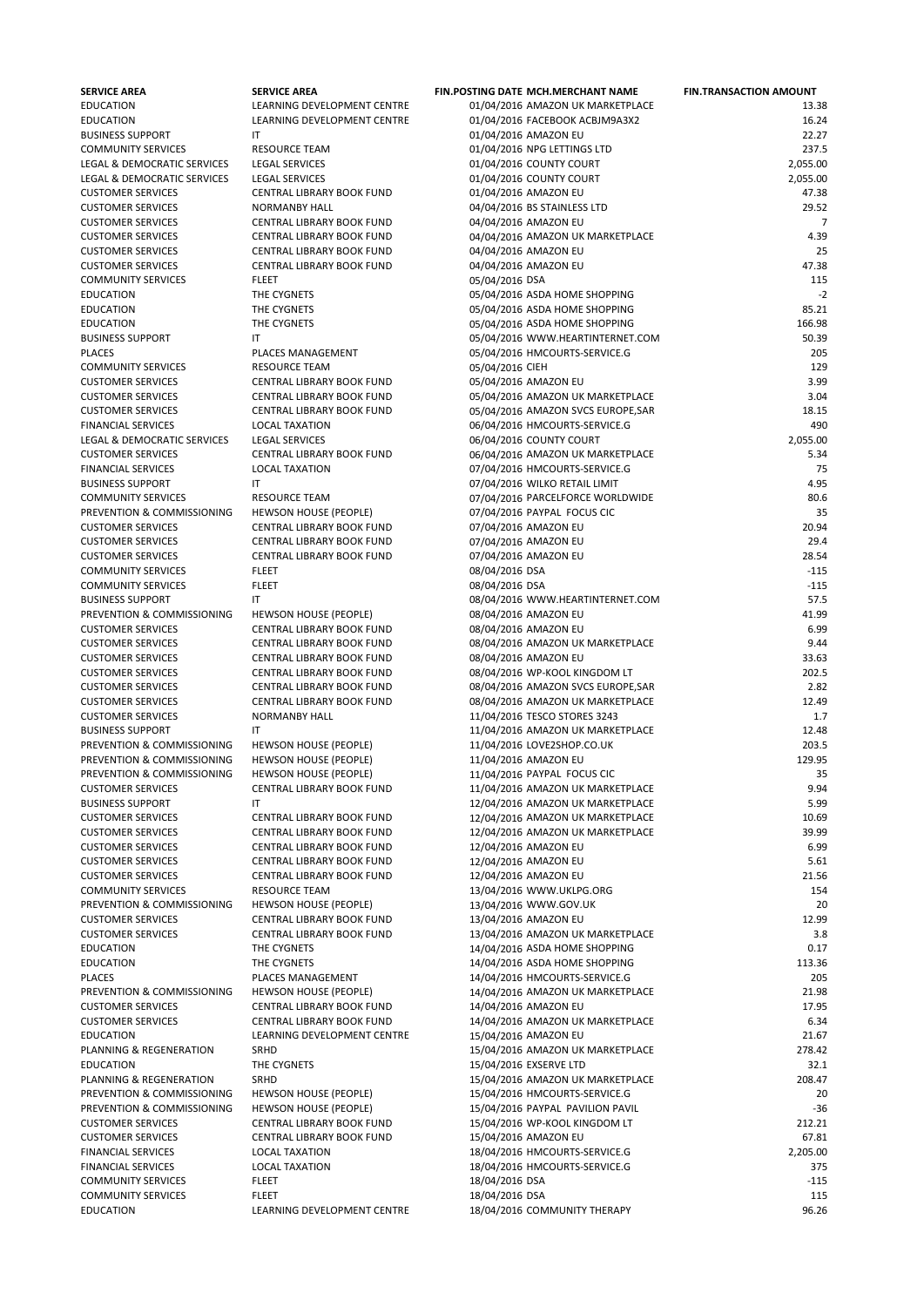| <b>SERVICE AREA</b>         | <b>SERVICE AREA</b>              | <b>FIN.POSTING DATE MCH.MERCHANT NAME</b> | <b>FIN.TRANSACTION AMOUNT</b> |
|-----------------------------|----------------------------------|-------------------------------------------|-------------------------------|
| <b>EDUCATION</b>            | LEARNING DEVELOPMENT CENTRE      | 01/04/2016 AMAZON UK MARKETPLACE          | 13.38                         |
| <b>EDUCATION</b>            | LEARNING DEVELOPMENT CENTRE      | 01/04/2016 FACEBOOK ACBJM9A3X2            | 16.24                         |
| <b>BUSINESS SUPPORT</b>     | ΙT                               | 01/04/2016 AMAZON EU                      | 22.27                         |
| <b>COMMUNITY SERVICES</b>   | <b>RESOURCE TEAM</b>             | 01/04/2016 NPG LETTINGS LTD               | 237.5                         |
| LEGAL & DEMOCRATIC SERVICES | <b>LEGAL SERVICES</b>            | 01/04/2016 COUNTY COURT                   | 2,055.00                      |
| LEGAL & DEMOCRATIC SERVICES | <b>LEGAL SERVICES</b>            | 01/04/2016 COUNTY COURT                   | 2,055.00                      |
| <b>CUSTOMER SERVICES</b>    | CENTRAL LIBRARY BOOK FUND        | 01/04/2016 AMAZON EU                      | 47.38                         |
| <b>CUSTOMER SERVICES</b>    | <b>NORMANBY HALL</b>             | 04/04/2016 BS STAINLESS LTD               | 29.52                         |
| <b>CUSTOMER SERVICES</b>    | CENTRAL LIBRARY BOOK FUND        | 04/04/2016 AMAZON EU                      | 7                             |
| <b>CUSTOMER SERVICES</b>    | CENTRAL LIBRARY BOOK FUND        | 04/04/2016 AMAZON UK MARKETPLACE          | 4.39                          |
| <b>CUSTOMER SERVICES</b>    | CENTRAL LIBRARY BOOK FUND        | 04/04/2016 AMAZON EU                      | 25                            |
| <b>CUSTOMER SERVICES</b>    | CENTRAL LIBRARY BOOK FUND        | 04/04/2016 AMAZON EU                      | 47.38                         |
| <b>COMMUNITY SERVICES</b>   | <b>FLEET</b>                     | 05/04/2016 DSA                            | 115                           |
| <b>EDUCATION</b>            | THE CYGNETS                      | 05/04/2016 ASDA HOME SHOPPING             | $-2$                          |
| <b>EDUCATION</b>            | THE CYGNETS                      | 05/04/2016 ASDA HOME SHOPPING             | 85.21                         |
| <b>EDUCATION</b>            | THE CYGNETS                      | 05/04/2016 ASDA HOME SHOPPING             | 166.98                        |
| <b>BUSINESS SUPPORT</b>     | ΙT                               | 05/04/2016 WWW.HEARTINTERNET.COM          | 50.39                         |
| <b>PLACES</b>               | PLACES MANAGEMENT                | 05/04/2016 HMCOURTS-SERVICE.G             | 205                           |
| <b>COMMUNITY SERVICES</b>   | <b>RESOURCE TEAM</b>             | 05/04/2016 CIEH                           | 129                           |
| <b>CUSTOMER SERVICES</b>    | CENTRAL LIBRARY BOOK FUND        | 05/04/2016 AMAZON EU                      | 3.99                          |
| <b>CUSTOMER SERVICES</b>    | CENTRAL LIBRARY BOOK FUND        | 05/04/2016 AMAZON UK MARKETPLACE          | 3.04                          |
| <b>CUSTOMER SERVICES</b>    | CENTRAL LIBRARY BOOK FUND        |                                           | 18.15                         |
|                             |                                  | 05/04/2016 AMAZON SVCS EUROPE, SAR        | 490                           |
| <b>FINANCIAL SERVICES</b>   | <b>LOCAL TAXATION</b>            | 06/04/2016 HMCOURTS-SERVICE.G             |                               |
| LEGAL & DEMOCRATIC SERVICES | <b>LEGAL SERVICES</b>            | 06/04/2016 COUNTY COURT                   | 2,055.00                      |
| <b>CUSTOMER SERVICES</b>    | CENTRAL LIBRARY BOOK FUND        | 06/04/2016 AMAZON UK MARKETPLACE          | 5.34                          |
| <b>FINANCIAL SERVICES</b>   | <b>LOCAL TAXATION</b>            | 07/04/2016 HMCOURTS-SERVICE.G             | 75                            |
| <b>BUSINESS SUPPORT</b>     | ΙT                               | 07/04/2016 WILKO RETAIL LIMIT             | 4.95                          |
| <b>COMMUNITY SERVICES</b>   | <b>RESOURCE TEAM</b>             | 07/04/2016 PARCELFORCE WORLDWIDE          | 80.6                          |
| PREVENTION & COMMISSIONING  | <b>HEWSON HOUSE (PEOPLE)</b>     | 07/04/2016 PAYPAL FOCUS CIC               | 35                            |
| <b>CUSTOMER SERVICES</b>    | CENTRAL LIBRARY BOOK FUND        | 07/04/2016 AMAZON EU                      | 20.94                         |
| <b>CUSTOMER SERVICES</b>    | <b>CENTRAL LIBRARY BOOK FUND</b> | 07/04/2016 AMAZON EU                      | 29.4                          |
| <b>CUSTOMER SERVICES</b>    | <b>CENTRAL LIBRARY BOOK FUND</b> | 07/04/2016 AMAZON EU                      | 28.54                         |
| <b>COMMUNITY SERVICES</b>   | <b>FLEET</b>                     | 08/04/2016 DSA                            | $-115$                        |
| <b>COMMUNITY SERVICES</b>   | <b>FLEET</b>                     | 08/04/2016 DSA                            | $-115$                        |
| <b>BUSINESS SUPPORT</b>     | ΙT                               | 08/04/2016 WWW.HEARTINTERNET.COM          | 57.5                          |
| PREVENTION & COMMISSIONING  | <b>HEWSON HOUSE (PEOPLE)</b>     | 08/04/2016 AMAZON EU                      | 41.99                         |
| <b>CUSTOMER SERVICES</b>    | <b>CENTRAL LIBRARY BOOK FUND</b> | 08/04/2016 AMAZON EU                      | 6.99                          |
| <b>CUSTOMER SERVICES</b>    | <b>CENTRAL LIBRARY BOOK FUND</b> | 08/04/2016 AMAZON UK MARKETPLACE          | 9.44                          |
| <b>CUSTOMER SERVICES</b>    | CENTRAL LIBRARY BOOK FUND        | 08/04/2016 AMAZON EU                      | 33.63                         |
| <b>CUSTOMER SERVICES</b>    | CENTRAL LIBRARY BOOK FUND        | 08/04/2016 WP-KOOL KINGDOM LT             | 202.5                         |
| <b>CUSTOMER SERVICES</b>    | CENTRAL LIBRARY BOOK FUND        | 08/04/2016 AMAZON SVCS EUROPE, SAR        | 2.82                          |
| <b>CUSTOMER SERVICES</b>    | CENTRAL LIBRARY BOOK FUND        | 08/04/2016 AMAZON UK MARKETPLACE          | 12.49                         |
| <b>CUSTOMER SERVICES</b>    | <b>NORMANBY HALL</b>             | 11/04/2016 TESCO STORES 3243              | 1.7                           |
| <b>BUSINESS SUPPORT</b>     | ΙT                               | 11/04/2016 AMAZON UK MARKETPLACE          | 12.48                         |
| PREVENTION & COMMISSIONING  | <b>HEWSON HOUSE (PEOPLE)</b>     | 11/04/2016 LOVE2SHOP.CO.UK                | 203.5                         |
| PREVENTION & COMMISSIONING  | <b>HEWSON HOUSE (PEOPLE)</b>     | 11/04/2016 AMAZON EU                      | 129.95                        |
| PREVENTION & COMMISSIONING  | <b>HEWSON HOUSE (PEOPLE)</b>     | 11/04/2016 PAYPAL FOCUS CIC               | 35                            |
| <b>CUSTOMER SERVICES</b>    | CENTRAL LIBRARY BOOK FUND        | 11/04/2016 AMAZON UK MARKETPLACE          | 9.94                          |
| <b>BUSINESS SUPPORT</b>     | ΙT                               | 12/04/2016 AMAZON UK MARKETPLACE          | 5.99                          |
| <b>CUSTOMER SERVICES</b>    | <b>CENTRAL LIBRARY BOOK FUND</b> | 12/04/2016 AMAZON UK MARKETPLACE          | 10.69                         |
| <b>CUSTOMER SERVICES</b>    | CENTRAL LIBRARY BOOK FUND        | 12/04/2016 AMAZON UK MARKETPLACE          | 39.99                         |
| <b>CUSTOMER SERVICES</b>    | CENTRAL LIBRARY BOOK FUND        | 12/04/2016 AMAZON EU                      | 6.99                          |
| <b>CUSTOMER SERVICES</b>    | CENTRAL LIBRARY BOOK FUND        | 12/04/2016 AMAZON EU                      | 5.61                          |
| <b>CUSTOMER SERVICES</b>    | CENTRAL LIBRARY BOOK FUND        | 12/04/2016 AMAZON EU                      | 21.56                         |
| <b>COMMUNITY SERVICES</b>   | <b>RESOURCE TEAM</b>             | 13/04/2016 WWW.UKLPG.ORG                  | 154                           |
| PREVENTION & COMMISSIONING  | <b>HEWSON HOUSE (PEOPLE)</b>     | 13/04/2016 WWW.GOV.UK                     | 20                            |
|                             |                                  |                                           |                               |

|                            |                                  | 19, 0 1, 2010 WWW.COOM.CA        |          |
|----------------------------|----------------------------------|----------------------------------|----------|
| <b>CUSTOMER SERVICES</b>   | <b>CENTRAL LIBRARY BOOK FUND</b> | 13/04/2016 AMAZON EU             | 12.99    |
| <b>CUSTOMER SERVICES</b>   | <b>CENTRAL LIBRARY BOOK FUND</b> | 13/04/2016 AMAZON UK MARKETPLACE | 3.8      |
| <b>EDUCATION</b>           | THE CYGNETS                      | 14/04/2016 ASDA HOME SHOPPING    | 0.17     |
| <b>EDUCATION</b>           | THE CYGNETS                      | 14/04/2016 ASDA HOME SHOPPING    | 113.36   |
| <b>PLACES</b>              | PLACES MANAGEMENT                | 14/04/2016 HMCOURTS-SERVICE.G    | 205      |
| PREVENTION & COMMISSIONING | <b>HEWSON HOUSE (PEOPLE)</b>     | 14/04/2016 AMAZON UK MARKETPLACE | 21.98    |
| <b>CUSTOMER SERVICES</b>   | <b>CENTRAL LIBRARY BOOK FUND</b> | 14/04/2016 AMAZON EU             | 17.95    |
| <b>CUSTOMER SERVICES</b>   | CENTRAL LIBRARY BOOK FUND        | 14/04/2016 AMAZON UK MARKETPLACE | 6.34     |
| <b>EDUCATION</b>           | LEARNING DEVELOPMENT CENTRE      | 15/04/2016 AMAZON EU             | 21.67    |
| PLANNING & REGENERATION    | <b>SRHD</b>                      | 15/04/2016 AMAZON UK MARKETPLACE | 278.42   |
| <b>EDUCATION</b>           | THE CYGNETS                      | 15/04/2016 EXSERVE LTD           | 32.1     |
| PLANNING & REGENERATION    | SRHD                             | 15/04/2016 AMAZON UK MARKETPLACE | 208.47   |
| PREVENTION & COMMISSIONING | <b>HEWSON HOUSE (PEOPLE)</b>     | 15/04/2016 HMCOURTS-SERVICE.G    | 20       |
| PREVENTION & COMMISSIONING | <b>HEWSON HOUSE (PEOPLE)</b>     | 15/04/2016 PAYPAL PAVILION PAVIL | $-36$    |
| <b>CUSTOMER SERVICES</b>   | CENTRAL LIBRARY BOOK FUND        | 15/04/2016 WP-KOOL KINGDOM LT    | 212.21   |
| <b>CUSTOMER SERVICES</b>   | CENTRAL LIBRARY BOOK FUND        | 15/04/2016 AMAZON EU             | 67.81    |
| <b>FINANCIAL SERVICES</b>  | <b>LOCAL TAXATION</b>            | 18/04/2016 HMCOURTS-SERVICE.G    | 2,205.00 |
| <b>FINANCIAL SERVICES</b>  | <b>LOCAL TAXATION</b>            | 18/04/2016 HMCOURTS-SERVICE.G    | 375      |
| <b>COMMUNITY SERVICES</b>  | <b>FLEET</b>                     | 18/04/2016 DSA                   | $-115$   |
| <b>COMMUNITY SERVICES</b>  | <b>FLEET</b>                     | 18/04/2016 DSA                   | 115      |
| <b>EDUCATION</b>           | LEARNING DEVELOPMENT CENTRE      | 18/04/2016 COMMUNITY THERAPY     | 96.26    |
|                            |                                  |                                  |          |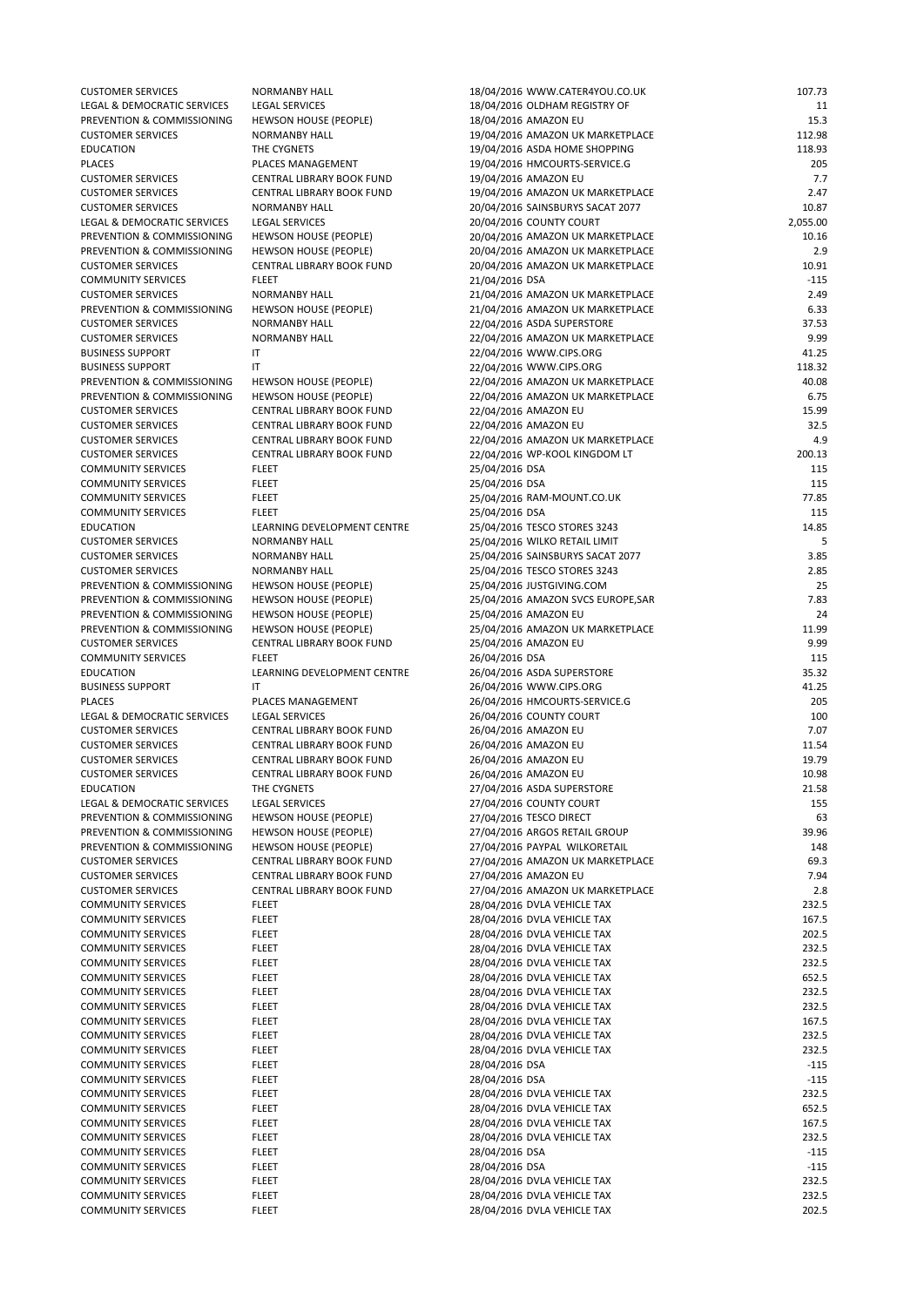| <b>CUSTOMER SERVICES</b>    | <b>NORMANBY HALL</b>             | 18/04/2016 WWW.CATER4YOU.CO.UK     | 107.73   |
|-----------------------------|----------------------------------|------------------------------------|----------|
| LEGAL & DEMOCRATIC SERVICES | <b>LEGAL SERVICES</b>            | 18/04/2016 OLDHAM REGISTRY OF      | 11       |
| PREVENTION & COMMISSIONING  | <b>HEWSON HOUSE (PEOPLE)</b>     | 18/04/2016 AMAZON EU               | 15.3     |
| <b>CUSTOMER SERVICES</b>    | <b>NORMANBY HALL</b>             | 19/04/2016 AMAZON UK MARKETPLACE   | 112.98   |
| <b>EDUCATION</b>            | THE CYGNETS                      | 19/04/2016 ASDA HOME SHOPPING      | 118.93   |
| <b>PLACES</b>               | PLACES MANAGEMENT                | 19/04/2016 HMCOURTS-SERVICE.G      | 205      |
| <b>CUSTOMER SERVICES</b>    | CENTRAL LIBRARY BOOK FUND        | 19/04/2016 AMAZON EU               | 7.7      |
| <b>CUSTOMER SERVICES</b>    | CENTRAL LIBRARY BOOK FUND        | 19/04/2016 AMAZON UK MARKETPLACE   | 2.47     |
| <b>CUSTOMER SERVICES</b>    | <b>NORMANBY HALL</b>             | 20/04/2016 SAINSBURYS SACAT 2077   | 10.87    |
| LEGAL & DEMOCRATIC SERVICES | <b>LEGAL SERVICES</b>            | 20/04/2016 COUNTY COURT            | 2,055.00 |
| PREVENTION & COMMISSIONING  | <b>HEWSON HOUSE (PEOPLE)</b>     | 20/04/2016 AMAZON UK MARKETPLACE   | 10.16    |
| PREVENTION & COMMISSIONING  | <b>HEWSON HOUSE (PEOPLE)</b>     | 20/04/2016 AMAZON UK MARKETPLACE   | 2.9      |
| <b>CUSTOMER SERVICES</b>    | <b>CENTRAL LIBRARY BOOK FUND</b> | 20/04/2016 AMAZON UK MARKETPLACE   | 10.91    |
| <b>COMMUNITY SERVICES</b>   | <b>FLEET</b>                     | 21/04/2016 DSA                     | $-115$   |
| <b>CUSTOMER SERVICES</b>    | <b>NORMANBY HALL</b>             | 21/04/2016 AMAZON UK MARKETPLACE   | 2.49     |
| PREVENTION & COMMISSIONING  | <b>HEWSON HOUSE (PEOPLE)</b>     | 21/04/2016 AMAZON UK MARKETPLACE   | 6.33     |
| <b>CUSTOMER SERVICES</b>    | <b>NORMANBY HALL</b>             | 22/04/2016 ASDA SUPERSTORE         | 37.53    |
| <b>CUSTOMER SERVICES</b>    | <b>NORMANBY HALL</b>             | 22/04/2016 AMAZON UK MARKETPLACE   | 9.99     |
| <b>BUSINESS SUPPORT</b>     | ΙT                               | 22/04/2016 WWW.CIPS.ORG            | 41.25    |
| <b>BUSINESS SUPPORT</b>     | ΙT                               | 22/04/2016 WWW.CIPS.ORG            | 118.32   |
| PREVENTION & COMMISSIONING  | <b>HEWSON HOUSE (PEOPLE)</b>     | 22/04/2016 AMAZON UK MARKETPLACE   | 40.08    |
| PREVENTION & COMMISSIONING  | <b>HEWSON HOUSE (PEOPLE)</b>     | 22/04/2016 AMAZON UK MARKETPLACE   | 6.75     |
| <b>CUSTOMER SERVICES</b>    | CENTRAL LIBRARY BOOK FUND        | 22/04/2016 AMAZON EU               | 15.99    |
| <b>CUSTOMER SERVICES</b>    | CENTRAL LIBRARY BOOK FUND        | 22/04/2016 AMAZON EU               | 32.5     |
| <b>CUSTOMER SERVICES</b>    | CENTRAL LIBRARY BOOK FUND        | 22/04/2016 AMAZON UK MARKETPLACE   | 4.9      |
| <b>CUSTOMER SERVICES</b>    | CENTRAL LIBRARY BOOK FUND        | 22/04/2016 WP-KOOL KINGDOM LT      | 200.13   |
| <b>COMMUNITY SERVICES</b>   | <b>FLEET</b>                     | 25/04/2016 DSA                     | 115      |
| <b>COMMUNITY SERVICES</b>   | <b>FLEET</b>                     | 25/04/2016 DSA                     | 115      |
| <b>COMMUNITY SERVICES</b>   | <b>FLEET</b>                     | 25/04/2016 RAM-MOUNT.CO.UK         | 77.85    |
| <b>COMMUNITY SERVICES</b>   | <b>FLEET</b>                     | 25/04/2016 DSA                     | 115      |
| <b>EDUCATION</b>            | LEARNING DEVELOPMENT CENTRE      | 25/04/2016 TESCO STORES 3243       | 14.85    |
| <b>CUSTOMER SERVICES</b>    | <b>NORMANBY HALL</b>             | 25/04/2016 WILKO RETAIL LIMIT      | 5        |
| <b>CUSTOMER SERVICES</b>    | <b>NORMANBY HALL</b>             | 25/04/2016 SAINSBURYS SACAT 2077   | 3.85     |
| <b>CUSTOMER SERVICES</b>    | <b>NORMANBY HALL</b>             | 25/04/2016 TESCO STORES 3243       | 2.85     |
| PREVENTION & COMMISSIONING  | <b>HEWSON HOUSE (PEOPLE)</b>     | 25/04/2016 JUSTGIVING.COM          | 25       |
| PREVENTION & COMMISSIONING  | <b>HEWSON HOUSE (PEOPLE)</b>     | 25/04/2016 AMAZON SVCS EUROPE, SAR | 7.83     |
| PREVENTION & COMMISSIONING  | <b>HEWSON HOUSE (PEOPLE)</b>     | 25/04/2016 AMAZON EU               | 24       |
| PREVENTION & COMMISSIONING  | <b>HEWSON HOUSE (PEOPLE)</b>     | 25/04/2016 AMAZON UK MARKETPLACE   | 11.99    |
| <b>CUSTOMER SERVICES</b>    | <b>CENTRAL LIBRARY BOOK FUND</b> | 25/04/2016 AMAZON EU               | 9.99     |
| <b>COMMUNITY SERVICES</b>   | <b>FLEET</b>                     | 26/04/2016 DSA                     | 115      |
| <b>EDUCATION</b>            | LEARNING DEVELOPMENT CENTRE      | 26/04/2016 ASDA SUPERSTORE         | 35.32    |
| <b>BUSINESS SUPPORT</b>     | ΙT                               | 26/04/2016 WWW.CIPS.ORG            | 41.25    |
| <b>PLACES</b>               | PLACES MANAGEMENT                | 26/04/2016 HMCOURTS-SERVICE.G      | 205      |
| LEGAL & DEMOCRATIC SERVICES | <b>LEGAL SERVICES</b>            | 26/04/2016 COUNTY COURT            | 100      |
| <b>CUSTOMER SERVICES</b>    | CENTRAL LIBRARY BOOK FUND        | 26/04/2016 AMAZON EU               | 7.07     |
| <b>CUSTOMER SERVICES</b>    | CENTRAL LIBRARY BOOK FUND        | 26/04/2016 AMAZON EU               | 11.54    |
| <b>CUSTOMER SERVICES</b>    | CENTRAL LIBRARY BOOK FUND        | 26/04/2016 AMAZON EU               | 19.79    |
| <b>CUSTOMER SERVICES</b>    | CENTRAL LIBRARY BOOK FUND        | 26/04/2016 AMAZON EU               | 10.98    |
| <b>EDUCATION</b>            | THE CYGNETS                      | 27/04/2016 ASDA SUPERSTORE         | 21.58    |
| LEGAL & DEMOCRATIC SERVICES | <b>LEGAL SERVICES</b>            | 27/04/2016 COUNTY COURT            | 155      |
| PREVENTION & COMMISSIONING  | <b>HEWSON HOUSE (PEOPLE)</b>     | 27/04/2016 TESCO DIRECT            | 63       |
| PREVENTION & COMMISSIONING  | <b>HEWSON HOUSE (PEOPLE)</b>     | 27/04/2016 ARGOS RETAIL GROUP      | 39.96    |
| PREVENTION & COMMISSIONING  | <b>HEWSON HOUSE (PEOPLE)</b>     | 27/04/2016 PAYPAL WILKORETAIL      | 148      |
| <b>CUSTOMER SERVICES</b>    | CENTRAL LIBRARY BOOK FUND        | 27/04/2016 AMAZON UK MARKETPLACE   | 69.3     |
| <b>CUSTOMER SERVICES</b>    | CENTRAL LIBRARY BOOK FUND        | 27/04/2016 AMAZON EU               | 7.94     |
| <b>CUSTOMER SERVICES</b>    | CENTRAL LIBRARY BOOK FUND        | 27/04/2016 AMAZON UK MARKETPLACE   | 2.8      |
| <b>COMMUNITY SERVICES</b>   | <b>FLEET</b>                     | 28/04/2016 DVLA VEHICLE TAX        | 232.5    |

|                           |              | 20, 07, 2010 DVD (VEINCEL 1, 00 | ----   |
|---------------------------|--------------|---------------------------------|--------|
| <b>COMMUNITY SERVICES</b> | <b>FLEET</b> | 28/04/2016 DVLA VEHICLE TAX     | 167.5  |
| <b>COMMUNITY SERVICES</b> | <b>FLEET</b> | 28/04/2016 DVLA VEHICLE TAX     | 202.5  |
| <b>COMMUNITY SERVICES</b> | <b>FLEET</b> | 28/04/2016 DVLA VEHICLE TAX     | 232.5  |
| <b>COMMUNITY SERVICES</b> | <b>FLEET</b> | 28/04/2016 DVLA VEHICLE TAX     | 232.5  |
| <b>COMMUNITY SERVICES</b> | <b>FLEET</b> | 28/04/2016 DVLA VEHICLE TAX     | 652.5  |
| <b>COMMUNITY SERVICES</b> | <b>FLEET</b> | 28/04/2016 DVLA VEHICLE TAX     | 232.5  |
| <b>COMMUNITY SERVICES</b> | <b>FLEET</b> | 28/04/2016 DVLA VEHICLE TAX     | 232.5  |
| <b>COMMUNITY SERVICES</b> | <b>FLEET</b> | 28/04/2016 DVLA VEHICLE TAX     | 167.5  |
| <b>COMMUNITY SERVICES</b> | <b>FLEET</b> | 28/04/2016 DVLA VEHICLE TAX     | 232.5  |
| <b>COMMUNITY SERVICES</b> | <b>FLEET</b> | 28/04/2016 DVLA VEHICLE TAX     | 232.5  |
| <b>COMMUNITY SERVICES</b> | <b>FLEET</b> | 28/04/2016 DSA                  | $-115$ |
| <b>COMMUNITY SERVICES</b> | <b>FLEET</b> | 28/04/2016 DSA                  | $-115$ |
| <b>COMMUNITY SERVICES</b> | <b>FLEET</b> | 28/04/2016 DVLA VEHICLE TAX     | 232.5  |
| <b>COMMUNITY SERVICES</b> | <b>FLEET</b> | 28/04/2016 DVLA VEHICLE TAX     | 652.5  |
| <b>COMMUNITY SERVICES</b> | <b>FLEET</b> | 28/04/2016 DVLA VEHICLE TAX     | 167.5  |
| <b>COMMUNITY SERVICES</b> | <b>FLEET</b> | 28/04/2016 DVLA VEHICLE TAX     | 232.5  |
| <b>COMMUNITY SERVICES</b> | <b>FLEET</b> | 28/04/2016 DSA                  | -115   |
| <b>COMMUNITY SERVICES</b> | <b>FLEET</b> | 28/04/2016 DSA                  | $-115$ |
| <b>COMMUNITY SERVICES</b> | <b>FLEET</b> | 28/04/2016 DVLA VEHICLE TAX     | 232.5  |
| <b>COMMUNITY SERVICES</b> | <b>FLEET</b> | 28/04/2016 DVLA VEHICLE TAX     | 232.5  |
| <b>COMMUNITY SERVICES</b> | <b>FLEET</b> | 28/04/2016 DVLA VEHICLE TAX     | 202.5  |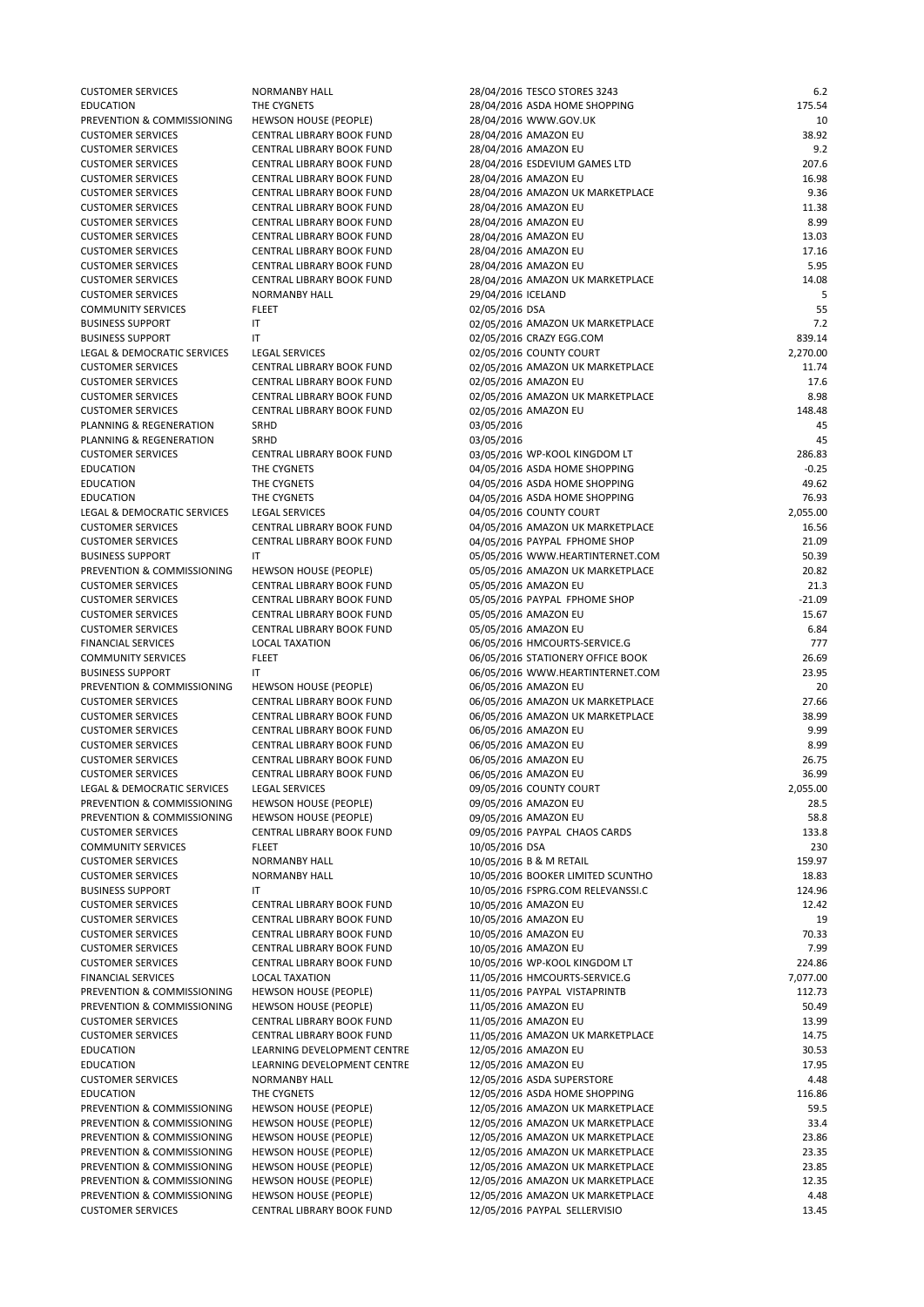| <b>CUSTOMER SERVICES</b>    | <b>NORMANBY HALL</b>             | 28/04/2016 TESCO STORES 3243      | 6.2      |
|-----------------------------|----------------------------------|-----------------------------------|----------|
| <b>EDUCATION</b>            | THE CYGNETS                      | 28/04/2016 ASDA HOME SHOPPING     | 175.54   |
| PREVENTION & COMMISSIONING  | <b>HEWSON HOUSE (PEOPLE)</b>     | 28/04/2016 WWW.GOV.UK             | 10       |
| <b>CUSTOMER SERVICES</b>    | CENTRAL LIBRARY BOOK FUND        | 28/04/2016 AMAZON EU              | 38.92    |
| <b>CUSTOMER SERVICES</b>    | <b>CENTRAL LIBRARY BOOK FUND</b> | 28/04/2016 AMAZON EU              | 9.2      |
| <b>CUSTOMER SERVICES</b>    | CENTRAL LIBRARY BOOK FUND        | 28/04/2016 ESDEVIUM GAMES LTD     | 207.6    |
| <b>CUSTOMER SERVICES</b>    | <b>CENTRAL LIBRARY BOOK FUND</b> | 28/04/2016 AMAZON EU              | 16.98    |
| <b>CUSTOMER SERVICES</b>    | <b>CENTRAL LIBRARY BOOK FUND</b> | 28/04/2016 AMAZON UK MARKETPLACE  | 9.36     |
| <b>CUSTOMER SERVICES</b>    | CENTRAL LIBRARY BOOK FUND        | 28/04/2016 AMAZON EU              | 11.38    |
| <b>CUSTOMER SERVICES</b>    | <b>CENTRAL LIBRARY BOOK FUND</b> | 28/04/2016 AMAZON EU              | 8.99     |
| <b>CUSTOMER SERVICES</b>    | <b>CENTRAL LIBRARY BOOK FUND</b> | 28/04/2016 AMAZON EU              | 13.03    |
| <b>CUSTOMER SERVICES</b>    | <b>CENTRAL LIBRARY BOOK FUND</b> | 28/04/2016 AMAZON EU              | 17.16    |
| <b>CUSTOMER SERVICES</b>    | <b>CENTRAL LIBRARY BOOK FUND</b> | 28/04/2016 AMAZON EU              | 5.95     |
| <b>CUSTOMER SERVICES</b>    | <b>CENTRAL LIBRARY BOOK FUND</b> | 28/04/2016 AMAZON UK MARKETPLACE  | 14.08    |
| <b>CUSTOMER SERVICES</b>    | <b>NORMANBY HALL</b>             | 29/04/2016 ICELAND                |          |
| <b>COMMUNITY SERVICES</b>   | <b>FLEET</b>                     | 02/05/2016 DSA                    | 55       |
| <b>BUSINESS SUPPORT</b>     | IT                               | 02/05/2016 AMAZON UK MARKETPLACE  | 7.2      |
| <b>BUSINESS SUPPORT</b>     | IT                               | 02/05/2016 CRAZY EGG.COM          | 839.14   |
| LEGAL & DEMOCRATIC SERVICES | <b>LEGAL SERVICES</b>            | 02/05/2016 COUNTY COURT           | 2,270.00 |
| <b>CUSTOMER SERVICES</b>    | <b>CENTRAL LIBRARY BOOK FUND</b> | 02/05/2016 AMAZON UK MARKETPLACE  | 11.74    |
| <b>CUSTOMER SERVICES</b>    | <b>CENTRAL LIBRARY BOOK FUND</b> | 02/05/2016 AMAZON EU              | 17.6     |
| <b>CUSTOMER SERVICES</b>    | <b>CENTRAL LIBRARY BOOK FUND</b> | 02/05/2016 AMAZON UK MARKETPLACE  | 8.98     |
| <b>CUSTOMER SERVICES</b>    | <b>CENTRAL LIBRARY BOOK FUND</b> | 02/05/2016 AMAZON EU              | 148.48   |
| PLANNING & REGENERATION     | <b>SRHD</b>                      | 03/05/2016                        | 45       |
| PLANNING & REGENERATION     | SRHD                             | 03/05/2016                        | 45       |
| <b>CUSTOMER SERVICES</b>    | <b>CENTRAL LIBRARY BOOK FUND</b> | 03/05/2016 WP-KOOL KINGDOM LT     | 286.83   |
| <b>EDUCATION</b>            | THE CYGNETS                      | 04/05/2016 ASDA HOME SHOPPING     | $-0.25$  |
| <b>EDUCATION</b>            | THE CYGNETS                      | 04/05/2016 ASDA HOME SHOPPING     | 49.62    |
| <b>EDUCATION</b>            | THE CYGNETS                      | 04/05/2016 ASDA HOME SHOPPING     | 76.93    |
| LEGAL & DEMOCRATIC SERVICES | <b>LEGAL SERVICES</b>            | 04/05/2016 COUNTY COURT           | 2,055.00 |
| <b>CUSTOMER SERVICES</b>    | <b>CENTRAL LIBRARY BOOK FUND</b> | 04/05/2016 AMAZON UK MARKETPLACE  | 16.56    |
| <b>CUSTOMER SERVICES</b>    | <b>CENTRAL LIBRARY BOOK FUND</b> | 04/05/2016 PAYPAL FPHOME SHOP     | 21.09    |
| <b>BUSINESS SUPPORT</b>     | IT                               | 05/05/2016 WWW.HEARTINTERNET.COM  | 50.39    |
| PREVENTION & COMMISSIONING  | <b>HEWSON HOUSE (PEOPLE)</b>     | 05/05/2016 AMAZON UK MARKETPLACE  | 20.82    |
| <b>CUSTOMER SERVICES</b>    | <b>CENTRAL LIBRARY BOOK FUND</b> | 05/05/2016 AMAZON EU              | 21.3     |
| <b>CUSTOMER SERVICES</b>    | <b>CENTRAL LIBRARY BOOK FUND</b> | 05/05/2016 PAYPAL FPHOME SHOP     | $-21.09$ |
| <b>CUSTOMER SERVICES</b>    | CENTRAL LIBRARY BOOK FUND        | 05/05/2016 AMAZON EU              | 15.67    |
| <b>CUSTOMER SERVICES</b>    | CENTRAL LIBRARY BOOK FUND        | 05/05/2016 AMAZON EU              | 6.84     |
| <b>FINANCIAL SERVICES</b>   | <b>LOCAL TAXATION</b>            | 06/05/2016 HMCOURTS-SERVICE.G     | 777      |
| <b>COMMUNITY SERVICES</b>   | <b>FLEET</b>                     | 06/05/2016 STATIONERY OFFICE BOOK | 26.69    |
| <b>BUSINESS SUPPORT</b>     | IT                               | 06/05/2016 WWW.HEARTINTERNET.COM  | 23.95    |
| PREVENTION & COMMISSIONING  | <b>HEWSON HOUSE (PEOPLE)</b>     | 06/05/2016 AMAZON EU              | 20       |
| <b>CUSTOMER SERVICES</b>    | CENTRAL LIBRARY BOOK FUND        | 06/05/2016 AMAZON UK MARKETPLACE  | 27.66    |
| <b>CUSTOMER SERVICES</b>    | <b>CENTRAL LIBRARY BOOK FUND</b> | 06/05/2016 AMAZON UK MARKETPLACE  | 38.99    |
| <b>CUSTOMER SERVICES</b>    | <b>CENTRAL LIBRARY BOOK FUND</b> | 06/05/2016 AMAZON EU              | 9.99     |
| <b>CUSTOMER SERVICES</b>    | <b>CENTRAL LIBRARY BOOK FUND</b> | 06/05/2016 AMAZON EU              | 8.99     |
| <b>CUSTOMER SERVICES</b>    | CENTRAL LIBRARY BOOK FUND        | 06/05/2016 AMAZON EU              | 26.75    |
| <b>CUSTOMER SERVICES</b>    | <b>CENTRAL LIBRARY BOOK FUND</b> | 06/05/2016 AMAZON EU              | 36.99    |
| LEGAL & DEMOCRATIC SERVICES | <b>LEGAL SERVICES</b>            | 09/05/2016 COUNTY COURT           | 2,055.00 |
| PREVENTION & COMMISSIONING  | <b>HEWSON HOUSE (PEOPLE)</b>     | 09/05/2016 AMAZON EU              | 28.5     |
| PREVENTION & COMMISSIONING  | <b>HEWSON HOUSE (PEOPLE)</b>     | 09/05/2016 AMAZON EU              | 58.8     |
| <b>CUSTOMER SERVICES</b>    | CENTRAL LIBRARY BOOK FUND        | 09/05/2016 PAYPAL CHAOS CARDS     | 133.8    |
| <b>COMMUNITY SERVICES</b>   | <b>FLEET</b>                     | 10/05/2016 DSA                    | 230      |
| <b>CUSTOMER SERVICES</b>    | <b>NORMANBY HALL</b>             | 10/05/2016 B & M RETAIL           | 159.97   |
| <b>CUSTOMER SERVICES</b>    | <b>NORMANBY HALL</b>             | 10/05/2016 BOOKER LIMITED SCUNTHO | 18.83    |
| <b>BUSINESS SUPPORT</b>     | IT                               | 10/05/2016 FSPRG.COM RELEVANSSI.C | 124.96   |
| <b>CUSTOMER SERVICES</b>    | CENTRAL LIBRARY BOOK FUND        | 10/05/2016 AMAZON EU              | 12.42    |

| <b>CUSTOMER SERVICES</b>   | CENTRAL LIBRARY BOOK FUND        | 10/05/2016 AMAZON EU             | 19       |
|----------------------------|----------------------------------|----------------------------------|----------|
| <b>CUSTOMER SERVICES</b>   | <b>CENTRAL LIBRARY BOOK FUND</b> | 10/05/2016 AMAZON EU             | 70.33    |
| <b>CUSTOMER SERVICES</b>   | <b>CENTRAL LIBRARY BOOK FUND</b> | 10/05/2016 AMAZON EU             | 7.99     |
| <b>CUSTOMER SERVICES</b>   | CENTRAL LIBRARY BOOK FUND        | 10/05/2016 WP-KOOL KINGDOM LT    | 224.86   |
| <b>FINANCIAL SERVICES</b>  | <b>LOCAL TAXATION</b>            | 11/05/2016 HMCOURTS-SERVICE.G    | 7,077.00 |
| PREVENTION & COMMISSIONING | <b>HEWSON HOUSE (PEOPLE)</b>     | 11/05/2016 PAYPAL VISTAPRINTB    | 112.73   |
| PREVENTION & COMMISSIONING | <b>HEWSON HOUSE (PEOPLE)</b>     | 11/05/2016 AMAZON EU             | 50.49    |
| <b>CUSTOMER SERVICES</b>   | CENTRAL LIBRARY BOOK FUND        | 11/05/2016 AMAZON EU             | 13.99    |
| <b>CUSTOMER SERVICES</b>   | CENTRAL LIBRARY BOOK FUND        | 11/05/2016 AMAZON UK MARKETPLACE | 14.75    |
| <b>EDUCATION</b>           | LEARNING DEVELOPMENT CENTRE      | 12/05/2016 AMAZON EU             | 30.53    |
| <b>EDUCATION</b>           | LEARNING DEVELOPMENT CENTRE      | 12/05/2016 AMAZON EU             | 17.95    |
| <b>CUSTOMER SERVICES</b>   | <b>NORMANBY HALL</b>             | 12/05/2016 ASDA SUPERSTORE       | 4.48     |
| <b>EDUCATION</b>           | THE CYGNETS                      | 12/05/2016 ASDA HOME SHOPPING    | 116.86   |
| PREVENTION & COMMISSIONING | <b>HEWSON HOUSE (PEOPLE)</b>     | 12/05/2016 AMAZON UK MARKETPLACE | 59.5     |
| PREVENTION & COMMISSIONING | <b>HEWSON HOUSE (PEOPLE)</b>     | 12/05/2016 AMAZON UK MARKETPLACE | 33.4     |
| PREVENTION & COMMISSIONING | <b>HEWSON HOUSE (PEOPLE)</b>     | 12/05/2016 AMAZON UK MARKETPLACE | 23.86    |
| PREVENTION & COMMISSIONING | <b>HEWSON HOUSE (PEOPLE)</b>     | 12/05/2016 AMAZON UK MARKETPLACE | 23.35    |
| PREVENTION & COMMISSIONING | <b>HEWSON HOUSE (PEOPLE)</b>     | 12/05/2016 AMAZON UK MARKETPLACE | 23.85    |
| PREVENTION & COMMISSIONING | <b>HEWSON HOUSE (PEOPLE)</b>     | 12/05/2016 AMAZON UK MARKETPLACE | 12.35    |
| PREVENTION & COMMISSIONING | <b>HEWSON HOUSE (PEOPLE)</b>     | 12/05/2016 AMAZON UK MARKETPLACE | 4.48     |
| <b>CUSTOMER SERVICES</b>   | CENTRAL LIBRARY BOOK FUND        | 12/05/2016 PAYPAL SELLERVISIO    | 13.45    |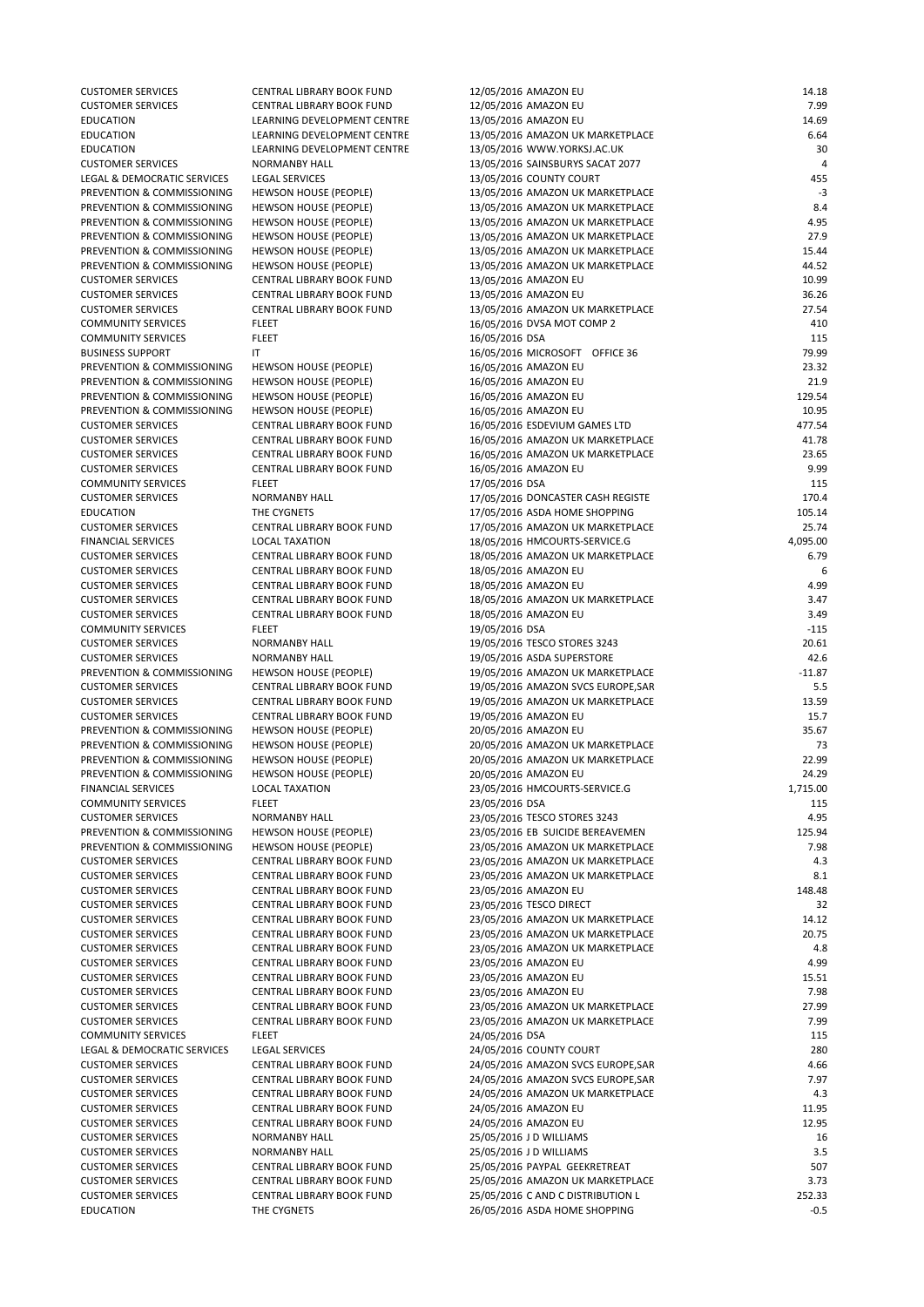CUSTOMER SERVICES CENTRAL LIBRARY BOOK FUND 12/05/2016 AMAZON EU 14.18 CUSTOMER SERVICES CENTRAL LIBRARY BOOK FUND 12/05/2016 AMAZON EU 7.99 EDUCATION LEARNING DEVELOPMENT CENTRE 13/05/2016 AMAZON EU 14.69 EDUCATION LEARNING DEVELOPMENT CENTRE 13/05/2016 AMAZON UK MARKETPLACE 6.64 EDUCATION LEARNING DEVELOPMENT CENTRE 13/05/2016 WWW.YORKSJ.AC.UK 30 CUSTOMER SERVICES NORMANBY HALL 13/05/2016 SAINSBURYS SACAT 2077 4 LEGAL & DEMOCRATIC SERVICES LEGAL SERVICES 13/05/2016 COUNTY COURT 455 PREVENTION & COMMISSIONING HEWSON HOUSE (PEOPLE) 13/05/2016 AMAZON UK MARKETPLACE -3 PREVENTION & COMMISSIONING HEWSON HOUSE (PEOPLE) 13/05/2016 AMAZON UK MARKETPLACE 3.4 PREVENTION & COMMISSIONING HEWSON HOUSE (PEOPLE) 13/05/2016 AMAZON UK MARKETPLACE 4.95 PREVENTION & COMMISSIONING HEWSON HOUSE (PEOPLE) 13/05/2016 AMAZON UK MARKETPLACE 27.9 PREVENTION & COMMISSIONING HEWSON HOUSE (PEOPLE) 13/05/2016 AMAZON UK MARKETPLACE 15.44 PREVENTION & COMMISSIONING HEWSON HOUSE (PEOPLE) 13/05/2016 AMAZON UK MARKETPLACE 44.52 CUSTOMER SERVICES CENTRAL LIBRARY BOOK FUND 13/05/2016 AMAZON EU 10.99 CUSTOMER SERVICES CENTRAL LIBRARY BOOK FUND 13/05/2016 AMAZON EU 36.26 CUSTOMER SERVICES CENTRAL LIBRARY BOOK FUND 13/05/2016 AMAZON UK MARKETPLACE 27.54 COMMUNITY SERVICES FLEET FLEET THE SERVICES FLEET THE SERVICE SERVICES AND TOMP 2 THE SERVICES THE SERVICE SERVICE SERVICE SERVICE SERVICE SERVICE SERVICE SERVICE SERVICE SERVICE SERVICE SERVICE SERVICE SERVICE SERVICE SER COMMUNITY SERVICES FLEET FLEET 16/05/2016 DSA 16/05/2016 ASSESSED 115 BUSINESS SUPPORT THE RELEASE OF THE RELEASE OF THE RELEASE OF THE RELEASE OF THE RELEASE OF THE RELEASE OF THE RELEASE OF THE RELEASE OF THE RELEASE OF THE RELEASE OF THE RELEASE OF THE RELEASE OF THE RELEASE OF THE RELEAS PREVENTION & COMMISSIONING HEWSON HOUSE (PEOPLE) 16/05/2016 AMAZON EU 23.32 PREVENTION & COMMISSIONING HEWSON HOUSE (PEOPLE) 16/05/2016 AMAZON EU 21.9 PREVENTION & COMMISSIONING HEWSON HOUSE (PEOPLE) 16/05/2016 AMAZON EU 129.54 PREVENTION & COMMISSIONING HEWSON HOUSE (PEOPLE) 16/05/2016 AMAZON EU 10.95 CUSTOMER SERVICES CENTRAL LIBRARY BOOK FUND 16/05/2016 ESDEVIUM GAMES LTD 477.54 CUSTOMER SERVICES CENTRAL LIBRARY BOOK FUND 16/05/2016 AMAZON UK MARKETPLACE 41.78 CUSTOMER SERVICES CENTRAL LIBRARY BOOK FUND 16/05/2016 AMAZON UK MARKETPLACE 23.65 CUSTOMER SERVICES CENTRAL LIBRARY BOOK FUND 16/05/2016 AMAZON EU 9.99 COMMUNITY SERVICES FLEET FLEET 17/05/2016 DSA 115 CUSTOMER SERVICES NORMANBY HALL 17/05/2016 DONCASTER CASH REGISTE 170.4 EDUCATION THE CYGNETS THE CYGNETS THE CYGNETS THE CONSERVATION THE CONSERVATION THE CONSERVATION THE CONSERVATION CUSTOMER SERVICES CENTRAL LIBRARY BOOK FUND 17/05/2016 AMAZON UK MARKETPLACE 25.74 FINANCIAL SERVICES LOCAL TAXATION 18/05/2016 HMCOURTS-SERVICE.G 4,095.00 CUSTOMER SERVICES CENTRAL LIBRARY BOOK FUND 18/05/2016 AMAZON UK MARKETPLACE 6.79 CUSTOMER SERVICES CENTRAL LIBRARY BOOK FUND 18/05/2016 AMAZON EU 6 CUSTOMER SERVICES CENTRAL LIBRARY BOOK FUND 18/05/2016 AMAZON EU 4.99 CUSTOMER SERVICES CENTRAL LIBRARY BOOK FUND 18/05/2016 AMAZON UK MARKETPLACE 3.47 CUSTOMER SERVICES CENTRAL LIBRARY BOOK FUND 18/05/2016 AMAZON EU 3.49 COMMUNITY SERVICES FLEET FLEET 19/05/2016 DSA 19/05/2016 ASSESSED 19/05/2016 DSA CUSTOMER SERVICES NORMANBY HALL 19/05/2016 TESCO STORES 3243 20.61 CUSTOMER SERVICES NORMANBY HALL 19/05/2016 ASDA SUPERSTORE 42.6 PREVENTION & COMMISSIONING HEWSON HOUSE (PEOPLE) 19/05/2016 AMAZON UK MARKETPLACE -11.87 CUSTOMER SERVICES CENTRAL LIBRARY BOOK FUND 19/05/2016 AMAZON SVCS EUROPE,SAR 5.5 CUSTOMER SERVICES CENTRAL LIBRARY BOOK FUND 19/05/2016 AMAZON UK MARKETPLACE 13.59 CUSTOMER SERVICES CENTRAL LIBRARY BOOK FUND 19/05/2016 AMAZON EU 15.7 PREVENTION & COMMISSIONING HEWSON HOUSE (PEOPLE) 20/05/2016 AMAZON EU 35.67 PREVENTION & COMMISSIONING HEWSON HOUSE (PEOPLE) 20/05/2016 AMAZON UK MARKETPLACE PREVENTION & COMMISSIONING HEWSON HOUSE (PEOPLE) 20/05/2016 AMAZON UK MARKETPLACE 22.99 PREVENTION & COMMISSIONING HEWSON HOUSE (PEOPLE) 20/05/2016 AMAZON EU 24.29 FINANCIAL SERVICES LOCAL TAXATION 23/05/2016 HMCOURTS-SERVICE.G 1,715.00 COMMUNITY SERVICES FLEET 23/05/2016 DSA 115 CUSTOMER SERVICES NORMANBY HALL 23/05/2016 TESCO STORES 3243 4.95 PREVENTION & COMMISSIONING HEWSON HOUSE (PEOPLE) 23/05/2016 EB SUICIDE BEREAVEMEN 125.94 PREVENTION & COMMISSIONING HEWSON HOUSE (PEOPLE) 23/05/2016 AMAZON UK MARKETPLACE 7.98 CUSTOMER SERVICES CENTRAL LIBRARY BOOK FUND 23/05/2016 AMAZON UK MARKETPLACE 4.3 CUSTOMER SERVICES CENTRAL LIBRARY BOOK FUND 23/05/2016 AMAZON UK MARKETPLACE 8.1 CUSTOMER SERVICES CENTRAL LIBRARY BOOK FUND 23/05/2016 AMAZON EU 148.48 CUSTOMER SERVICES CENTRAL LIBRARY BOOK FUND 23/05/2016 TESCO DIRECT 32

|                             |                                  | 23, 03, 2010 . 2000 BINEOI         |        |
|-----------------------------|----------------------------------|------------------------------------|--------|
| <b>CUSTOMER SERVICES</b>    | <b>CENTRAL LIBRARY BOOK FUND</b> | 23/05/2016 AMAZON UK MARKETPLACE   | 14.12  |
| <b>CUSTOMER SERVICES</b>    | <b>CENTRAL LIBRARY BOOK FUND</b> | 23/05/2016 AMAZON UK MARKETPLACE   | 20.75  |
| <b>CUSTOMER SERVICES</b>    | <b>CENTRAL LIBRARY BOOK FUND</b> | 23/05/2016 AMAZON UK MARKETPLACE   | 4.8    |
| <b>CUSTOMER SERVICES</b>    | CENTRAL LIBRARY BOOK FUND        | 23/05/2016 AMAZON EU               | 4.99   |
| <b>CUSTOMER SERVICES</b>    | CENTRAL LIBRARY BOOK FUND        | 23/05/2016 AMAZON EU               | 15.51  |
| <b>CUSTOMER SERVICES</b>    | CENTRAL LIBRARY BOOK FUND        | 23/05/2016 AMAZON EU               | 7.98   |
| <b>CUSTOMER SERVICES</b>    | <b>CENTRAL LIBRARY BOOK FUND</b> | 23/05/2016 AMAZON UK MARKETPLACE   | 27.99  |
| <b>CUSTOMER SERVICES</b>    | CENTRAL LIBRARY BOOK FUND        | 23/05/2016 AMAZON UK MARKETPLACE   | 7.99   |
| <b>COMMUNITY SERVICES</b>   | <b>FLEET</b>                     | 24/05/2016 DSA                     | 115    |
| LEGAL & DEMOCRATIC SERVICES | <b>LEGAL SERVICES</b>            | 24/05/2016 COUNTY COURT            | 280    |
| <b>CUSTOMER SERVICES</b>    | <b>CENTRAL LIBRARY BOOK FUND</b> | 24/05/2016 AMAZON SVCS EUROPE, SAR | 4.66   |
| <b>CUSTOMER SERVICES</b>    | <b>CENTRAL LIBRARY BOOK FUND</b> | 24/05/2016 AMAZON SVCS EUROPE, SAR | 7.97   |
| <b>CUSTOMER SERVICES</b>    | <b>CENTRAL LIBRARY BOOK FUND</b> | 24/05/2016 AMAZON UK MARKETPLACE   | 4.3    |
| <b>CUSTOMER SERVICES</b>    | <b>CENTRAL LIBRARY BOOK FUND</b> | 24/05/2016 AMAZON EU               | 11.95  |
| <b>CUSTOMER SERVICES</b>    | <b>CENTRAL LIBRARY BOOK FUND</b> | 24/05/2016 AMAZON EU               | 12.95  |
| <b>CUSTOMER SERVICES</b>    | <b>NORMANBY HALL</b>             | 25/05/2016 J D WILLIAMS            | 16     |
| <b>CUSTOMER SERVICES</b>    | <b>NORMANBY HALL</b>             | 25/05/2016 J D WILLIAMS            | 3.5    |
| <b>CUSTOMER SERVICES</b>    | <b>CENTRAL LIBRARY BOOK FUND</b> | 25/05/2016 PAYPAL GEEKRETREAT      | 507    |
| <b>CUSTOMER SERVICES</b>    | CENTRAL LIBRARY BOOK FUND        | 25/05/2016 AMAZON UK MARKETPLACE   | 3.73   |
| <b>CUSTOMER SERVICES</b>    | <b>CENTRAL LIBRARY BOOK FUND</b> | 25/05/2016 C AND C DISTRIBUTION L  | 252.33 |
| <b>EDUCATION</b>            | THE CYGNETS                      | 26/05/2016 ASDA HOME SHOPPING      | $-0.5$ |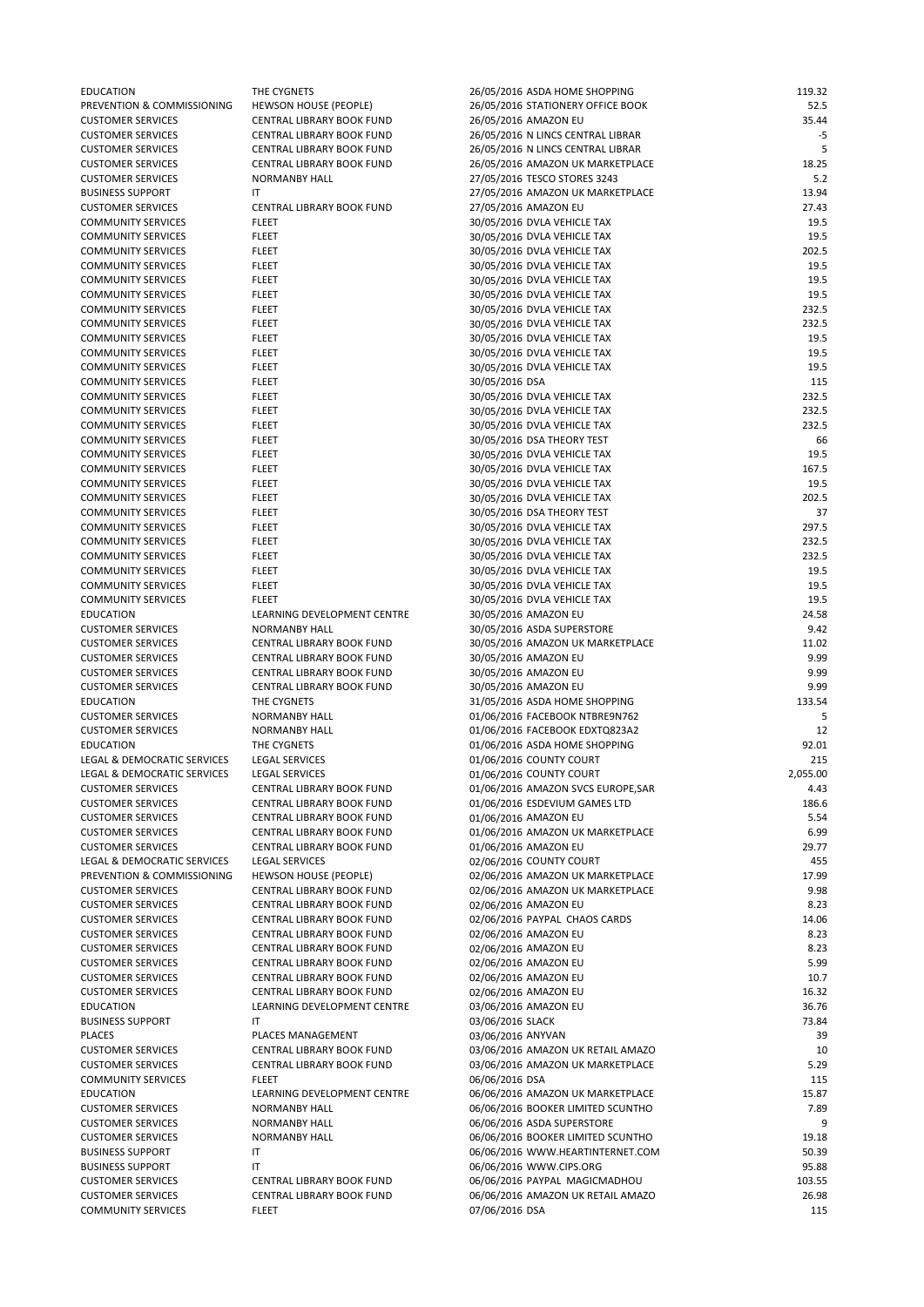| <b>EDUCATION</b>            | THE CYGNETS                      | 26/05/2016 ASDA HOME SHOPPING      | 119.32   |
|-----------------------------|----------------------------------|------------------------------------|----------|
| PREVENTION & COMMISSIONING  | <b>HEWSON HOUSE (PEOPLE)</b>     | 26/05/2016 STATIONERY OFFICE BOOK  | 52.5     |
| <b>CUSTOMER SERVICES</b>    | <b>CENTRAL LIBRARY BOOK FUND</b> | 26/05/2016 AMAZON EU               | 35.44    |
| <b>CUSTOMER SERVICES</b>    | CENTRAL LIBRARY BOOK FUND        | 26/05/2016 N LINCS CENTRAL LIBRAR  | -5       |
| <b>CUSTOMER SERVICES</b>    | <b>CENTRAL LIBRARY BOOK FUND</b> | 26/05/2016 N LINCS CENTRAL LIBRAR  | 5        |
| <b>CUSTOMER SERVICES</b>    | CENTRAL LIBRARY BOOK FUND        | 26/05/2016 AMAZON UK MARKETPLACE   | 18.25    |
| <b>CUSTOMER SERVICES</b>    | <b>NORMANBY HALL</b>             | 27/05/2016 TESCO STORES 3243       | 5.2      |
| <b>BUSINESS SUPPORT</b>     | $\mathsf{I}\mathsf{T}$           | 27/05/2016 AMAZON UK MARKETPLACE   | 13.94    |
| <b>CUSTOMER SERVICES</b>    | <b>CENTRAL LIBRARY BOOK FUND</b> | 27/05/2016 AMAZON EU               | 27.43    |
| <b>COMMUNITY SERVICES</b>   | <b>FLEET</b>                     | 30/05/2016 DVLA VEHICLE TAX        | 19.5     |
| <b>COMMUNITY SERVICES</b>   | <b>FLEET</b>                     | 30/05/2016 DVLA VEHICLE TAX        | 19.5     |
| <b>COMMUNITY SERVICES</b>   | <b>FLEET</b>                     | 30/05/2016 DVLA VEHICLE TAX        | 202.5    |
| <b>COMMUNITY SERVICES</b>   | <b>FLEET</b>                     | 30/05/2016 DVLA VEHICLE TAX        | 19.5     |
| <b>COMMUNITY SERVICES</b>   | <b>FLEET</b>                     | 30/05/2016 DVLA VEHICLE TAX        | 19.5     |
| <b>COMMUNITY SERVICES</b>   | <b>FLEET</b>                     | 30/05/2016 DVLA VEHICLE TAX        | 19.5     |
| <b>COMMUNITY SERVICES</b>   | <b>FLEET</b>                     | 30/05/2016 DVLA VEHICLE TAX        | 232.5    |
| <b>COMMUNITY SERVICES</b>   | <b>FLEET</b>                     | 30/05/2016 DVLA VEHICLE TAX        | 232.5    |
| <b>COMMUNITY SERVICES</b>   | <b>FLEET</b>                     | 30/05/2016 DVLA VEHICLE TAX        | 19.5     |
| <b>COMMUNITY SERVICES</b>   | <b>FLEET</b>                     | 30/05/2016 DVLA VEHICLE TAX        | 19.5     |
| <b>COMMUNITY SERVICES</b>   | <b>FLEET</b>                     | 30/05/2016 DVLA VEHICLE TAX        | 19.5     |
| <b>COMMUNITY SERVICES</b>   | <b>FLEET</b>                     | 30/05/2016 DSA                     | 115      |
| <b>COMMUNITY SERVICES</b>   | <b>FLEET</b>                     | 30/05/2016 DVLA VEHICLE TAX        | 232.5    |
| <b>COMMUNITY SERVICES</b>   | <b>FLEET</b>                     | 30/05/2016 DVLA VEHICLE TAX        | 232.5    |
| <b>COMMUNITY SERVICES</b>   | <b>FLEET</b>                     | 30/05/2016 DVLA VEHICLE TAX        | 232.5    |
| <b>COMMUNITY SERVICES</b>   | <b>FLEET</b>                     | 30/05/2016 DSA THEORY TEST         | 66       |
| <b>COMMUNITY SERVICES</b>   | <b>FLEET</b>                     | 30/05/2016 DVLA VEHICLE TAX        | 19.5     |
| <b>COMMUNITY SERVICES</b>   | <b>FLEET</b>                     | 30/05/2016 DVLA VEHICLE TAX        | 167.5    |
| <b>COMMUNITY SERVICES</b>   | <b>FLEET</b>                     | 30/05/2016 DVLA VEHICLE TAX        | 19.5     |
| <b>COMMUNITY SERVICES</b>   | <b>FLEET</b>                     | 30/05/2016 DVLA VEHICLE TAX        | 202.5    |
| <b>COMMUNITY SERVICES</b>   | <b>FLEET</b>                     | 30/05/2016 DSA THEORY TEST         | 37       |
| <b>COMMUNITY SERVICES</b>   | <b>FLEET</b>                     | 30/05/2016 DVLA VEHICLE TAX        | 297.5    |
| <b>COMMUNITY SERVICES</b>   | <b>FLEET</b>                     | 30/05/2016 DVLA VEHICLE TAX        | 232.5    |
| <b>COMMUNITY SERVICES</b>   | <b>FLEET</b>                     | 30/05/2016 DVLA VEHICLE TAX        | 232.5    |
| <b>COMMUNITY SERVICES</b>   | <b>FLEET</b>                     | 30/05/2016 DVLA VEHICLE TAX        | 19.5     |
| <b>COMMUNITY SERVICES</b>   | <b>FLEET</b>                     | 30/05/2016 DVLA VEHICLE TAX        | 19.5     |
| <b>COMMUNITY SERVICES</b>   | <b>FLEET</b>                     | 30/05/2016 DVLA VEHICLE TAX        | 19.5     |
| <b>EDUCATION</b>            | LEARNING DEVELOPMENT CENTRE      | 30/05/2016 AMAZON EU               | 24.58    |
| <b>CUSTOMER SERVICES</b>    | <b>NORMANBY HALL</b>             | 30/05/2016 ASDA SUPERSTORE         | 9.42     |
| <b>CUSTOMER SERVICES</b>    | CENTRAL LIBRARY BOOK FUND        | 30/05/2016 AMAZON UK MARKETPLACE   | 11.02    |
| <b>CUSTOMER SERVICES</b>    | CENTRAL LIBRARY BOOK FUND        | 30/05/2016 AMAZON EU               | 9.99     |
| <b>CUSTOMER SERVICES</b>    | CENTRAL LIBRARY BOOK FUND        | 30/05/2016 AMAZON EU               | 9.99     |
| <b>CUSTOMER SERVICES</b>    | CENTRAL LIBRARY BOOK FUND        | 30/05/2016 AMAZON EU               | 9.99     |
| <b>EDUCATION</b>            | THE CYGNETS                      | 31/05/2016 ASDA HOME SHOPPING      | 133.54   |
| <b>CUSTOMER SERVICES</b>    | <b>NORMANBY HALL</b>             | 01/06/2016 FACEBOOK NTBRE9N762     |          |
| <b>CUSTOMER SERVICES</b>    | <b>NORMANBY HALL</b>             | 01/06/2016 FACEBOOK EDXTQ823A2     | 12       |
| <b>EDUCATION</b>            | THE CYGNETS                      | 01/06/2016 ASDA HOME SHOPPING      | 92.01    |
| LEGAL & DEMOCRATIC SERVICES | <b>LEGAL SERVICES</b>            | 01/06/2016 COUNTY COURT            | 215      |
| LEGAL & DEMOCRATIC SERVICES | <b>LEGAL SERVICES</b>            | 01/06/2016 COUNTY COURT            | 2,055.00 |
| <b>CUSTOMER SERVICES</b>    | CENTRAL LIBRARY BOOK FUND        | 01/06/2016 AMAZON SVCS EUROPE, SAR | 4.43     |
| <b>CUSTOMER SERVICES</b>    | CENTRAL LIBRARY BOOK FUND        | 01/06/2016 ESDEVIUM GAMES LTD      | 186.6    |
| <b>CUSTOMER SERVICES</b>    | CENTRAL LIBRARY BOOK FUND        | 01/06/2016 AMAZON EU               | 5.54     |
| <b>CUSTOMER SERVICES</b>    | CENTRAL LIBRARY BOOK FUND        | 01/06/2016 AMAZON UK MARKETPLACE   | 6.99     |
| <b>CUSTOMER SERVICES</b>    | CENTRAL LIBRARY BOOK FUND        | 01/06/2016 AMAZON EU               | 29.77    |
| LEGAL & DEMOCRATIC SERVICES | <b>LEGAL SERVICES</b>            | 02/06/2016 COUNTY COURT            | 455      |
| PREVENTION & COMMISSIONING  | <b>HEWSON HOUSE (PEOPLE)</b>     | 02/06/2016 AMAZON UK MARKETPLACE   | 17.99    |
| <b>CUSTOMER SERVICES</b>    | <b>CENTRAL LIBRARY BOOK FUND</b> | 02/06/2016 AMAZON UK MARKETPLACE   | 9.98     |
| <b>CUSTOMER SERVICES</b>    | CENTRAL LIBRARY BOOK FUND        | 02/06/2016 AMAZON EU               | 8.23     |

|                           |                                  | 02, 00, 2010 ,  (2011 EU          |        |
|---------------------------|----------------------------------|-----------------------------------|--------|
| <b>CUSTOMER SERVICES</b>  | CENTRAL LIBRARY BOOK FUND        | 02/06/2016 PAYPAL CHAOS CARDS     | 14.06  |
| <b>CUSTOMER SERVICES</b>  | CENTRAL LIBRARY BOOK FUND        | 02/06/2016 AMAZON EU              | 8.23   |
| <b>CUSTOMER SERVICES</b>  | <b>CENTRAL LIBRARY BOOK FUND</b> | 02/06/2016 AMAZON EU              | 8.23   |
| <b>CUSTOMER SERVICES</b>  | CENTRAL LIBRARY BOOK FUND        | 02/06/2016 AMAZON EU              | 5.99   |
| <b>CUSTOMER SERVICES</b>  | CENTRAL LIBRARY BOOK FUND        | 02/06/2016 AMAZON EU              | 10.7   |
| <b>CUSTOMER SERVICES</b>  | <b>CENTRAL LIBRARY BOOK FUND</b> | 02/06/2016 AMAZON EU              | 16.32  |
| <b>EDUCATION</b>          | LEARNING DEVELOPMENT CENTRE      | 03/06/2016 AMAZON EU              | 36.76  |
| <b>BUSINESS SUPPORT</b>   | IT                               | 03/06/2016 SLACK                  | 73.84  |
| <b>PLACES</b>             | PLACES MANAGEMENT                | 03/06/2016 ANYVAN                 | 39     |
| <b>CUSTOMER SERVICES</b>  | <b>CENTRAL LIBRARY BOOK FUND</b> | 03/06/2016 AMAZON UK RETAIL AMAZO | 10     |
| <b>CUSTOMER SERVICES</b>  | <b>CENTRAL LIBRARY BOOK FUND</b> | 03/06/2016 AMAZON UK MARKETPLACE  | 5.29   |
| <b>COMMUNITY SERVICES</b> | <b>FLEET</b>                     | 06/06/2016 DSA                    | 115    |
| <b>EDUCATION</b>          | LEARNING DEVELOPMENT CENTRE      | 06/06/2016 AMAZON UK MARKETPLACE  | 15.87  |
| <b>CUSTOMER SERVICES</b>  | <b>NORMANBY HALL</b>             | 06/06/2016 BOOKER LIMITED SCUNTHO | 7.89   |
| <b>CUSTOMER SERVICES</b>  | <b>NORMANBY HALL</b>             | 06/06/2016 ASDA SUPERSTORE        | 9      |
| <b>CUSTOMER SERVICES</b>  | <b>NORMANBY HALL</b>             | 06/06/2016 BOOKER LIMITED SCUNTHO | 19.18  |
| <b>BUSINESS SUPPORT</b>   | ΙT                               | 06/06/2016 WWW.HEARTINTERNET.COM  | 50.39  |
| <b>BUSINESS SUPPORT</b>   | IT                               | 06/06/2016 WWW.CIPS.ORG           | 95.88  |
| <b>CUSTOMER SERVICES</b>  | CENTRAL LIBRARY BOOK FUND        | 06/06/2016 PAYPAL MAGICMADHOU     | 103.55 |
| <b>CUSTOMER SERVICES</b>  | CENTRAL LIBRARY BOOK FUND        | 06/06/2016 AMAZON UK RETAIL AMAZO | 26.98  |
| <b>COMMUNITY SERVICES</b> | <b>FLEET</b>                     | 07/06/2016 DSA                    | 115    |
|                           |                                  |                                   |        |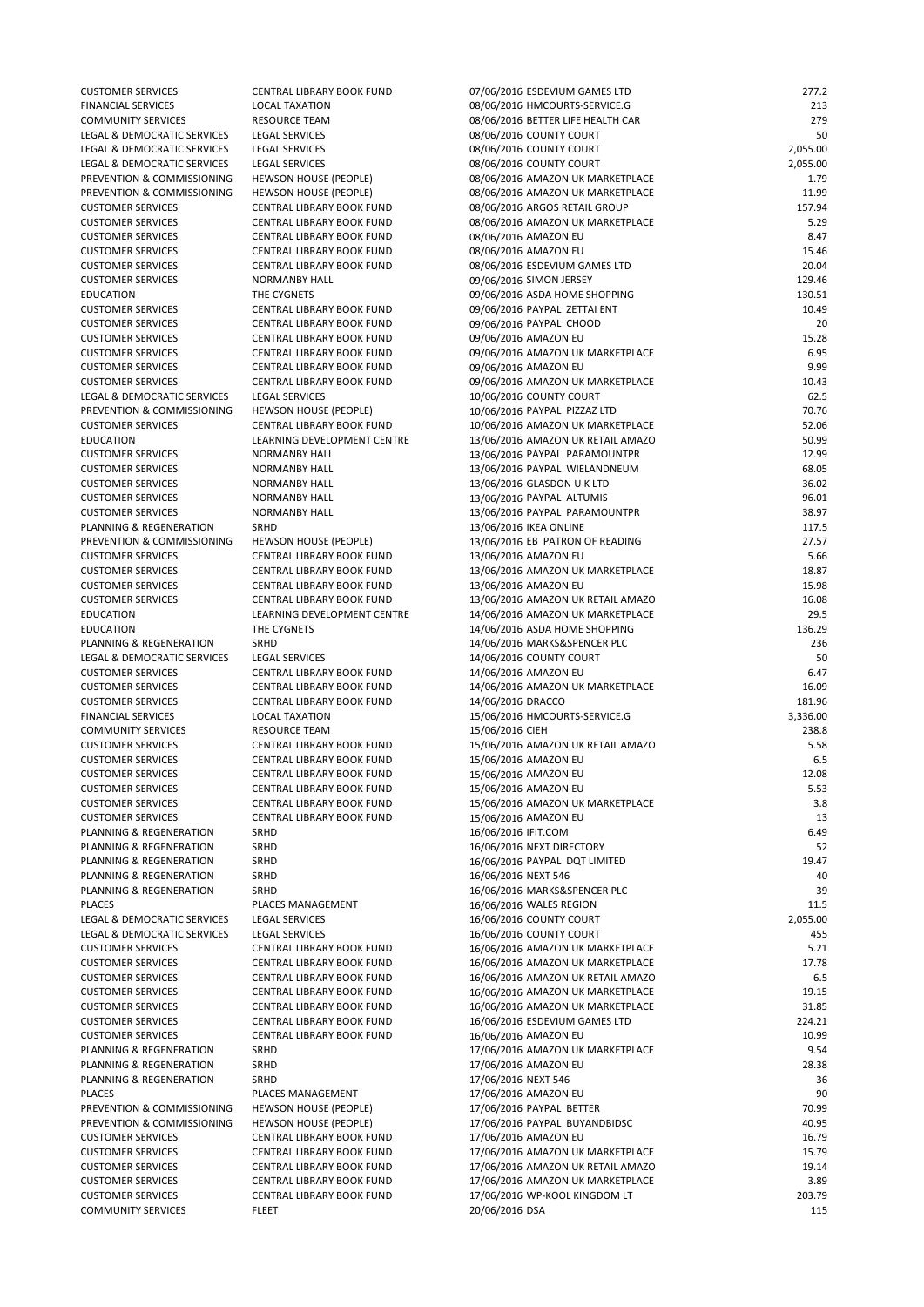| <b>CUSTOMER SERVICES</b>    | CENTRAL LIBRARY BOOK FUND        | 07/06/2016 ESDEVIUM GAMES LTD     | 277.2    |
|-----------------------------|----------------------------------|-----------------------------------|----------|
| <b>FINANCIAL SERVICES</b>   | <b>LOCAL TAXATION</b>            | 08/06/2016 HMCOURTS-SERVICE.G     | 213      |
| <b>COMMUNITY SERVICES</b>   | <b>RESOURCE TEAM</b>             | 08/06/2016 BETTER LIFE HEALTH CAR | 279      |
| LEGAL & DEMOCRATIC SERVICES | <b>LEGAL SERVICES</b>            | 08/06/2016 COUNTY COURT           | 50       |
| LEGAL & DEMOCRATIC SERVICES | <b>LEGAL SERVICES</b>            | 08/06/2016 COUNTY COURT           | 2,055.00 |
| LEGAL & DEMOCRATIC SERVICES | <b>LEGAL SERVICES</b>            | 08/06/2016 COUNTY COURT           | 2,055.00 |
| PREVENTION & COMMISSIONING  | <b>HEWSON HOUSE (PEOPLE)</b>     | 08/06/2016 AMAZON UK MARKETPLACE  | 1.79     |
| PREVENTION & COMMISSIONING  | <b>HEWSON HOUSE (PEOPLE)</b>     | 08/06/2016 AMAZON UK MARKETPLACE  | 11.99    |
| <b>CUSTOMER SERVICES</b>    | CENTRAL LIBRARY BOOK FUND        | 08/06/2016 ARGOS RETAIL GROUP     | 157.94   |
| <b>CUSTOMER SERVICES</b>    | <b>CENTRAL LIBRARY BOOK FUND</b> | 08/06/2016 AMAZON UK MARKETPLACE  | 5.29     |
| <b>CUSTOMER SERVICES</b>    | CENTRAL LIBRARY BOOK FUND        | 08/06/2016 AMAZON EU              | 8.47     |
| <b>CUSTOMER SERVICES</b>    | CENTRAL LIBRARY BOOK FUND        | 08/06/2016 AMAZON EU              | 15.46    |
| <b>CUSTOMER SERVICES</b>    | CENTRAL LIBRARY BOOK FUND        | 08/06/2016 ESDEVIUM GAMES LTD     | 20.04    |
| <b>CUSTOMER SERVICES</b>    | <b>NORMANBY HALL</b>             | 09/06/2016 SIMON JERSEY           | 129.46   |
| <b>EDUCATION</b>            | THE CYGNETS                      | 09/06/2016 ASDA HOME SHOPPING     | 130.51   |
| <b>CUSTOMER SERVICES</b>    | CENTRAL LIBRARY BOOK FUND        | 09/06/2016 PAYPAL ZETTAI ENT      | 10.49    |
| <b>CUSTOMER SERVICES</b>    | CENTRAL LIBRARY BOOK FUND        | 09/06/2016 PAYPAL CHOOD           | 20       |
| <b>CUSTOMER SERVICES</b>    | CENTRAL LIBRARY BOOK FUND        | 09/06/2016 AMAZON EU              | 15.28    |
| <b>CUSTOMER SERVICES</b>    | CENTRAL LIBRARY BOOK FUND        | 09/06/2016 AMAZON UK MARKETPLACE  | 6.95     |
| <b>CUSTOMER SERVICES</b>    | CENTRAL LIBRARY BOOK FUND        | 09/06/2016 AMAZON EU              | 9.99     |
| <b>CUSTOMER SERVICES</b>    | CENTRAL LIBRARY BOOK FUND        | 09/06/2016 AMAZON UK MARKETPLACE  | 10.43    |
| LEGAL & DEMOCRATIC SERVICES | <b>LEGAL SERVICES</b>            | 10/06/2016 COUNTY COURT           | 62.5     |
| PREVENTION & COMMISSIONING  | <b>HEWSON HOUSE (PEOPLE)</b>     | 10/06/2016 PAYPAL PIZZAZ LTD      | 70.76    |
| <b>CUSTOMER SERVICES</b>    | <b>CENTRAL LIBRARY BOOK FUND</b> | 10/06/2016 AMAZON UK MARKETPLACE  | 52.06    |
| <b>EDUCATION</b>            | LEARNING DEVELOPMENT CENTRE      | 13/06/2016 AMAZON UK RETAIL AMAZO | 50.99    |
| <b>CUSTOMER SERVICES</b>    | <b>NORMANBY HALL</b>             | 13/06/2016 PAYPAL PARAMOUNTPR     | 12.99    |
| <b>CUSTOMER SERVICES</b>    | <b>NORMANBY HALL</b>             | 13/06/2016 PAYPAL WIELANDNEUM     | 68.05    |
| <b>CUSTOMER SERVICES</b>    | <b>NORMANBY HALL</b>             | 13/06/2016 GLASDON U K LTD        | 36.02    |
| <b>CUSTOMER SERVICES</b>    | <b>NORMANBY HALL</b>             | 13/06/2016 PAYPAL ALTUMIS         | 96.01    |
| <b>CUSTOMER SERVICES</b>    | <b>NORMANBY HALL</b>             | 13/06/2016 PAYPAL PARAMOUNTPR     | 38.97    |
| PLANNING & REGENERATION     | SRHD                             | 13/06/2016 IKEA ONLINE            | 117.5    |
| PREVENTION & COMMISSIONING  | <b>HEWSON HOUSE (PEOPLE)</b>     | 13/06/2016 EB PATRON OF READING   | 27.57    |
| <b>CUSTOMER SERVICES</b>    | CENTRAL LIBRARY BOOK FUND        | 13/06/2016 AMAZON EU              | 5.66     |
| <b>CUSTOMER SERVICES</b>    | CENTRAL LIBRARY BOOK FUND        | 13/06/2016 AMAZON UK MARKETPLACE  | 18.87    |
| <b>CUSTOMER SERVICES</b>    | CENTRAL LIBRARY BOOK FUND        | 13/06/2016 AMAZON EU              | 15.98    |
| <b>CUSTOMER SERVICES</b>    | CENTRAL LIBRARY BOOK FUND        | 13/06/2016 AMAZON UK RETAIL AMAZO | 16.08    |
| <b>EDUCATION</b>            | LEARNING DEVELOPMENT CENTRE      | 14/06/2016 AMAZON UK MARKETPLACE  | 29.5     |
| <b>EDUCATION</b>            | THE CYGNETS                      | 14/06/2016 ASDA HOME SHOPPING     | 136.29   |
| PLANNING & REGENERATION     | SRHD                             | 14/06/2016 MARKS&SPENCER PLC      | 236      |
| LEGAL & DEMOCRATIC SERVICES | <b>LEGAL SERVICES</b>            | 14/06/2016 COUNTY COURT           | 50       |
| <b>CUSTOMER SERVICES</b>    | CENTRAL LIBRARY BOOK FUND        | 14/06/2016 AMAZON EU              | 6.47     |
| <b>CUSTOMER SERVICES</b>    | CENTRAL LIBRARY BOOK FUND        | 14/06/2016 AMAZON UK MARKETPLACE  | 16.09    |
| <b>CUSTOMER SERVICES</b>    | CENTRAL LIBRARY BOOK FUND        | 14/06/2016 DRACCO                 | 181.96   |
| <b>FINANCIAL SERVICES</b>   | <b>LOCAL TAXATION</b>            | 15/06/2016 HMCOURTS-SERVICE.G     | 3,336.00 |
| <b>COMMUNITY SERVICES</b>   | <b>RESOURCE TEAM</b>             | 15/06/2016 CIEH                   | 238.8    |
| <b>CUSTOMER SERVICES</b>    | CENTRAL LIBRARY BOOK FUND        | 15/06/2016 AMAZON UK RETAIL AMAZO | 5.58     |
| <b>CUSTOMER SERVICES</b>    | CENTRAL LIBRARY BOOK FUND        | 15/06/2016 AMAZON EU              | 6.5      |
| <b>CUSTOMER SERVICES</b>    | CENTRAL LIBRARY BOOK FUND        | 15/06/2016 AMAZON EU              | 12.08    |
| <b>CUSTOMER SERVICES</b>    | CENTRAL LIBRARY BOOK FUND        | 15/06/2016 AMAZON EU              | 5.53     |
| <b>CUSTOMER SERVICES</b>    | CENTRAL LIBRARY BOOK FUND        | 15/06/2016 AMAZON UK MARKETPLACE  | 3.8      |
| <b>CUSTOMER SERVICES</b>    | CENTRAL LIBRARY BOOK FUND        | 15/06/2016 AMAZON EU              | 13       |
| PLANNING & REGENERATION     | SRHD                             | 16/06/2016 IFIT.COM               | 6.49     |
| PLANNING & REGENERATION     | SRHD                             | 16/06/2016 NEXT DIRECTORY         | 52       |
| PLANNING & REGENERATION     | SRHD                             | 16/06/2016 PAYPAL DQT LIMITED     | 19.47    |
| PLANNING & REGENERATION     | SRHD                             | 16/06/2016 NEXT 546               | 40       |
| PLANNING & REGENERATION     | <b>SRHD</b>                      | 16/06/2016 MARKS&SPENCER PLC      | 39       |
|                             |                                  |                                   |          |

| <b>PLACES</b>               | PLACES MANAGEMENT                | 16/06/2016 WALES REGION           | 11.5     |
|-----------------------------|----------------------------------|-----------------------------------|----------|
| LEGAL & DEMOCRATIC SERVICES | <b>LEGAL SERVICES</b>            | 16/06/2016 COUNTY COURT           | 2,055.00 |
| LEGAL & DEMOCRATIC SERVICES | <b>LEGAL SERVICES</b>            | 16/06/2016 COUNTY COURT           | 455      |
| <b>CUSTOMER SERVICES</b>    | <b>CENTRAL LIBRARY BOOK FUND</b> | 16/06/2016 AMAZON UK MARKETPLACE  | 5.21     |
| <b>CUSTOMER SERVICES</b>    | <b>CENTRAL LIBRARY BOOK FUND</b> | 16/06/2016 AMAZON UK MARKETPLACE  | 17.78    |
| <b>CUSTOMER SERVICES</b>    | <b>CENTRAL LIBRARY BOOK FUND</b> | 16/06/2016 AMAZON UK RETAIL AMAZO | 6.5      |
| <b>CUSTOMER SERVICES</b>    | <b>CENTRAL LIBRARY BOOK FUND</b> | 16/06/2016 AMAZON UK MARKETPLACE  | 19.15    |
| <b>CUSTOMER SERVICES</b>    | <b>CENTRAL LIBRARY BOOK FUND</b> | 16/06/2016 AMAZON UK MARKETPLACE  | 31.85    |
| <b>CUSTOMER SERVICES</b>    | <b>CENTRAL LIBRARY BOOK FUND</b> | 16/06/2016 ESDEVIUM GAMES LTD     | 224.21   |
| <b>CUSTOMER SERVICES</b>    | <b>CENTRAL LIBRARY BOOK FUND</b> | 16/06/2016 AMAZON EU              | 10.99    |
| PLANNING & REGENERATION     | <b>SRHD</b>                      | 17/06/2016 AMAZON UK MARKETPLACE  | 9.54     |
| PLANNING & REGENERATION     | SRHD                             | 17/06/2016 AMAZON EU              | 28.38    |
| PLANNING & REGENERATION     | SRHD                             | 17/06/2016 NEXT 546               | 36       |
| <b>PLACES</b>               | <b>PLACES MANAGEMENT</b>         | 17/06/2016 AMAZON EU              | 90       |
| PREVENTION & COMMISSIONING  | <b>HEWSON HOUSE (PEOPLE)</b>     | 17/06/2016 PAYPAL BETTER          | 70.99    |
| PREVENTION & COMMISSIONING  | <b>HEWSON HOUSE (PEOPLE)</b>     | 17/06/2016 PAYPAL BUYANDBIDSC     | 40.95    |
| <b>CUSTOMER SERVICES</b>    | <b>CENTRAL LIBRARY BOOK FUND</b> | 17/06/2016 AMAZON EU              | 16.79    |
| <b>CUSTOMER SERVICES</b>    | <b>CENTRAL LIBRARY BOOK FUND</b> | 17/06/2016 AMAZON UK MARKETPLACE  | 15.79    |
| <b>CUSTOMER SERVICES</b>    | <b>CENTRAL LIBRARY BOOK FUND</b> | 17/06/2016 AMAZON UK RETAIL AMAZO | 19.14    |
| <b>CUSTOMER SERVICES</b>    | CENTRAL LIBRARY BOOK FUND        | 17/06/2016 AMAZON UK MARKETPLACE  | 3.89     |
| <b>CUSTOMER SERVICES</b>    | CENTRAL LIBRARY BOOK FUND        | 17/06/2016 WP-KOOL KINGDOM LT     | 203.79   |
| <b>COMMUNITY SERVICES</b>   | <b>FLEET</b>                     | 20/06/2016 DSA                    | 115      |
|                             |                                  |                                   |          |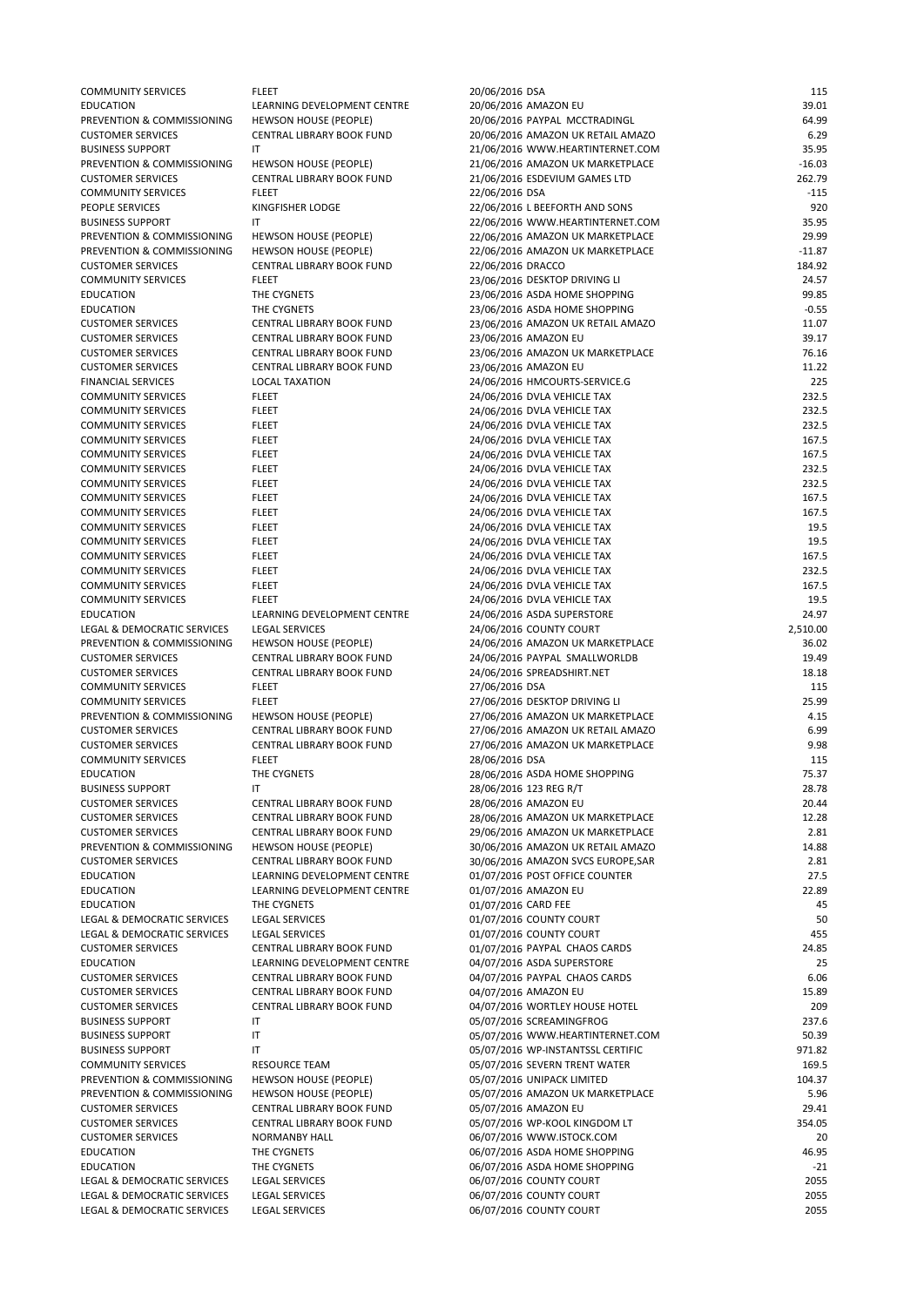| <b>COMMUNITY SERVICES</b>   | <b>FLEET</b>                     | 20/06/2016 DSA                     | 115      |
|-----------------------------|----------------------------------|------------------------------------|----------|
| <b>EDUCATION</b>            | LEARNING DEVELOPMENT CENTRE      | 20/06/2016 AMAZON EU               | 39.01    |
| PREVENTION & COMMISSIONING  | <b>HEWSON HOUSE (PEOPLE)</b>     | 20/06/2016 PAYPAL MCCTRADINGL      | 64.99    |
| <b>CUSTOMER SERVICES</b>    | CENTRAL LIBRARY BOOK FUND        | 20/06/2016 AMAZON UK RETAIL AMAZO  | 6.29     |
| <b>BUSINESS SUPPORT</b>     | IT                               | 21/06/2016 WWW.HEARTINTERNET.COM   | 35.95    |
| PREVENTION & COMMISSIONING  | <b>HEWSON HOUSE (PEOPLE)</b>     | 21/06/2016 AMAZON UK MARKETPLACE   | $-16.03$ |
| <b>CUSTOMER SERVICES</b>    | <b>CENTRAL LIBRARY BOOK FUND</b> | 21/06/2016 ESDEVIUM GAMES LTD      | 262.79   |
| <b>COMMUNITY SERVICES</b>   | <b>FLEET</b>                     | 22/06/2016 DSA                     | $-115$   |
| PEOPLE SERVICES             | KINGFISHER LODGE                 | 22/06/2016 L BEEFORTH AND SONS     | 920      |
| <b>BUSINESS SUPPORT</b>     | IT                               | 22/06/2016 WWW.HEARTINTERNET.COM   | 35.95    |
| PREVENTION & COMMISSIONING  | <b>HEWSON HOUSE (PEOPLE)</b>     | 22/06/2016 AMAZON UK MARKETPLACE   | 29.99    |
| PREVENTION & COMMISSIONING  | <b>HEWSON HOUSE (PEOPLE)</b>     | 22/06/2016 AMAZON UK MARKETPLACE   | $-11.87$ |
| <b>CUSTOMER SERVICES</b>    | <b>CENTRAL LIBRARY BOOK FUND</b> | 22/06/2016 DRACCO                  | 184.92   |
| <b>COMMUNITY SERVICES</b>   | <b>FLEET</b>                     | 23/06/2016 DESKTOP DRIVING LI      | 24.57    |
| <b>EDUCATION</b>            | THE CYGNETS                      | 23/06/2016 ASDA HOME SHOPPING      | 99.85    |
| <b>EDUCATION</b>            | THE CYGNETS                      | 23/06/2016 ASDA HOME SHOPPING      | $-0.55$  |
| <b>CUSTOMER SERVICES</b>    | <b>CENTRAL LIBRARY BOOK FUND</b> | 23/06/2016 AMAZON UK RETAIL AMAZO  | 11.07    |
| <b>CUSTOMER SERVICES</b>    | CENTRAL LIBRARY BOOK FUND        | 23/06/2016 AMAZON EU               | 39.17    |
| <b>CUSTOMER SERVICES</b>    | CENTRAL LIBRARY BOOK FUND        | 23/06/2016 AMAZON UK MARKETPLACE   | 76.16    |
| <b>CUSTOMER SERVICES</b>    | <b>CENTRAL LIBRARY BOOK FUND</b> | 23/06/2016 AMAZON EU               | 11.22    |
| <b>FINANCIAL SERVICES</b>   | <b>LOCAL TAXATION</b>            | 24/06/2016 HMCOURTS-SERVICE.G      | 225      |
| <b>COMMUNITY SERVICES</b>   | <b>FLEET</b>                     | 24/06/2016 DVLA VEHICLE TAX        | 232.5    |
| <b>COMMUNITY SERVICES</b>   | <b>FLEET</b>                     | 24/06/2016 DVLA VEHICLE TAX        | 232.5    |
| <b>COMMUNITY SERVICES</b>   | <b>FLEET</b>                     | 24/06/2016 DVLA VEHICLE TAX        | 232.5    |
| <b>COMMUNITY SERVICES</b>   | <b>FLEET</b>                     | 24/06/2016 DVLA VEHICLE TAX        | 167.5    |
| <b>COMMUNITY SERVICES</b>   | <b>FLEET</b>                     | 24/06/2016 DVLA VEHICLE TAX        | 167.5    |
| <b>COMMUNITY SERVICES</b>   | <b>FLEET</b>                     | 24/06/2016 DVLA VEHICLE TAX        | 232.5    |
| <b>COMMUNITY SERVICES</b>   | <b>FLEET</b>                     | 24/06/2016 DVLA VEHICLE TAX        | 232.5    |
| <b>COMMUNITY SERVICES</b>   | <b>FLEET</b>                     | 24/06/2016 DVLA VEHICLE TAX        | 167.5    |
| <b>COMMUNITY SERVICES</b>   | <b>FLEET</b>                     | 24/06/2016 DVLA VEHICLE TAX        | 167.5    |
| <b>COMMUNITY SERVICES</b>   | <b>FLEET</b>                     | 24/06/2016 DVLA VEHICLE TAX        | 19.5     |
| <b>COMMUNITY SERVICES</b>   | <b>FLEET</b>                     | 24/06/2016 DVLA VEHICLE TAX        | 19.5     |
| <b>COMMUNITY SERVICES</b>   | <b>FLEET</b>                     | 24/06/2016 DVLA VEHICLE TAX        | 167.5    |
| <b>COMMUNITY SERVICES</b>   | <b>FLEET</b>                     | 24/06/2016 DVLA VEHICLE TAX        | 232.5    |
| <b>COMMUNITY SERVICES</b>   | <b>FLEET</b>                     | 24/06/2016 DVLA VEHICLE TAX        | 167.5    |
| <b>COMMUNITY SERVICES</b>   | <b>FLEET</b>                     | 24/06/2016 DVLA VEHICLE TAX        | 19.5     |
| <b>EDUCATION</b>            | LEARNING DEVELOPMENT CENTRE      | 24/06/2016 ASDA SUPERSTORE         | 24.97    |
| LEGAL & DEMOCRATIC SERVICES | <b>LEGAL SERVICES</b>            | 24/06/2016 COUNTY COURT            | 2,510.00 |
| PREVENTION & COMMISSIONING  | <b>HEWSON HOUSE (PEOPLE)</b>     | 24/06/2016 AMAZON UK MARKETPLACE   | 36.02    |
| <b>CUSTOMER SERVICES</b>    | <b>CENTRAL LIBRARY BOOK FUND</b> | 24/06/2016 PAYPAL SMALLWORLDB      | 19.49    |
| <b>CUSTOMER SERVICES</b>    | <b>CENTRAL LIBRARY BOOK FUND</b> | 24/06/2016 SPREADSHIRT.NET         | 18.18    |
| <b>COMMUNITY SERVICES</b>   | <b>FLEET</b>                     | 27/06/2016 DSA                     | 115      |
| <b>COMMUNITY SERVICES</b>   | <b>FLEET</b>                     | 27/06/2016 DESKTOP DRIVING LI      | 25.99    |
| PREVENTION & COMMISSIONING  | <b>HEWSON HOUSE (PEOPLE)</b>     | 27/06/2016 AMAZON UK MARKETPLACE   | 4.15     |
| <b>CUSTOMER SERVICES</b>    | <b>CENTRAL LIBRARY BOOK FUND</b> | 27/06/2016 AMAZON UK RETAIL AMAZO  | 6.99     |
| <b>CUSTOMER SERVICES</b>    | <b>CENTRAL LIBRARY BOOK FUND</b> | 27/06/2016 AMAZON UK MARKETPLACE   | 9.98     |
| <b>COMMUNITY SERVICES</b>   | <b>FLEET</b>                     | 28/06/2016 DSA                     | 115      |
| <b>EDUCATION</b>            | THE CYGNETS                      | 28/06/2016 ASDA HOME SHOPPING      | 75.37    |
| <b>BUSINESS SUPPORT</b>     | IT                               | 28/06/2016 123 REG R/T             | 28.78    |
| <b>CUSTOMER SERVICES</b>    | <b>CENTRAL LIBRARY BOOK FUND</b> | 28/06/2016 AMAZON EU               | 20.44    |
| <b>CUSTOMER SERVICES</b>    | CENTRAL LIBRARY BOOK FUND        | 28/06/2016 AMAZON UK MARKETPLACE   | 12.28    |
| <b>CUSTOMER SERVICES</b>    | <b>CENTRAL LIBRARY BOOK FUND</b> | 29/06/2016 AMAZON UK MARKETPLACE   | 2.81     |
| PREVENTION & COMMISSIONING  | <b>HEWSON HOUSE (PEOPLE)</b>     | 30/06/2016 AMAZON UK RETAIL AMAZO  | 14.88    |
| <b>CUSTOMER SERVICES</b>    | <b>CENTRAL LIBRARY BOOK FUND</b> | 30/06/2016 AMAZON SVCS EUROPE, SAR | 2.81     |
| <b>EDUCATION</b>            | LEARNING DEVELOPMENT CENTRE      | 01/07/2016 POST OFFICE COUNTER     | 27.5     |
| <b>EDUCATION</b>            | LEARNING DEVELOPMENT CENTRE      | 01/07/2016 AMAZON EU               | 22.89    |
| <b>EDUCATION</b>            | THE CVCNETS                      | $01/07/001C$ CADD FFF              |          |

| <b>EDUCATION</b>            | THE CYGNETS                  | 01/07/2016 CARD FEE               | 45     |
|-----------------------------|------------------------------|-----------------------------------|--------|
| LEGAL & DEMOCRATIC SERVICES | <b>LEGAL SERVICES</b>        | 01/07/2016 COUNTY COURT           | 50     |
| LEGAL & DEMOCRATIC SERVICES | <b>LEGAL SERVICES</b>        | 01/07/2016 COUNTY COURT           | 455    |
| <b>CUSTOMER SERVICES</b>    | CENTRAL LIBRARY BOOK FUND    | 01/07/2016 PAYPAL CHAOS CARDS     | 24.85  |
| <b>EDUCATION</b>            | LEARNING DEVELOPMENT CENTRE  | 04/07/2016 ASDA SUPERSTORE        | 25     |
| <b>CUSTOMER SERVICES</b>    | CENTRAL LIBRARY BOOK FUND    | 04/07/2016 PAYPAL CHAOS CARDS     | 6.06   |
| <b>CUSTOMER SERVICES</b>    | CENTRAL LIBRARY BOOK FUND    | 04/07/2016 AMAZON EU              | 15.89  |
| <b>CUSTOMER SERVICES</b>    | CENTRAL LIBRARY BOOK FUND    | 04/07/2016 WORTLEY HOUSE HOTEL    | 209    |
| <b>BUSINESS SUPPORT</b>     | IT                           | 05/07/2016 SCREAMINGFROG          | 237.6  |
| <b>BUSINESS SUPPORT</b>     | IT                           | 05/07/2016 WWW.HEARTINTERNET.COM  | 50.39  |
| <b>BUSINESS SUPPORT</b>     | IT                           | 05/07/2016 WP-INSTANTSSL CERTIFIC | 971.82 |
| <b>COMMUNITY SERVICES</b>   | RESOURCE TEAM                | 05/07/2016 SEVERN TRENT WATER     | 169.5  |
| PREVENTION & COMMISSIONING  | <b>HEWSON HOUSE (PEOPLE)</b> | 05/07/2016 UNIPACK LIMITED        | 104.37 |
| PREVENTION & COMMISSIONING  | <b>HEWSON HOUSE (PEOPLE)</b> | 05/07/2016 AMAZON UK MARKETPLACE  | 5.96   |
| <b>CUSTOMER SERVICES</b>    | CENTRAL LIBRARY BOOK FUND    | 05/07/2016 AMAZON EU              | 29.41  |
| <b>CUSTOMER SERVICES</b>    | CENTRAL LIBRARY BOOK FUND    | 05/07/2016 WP-KOOL KINGDOM LT     | 354.05 |
| <b>CUSTOMER SERVICES</b>    | <b>NORMANBY HALL</b>         | 06/07/2016 WWW.ISTOCK.COM         | 20     |
| <b>EDUCATION</b>            | THE CYGNETS                  | 06/07/2016 ASDA HOME SHOPPING     | 46.95  |
| <b>EDUCATION</b>            | THE CYGNETS                  | 06/07/2016 ASDA HOME SHOPPING     | $-21$  |
| LEGAL & DEMOCRATIC SERVICES | <b>LEGAL SERVICES</b>        | 06/07/2016 COUNTY COURT           | 2055   |
| LEGAL & DEMOCRATIC SERVICES | <b>LEGAL SERVICES</b>        | 06/07/2016 COUNTY COURT           | 2055   |
| LEGAL & DEMOCRATIC SERVICES | <b>LEGAL SERVICES</b>        | 06/07/2016 COUNTY COURT           | 2055   |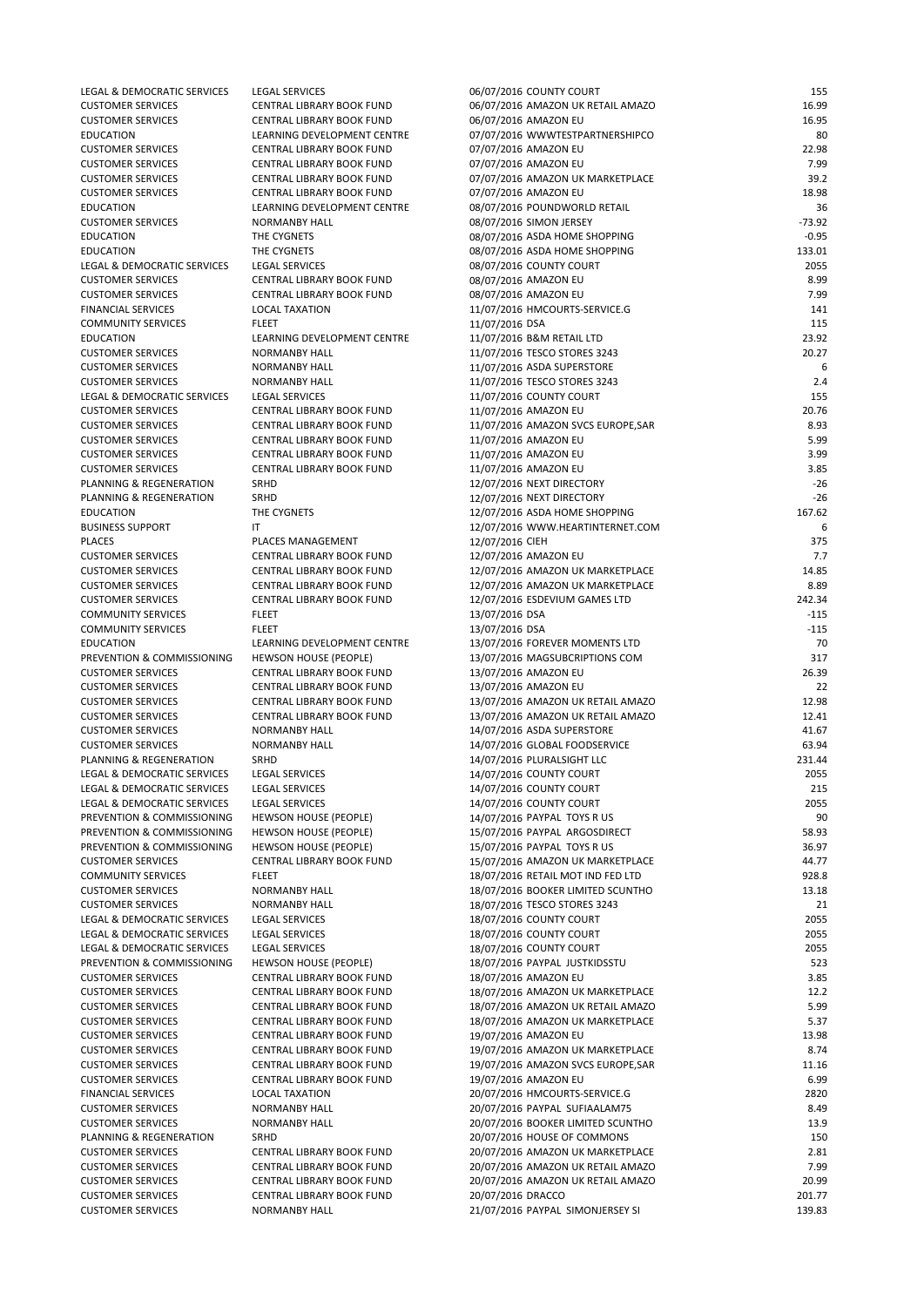| LEGAL & DEMOCRATIC SERVICES | <b>LEGAL SERVICES</b>            | 06/07/2016 COUNTY COURT            | 155      |
|-----------------------------|----------------------------------|------------------------------------|----------|
| <b>CUSTOMER SERVICES</b>    | <b>CENTRAL LIBRARY BOOK FUND</b> | 06/07/2016 AMAZON UK RETAIL AMAZO  | 16.99    |
| <b>CUSTOMER SERVICES</b>    | <b>CENTRAL LIBRARY BOOK FUND</b> | 06/07/2016 AMAZON EU               | 16.95    |
| <b>EDUCATION</b>            | LEARNING DEVELOPMENT CENTRE      | 07/07/2016 WWWTESTPARTNERSHIPCO    | 80       |
| <b>CUSTOMER SERVICES</b>    | CENTRAL LIBRARY BOOK FUND        | 07/07/2016 AMAZON EU               | 22.98    |
| <b>CUSTOMER SERVICES</b>    | CENTRAL LIBRARY BOOK FUND        | 07/07/2016 AMAZON EU               | 7.99     |
| <b>CUSTOMER SERVICES</b>    | CENTRAL LIBRARY BOOK FUND        | 07/07/2016 AMAZON UK MARKETPLACE   | 39.2     |
| <b>CUSTOMER SERVICES</b>    | CENTRAL LIBRARY BOOK FUND        | 07/07/2016 AMAZON EU               | 18.98    |
| <b>EDUCATION</b>            | LEARNING DEVELOPMENT CENTRE      | 08/07/2016 POUNDWORLD RETAIL       | 36       |
| <b>CUSTOMER SERVICES</b>    | <b>NORMANBY HALL</b>             | 08/07/2016 SIMON JERSEY            | $-73.92$ |
| <b>EDUCATION</b>            | THE CYGNETS                      | 08/07/2016 ASDA HOME SHOPPING      | $-0.95$  |
| <b>EDUCATION</b>            | THE CYGNETS                      | 08/07/2016 ASDA HOME SHOPPING      | 133.01   |
| LEGAL & DEMOCRATIC SERVICES | <b>LEGAL SERVICES</b>            | 08/07/2016 COUNTY COURT            | 2055     |
| <b>CUSTOMER SERVICES</b>    | CENTRAL LIBRARY BOOK FUND        | 08/07/2016 AMAZON EU               | 8.99     |
| <b>CUSTOMER SERVICES</b>    | CENTRAL LIBRARY BOOK FUND        | 08/07/2016 AMAZON EU               | 7.99     |
| <b>FINANCIAL SERVICES</b>   | <b>LOCAL TAXATION</b>            | 11/07/2016 HMCOURTS-SERVICE.G      | 141      |
| <b>COMMUNITY SERVICES</b>   | <b>FLEET</b>                     | 11/07/2016 DSA                     | 115      |
| <b>EDUCATION</b>            | LEARNING DEVELOPMENT CENTRE      | 11/07/2016 B&M RETAIL LTD          | 23.92    |
| <b>CUSTOMER SERVICES</b>    | <b>NORMANBY HALL</b>             | 11/07/2016 TESCO STORES 3243       | 20.27    |
| <b>CUSTOMER SERVICES</b>    | <b>NORMANBY HALL</b>             | 11/07/2016 ASDA SUPERSTORE         | 6        |
| <b>CUSTOMER SERVICES</b>    | <b>NORMANBY HALL</b>             | 11/07/2016 TESCO STORES 3243       | 2.4      |
| LEGAL & DEMOCRATIC SERVICES | <b>LEGAL SERVICES</b>            | 11/07/2016 COUNTY COURT            | 155      |
| <b>CUSTOMER SERVICES</b>    | <b>CENTRAL LIBRARY BOOK FUND</b> | 11/07/2016 AMAZON EU               | 20.76    |
| <b>CUSTOMER SERVICES</b>    | CENTRAL LIBRARY BOOK FUND        | 11/07/2016 AMAZON SVCS EUROPE, SAR | 8.93     |
| <b>CUSTOMER SERVICES</b>    | CENTRAL LIBRARY BOOK FUND        | 11/07/2016 AMAZON EU               | 5.99     |
| <b>CUSTOMER SERVICES</b>    | CENTRAL LIBRARY BOOK FUND        | 11/07/2016 AMAZON EU               | 3.99     |
| <b>CUSTOMER SERVICES</b>    | CENTRAL LIBRARY BOOK FUND        | 11/07/2016 AMAZON EU               | 3.85     |
| PLANNING & REGENERATION     | SRHD                             | 12/07/2016 NEXT DIRECTORY          | $-26$    |
| PLANNING & REGENERATION     | SRHD                             | 12/07/2016 NEXT DIRECTORY          | $-26$    |
| <b>EDUCATION</b>            | THE CYGNETS                      | 12/07/2016 ASDA HOME SHOPPING      | 167.62   |
| <b>BUSINESS SUPPORT</b>     | $\mathsf{I}\mathsf{T}$           | 12/07/2016 WWW.HEARTINTERNET.COM   | 6        |
| <b>PLACES</b>               | PLACES MANAGEMENT                | 12/07/2016 CIEH                    | 375      |
| <b>CUSTOMER SERVICES</b>    | <b>CENTRAL LIBRARY BOOK FUND</b> | 12/07/2016 AMAZON EU               | 7.7      |
| <b>CUSTOMER SERVICES</b>    | CENTRAL LIBRARY BOOK FUND        | 12/07/2016 AMAZON UK MARKETPLACE   | 14.85    |
| <b>CUSTOMER SERVICES</b>    | CENTRAL LIBRARY BOOK FUND        | 12/07/2016 AMAZON UK MARKETPLACE   | 8.89     |
| <b>CUSTOMER SERVICES</b>    | CENTRAL LIBRARY BOOK FUND        | 12/07/2016 ESDEVIUM GAMES LTD      | 242.34   |
| <b>COMMUNITY SERVICES</b>   | <b>FLEET</b>                     | 13/07/2016 DSA                     | $-115$   |
| <b>COMMUNITY SERVICES</b>   | <b>FLEET</b>                     | 13/07/2016 DSA                     | $-115$   |
| <b>EDUCATION</b>            | LEARNING DEVELOPMENT CENTRE      | 13/07/2016 FOREVER MOMENTS LTD     | 70       |
| PREVENTION & COMMISSIONING  | <b>HEWSON HOUSE (PEOPLE)</b>     | 13/07/2016 MAGSUBCRIPTIONS COM     | 317      |
| <b>CUSTOMER SERVICES</b>    | <b>CENTRAL LIBRARY BOOK FUND</b> | 13/07/2016 AMAZON EU               | 26.39    |
| <b>CUSTOMER SERVICES</b>    | CENTRAL LIBRARY BOOK FUND        | 13/07/2016 AMAZON EU               | 22       |
| <b>CUSTOMER SERVICES</b>    | CENTRAL LIBRARY BOOK FUND        | 13/07/2016 AMAZON UK RETAIL AMAZO  | 12.98    |
| <b>CUSTOMER SERVICES</b>    | <b>CENTRAL LIBRARY BOOK FUND</b> | 13/07/2016 AMAZON UK RETAIL AMAZO  | 12.41    |
| <b>CUSTOMER SERVICES</b>    | <b>NORMANBY HALL</b>             | 14/07/2016 ASDA SUPERSTORE         | 41.67    |
| <b>CUSTOMER SERVICES</b>    | <b>NORMANBY HALL</b>             | 14/07/2016 GLOBAL FOODSERVICE      | 63.94    |
| PLANNING & REGENERATION     | SRHD                             | 14/07/2016 PLURALSIGHT LLC         | 231.44   |
| LEGAL & DEMOCRATIC SERVICES | <b>LEGAL SERVICES</b>            | 14/07/2016 COUNTY COURT            | 2055     |
| LEGAL & DEMOCRATIC SERVICES | <b>LEGAL SERVICES</b>            | 14/07/2016 COUNTY COURT            | 215      |
| LEGAL & DEMOCRATIC SERVICES | <b>LEGAL SERVICES</b>            | 14/07/2016 COUNTY COURT            | 2055     |
| PREVENTION & COMMISSIONING  | <b>HEWSON HOUSE (PEOPLE)</b>     | 14/07/2016 PAYPAL TOYS R US        | 90       |
| PREVENTION & COMMISSIONING  | <b>HEWSON HOUSE (PEOPLE)</b>     | 15/07/2016 PAYPAL ARGOSDIRECT      | 58.93    |
| PREVENTION & COMMISSIONING  | <b>HEWSON HOUSE (PEOPLE)</b>     | 15/07/2016 PAYPAL TOYS R US        | 36.97    |
| <b>CUSTOMER SERVICES</b>    | CENTRAL LIBRARY BOOK FUND        | 15/07/2016 AMAZON UK MARKETPLACE   | 44.77    |
| <b>COMMUNITY SERVICES</b>   | <b>FLEET</b>                     | 18/07/2016 RETAIL MOT IND FED LTD  | 928.8    |
| <b>CUSTOMER SERVICES</b>    | <b>NORMANBY HALL</b>             | 18/07/2016 BOOKER LIMITED SCUNTHO  | 13.18    |
| <b>CUSTOMER SERVICES</b>    | <b>NORMANBY HALL</b>             | 18/07/2016 TESCO STORES 3243       | 21       |
|                             |                                  |                                    |          |

| LEGAL & DEMOCRATIC SERVICES | <b>LEGAL SERVICES</b>            | 18/07/2016 COUNTY COURT            | 2055   |
|-----------------------------|----------------------------------|------------------------------------|--------|
| LEGAL & DEMOCRATIC SERVICES | <b>LEGAL SERVICES</b>            | 18/07/2016 COUNTY COURT            | 2055   |
| LEGAL & DEMOCRATIC SERVICES | <b>LEGAL SERVICES</b>            | 18/07/2016 COUNTY COURT            | 2055   |
| PREVENTION & COMMISSIONING  | <b>HEWSON HOUSE (PEOPLE)</b>     | 18/07/2016 PAYPAL JUSTKIDSSTU      | 523    |
| <b>CUSTOMER SERVICES</b>    | CENTRAL LIBRARY BOOK FUND        | 18/07/2016 AMAZON EU               | 3.85   |
| <b>CUSTOMER SERVICES</b>    | <b>CENTRAL LIBRARY BOOK FUND</b> | 18/07/2016 AMAZON UK MARKETPLACE   | 12.2   |
| <b>CUSTOMER SERVICES</b>    | <b>CENTRAL LIBRARY BOOK FUND</b> | 18/07/2016 AMAZON UK RETAIL AMAZO  | 5.99   |
| <b>CUSTOMER SERVICES</b>    | CENTRAL LIBRARY BOOK FUND        | 18/07/2016 AMAZON UK MARKETPLACE   | 5.37   |
| <b>CUSTOMER SERVICES</b>    | CENTRAL LIBRARY BOOK FUND        | 19/07/2016 AMAZON EU               | 13.98  |
| <b>CUSTOMER SERVICES</b>    | CENTRAL LIBRARY BOOK FUND        | 19/07/2016 AMAZON UK MARKETPLACE   | 8.74   |
| <b>CUSTOMER SERVICES</b>    | <b>CENTRAL LIBRARY BOOK FUND</b> | 19/07/2016 AMAZON SVCS EUROPE, SAR | 11.16  |
| <b>CUSTOMER SERVICES</b>    | CENTRAL LIBRARY BOOK FUND        | 19/07/2016 AMAZON EU               | 6.99   |
| <b>FINANCIAL SERVICES</b>   | <b>LOCAL TAXATION</b>            | 20/07/2016 HMCOURTS-SERVICE.G      | 2820   |
| <b>CUSTOMER SERVICES</b>    | <b>NORMANBY HALL</b>             | 20/07/2016 PAYPAL SUFIAALAM75      | 8.49   |
| <b>CUSTOMER SERVICES</b>    | <b>NORMANBY HALL</b>             | 20/07/2016 BOOKER LIMITED SCUNTHO  | 13.9   |
| PLANNING & REGENERATION     | SRHD                             | 20/07/2016 HOUSE OF COMMONS        | 150    |
| <b>CUSTOMER SERVICES</b>    | CENTRAL LIBRARY BOOK FUND        | 20/07/2016 AMAZON UK MARKETPLACE   | 2.81   |
| <b>CUSTOMER SERVICES</b>    | CENTRAL LIBRARY BOOK FUND        | 20/07/2016 AMAZON UK RETAIL AMAZO  | 7.99   |
| <b>CUSTOMER SERVICES</b>    | <b>CENTRAL LIBRARY BOOK FUND</b> | 20/07/2016 AMAZON UK RETAIL AMAZO  | 20.99  |
| <b>CUSTOMER SERVICES</b>    | <b>CENTRAL LIBRARY BOOK FUND</b> | 20/07/2016 DRACCO                  | 201.77 |
| <b>CUSTOMER SERVICES</b>    | <b>NORMANBY HALL</b>             | 21/07/2016 PAYPAL SIMONJERSEY SI   | 139.83 |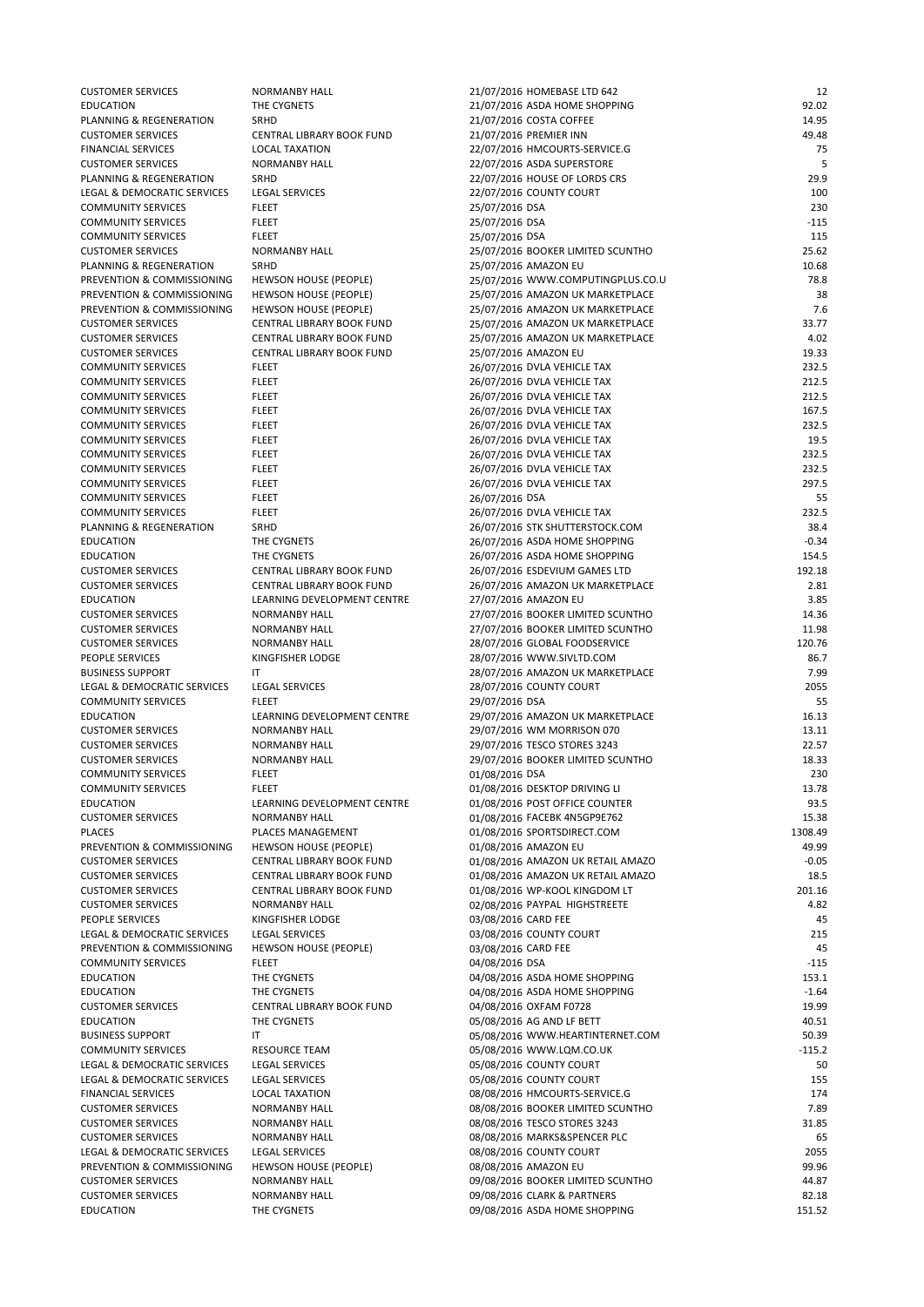| <b>CUSTOMER SERVICES</b>               | <b>NORMANBY HALL</b>             | 21/07/2016 HOMEBASE LTD 642       | 12      |
|----------------------------------------|----------------------------------|-----------------------------------|---------|
| <b>EDUCATION</b>                       | THE CYGNETS                      | 21/07/2016 ASDA HOME SHOPPING     | 92.02   |
| PLANNING & REGENERATION                | SRHD                             | 21/07/2016 COSTA COFFEE           | 14.95   |
| <b>CUSTOMER SERVICES</b>               | CENTRAL LIBRARY BOOK FUND        | 21/07/2016 PREMIER INN            | 49.48   |
| <b>FINANCIAL SERVICES</b>              | <b>LOCAL TAXATION</b>            | 22/07/2016 HMCOURTS-SERVICE.G     | 75      |
| <b>CUSTOMER SERVICES</b>               | <b>NORMANBY HALL</b>             | 22/07/2016 ASDA SUPERSTORE        | 5       |
| PLANNING & REGENERATION                | SRHD                             | 22/07/2016 HOUSE OF LORDS CRS     | 29.9    |
| LEGAL & DEMOCRATIC SERVICES            | <b>LEGAL SERVICES</b>            | 22/07/2016 COUNTY COURT           | 100     |
| <b>COMMUNITY SERVICES</b>              | <b>FLEET</b>                     | 25/07/2016 DSA                    | 230     |
| <b>COMMUNITY SERVICES</b>              | <b>FLEET</b>                     | 25/07/2016 DSA                    | $-115$  |
| <b>COMMUNITY SERVICES</b>              | <b>FLEET</b>                     | 25/07/2016 DSA                    | 115     |
| <b>CUSTOMER SERVICES</b>               | <b>NORMANBY HALL</b>             | 25/07/2016 BOOKER LIMITED SCUNTHO | 25.62   |
| PLANNING & REGENERATION                | SRHD                             | 25/07/2016 AMAZON EU              | 10.68   |
| PREVENTION & COMMISSIONING             | <b>HEWSON HOUSE (PEOPLE)</b>     | 25/07/2016 WWW.COMPUTINGPLUS.CO.U | 78.8    |
| PREVENTION & COMMISSIONING             | <b>HEWSON HOUSE (PEOPLE)</b>     | 25/07/2016 AMAZON UK MARKETPLACE  | 38      |
| PREVENTION & COMMISSIONING             | <b>HEWSON HOUSE (PEOPLE)</b>     | 25/07/2016 AMAZON UK MARKETPLACE  | 7.6     |
| <b>CUSTOMER SERVICES</b>               | CENTRAL LIBRARY BOOK FUND        | 25/07/2016 AMAZON UK MARKETPLACE  | 33.77   |
| <b>CUSTOMER SERVICES</b>               | CENTRAL LIBRARY BOOK FUND        | 25/07/2016 AMAZON UK MARKETPLACE  | 4.02    |
| <b>CUSTOMER SERVICES</b>               | CENTRAL LIBRARY BOOK FUND        | 25/07/2016 AMAZON EU              | 19.33   |
| <b>COMMUNITY SERVICES</b>              | <b>FLEET</b>                     | 26/07/2016 DVLA VEHICLE TAX       | 232.5   |
| <b>COMMUNITY SERVICES</b>              | <b>FLEET</b>                     | 26/07/2016 DVLA VEHICLE TAX       | 212.5   |
| <b>COMMUNITY SERVICES</b>              | <b>FLEET</b>                     | 26/07/2016 DVLA VEHICLE TAX       | 212.5   |
| <b>COMMUNITY SERVICES</b>              | <b>FLEET</b>                     | 26/07/2016 DVLA VEHICLE TAX       | 167.5   |
| <b>COMMUNITY SERVICES</b>              | <b>FLEET</b>                     | 26/07/2016 DVLA VEHICLE TAX       | 232.5   |
| <b>COMMUNITY SERVICES</b>              | <b>FLEET</b>                     | 26/07/2016 DVLA VEHICLE TAX       | 19.5    |
| <b>COMMUNITY SERVICES</b>              | <b>FLEET</b>                     | 26/07/2016 DVLA VEHICLE TAX       | 232.5   |
| <b>COMMUNITY SERVICES</b>              | <b>FLEET</b>                     | 26/07/2016 DVLA VEHICLE TAX       | 232.5   |
| <b>COMMUNITY SERVICES</b>              | <b>FLEET</b>                     | 26/07/2016 DVLA VEHICLE TAX       | 297.5   |
| <b>COMMUNITY SERVICES</b>              | <b>FLEET</b>                     | 26/07/2016 DSA                    | 55      |
| <b>COMMUNITY SERVICES</b>              | <b>FLEET</b>                     | 26/07/2016 DVLA VEHICLE TAX       | 232.5   |
| PLANNING & REGENERATION                | SRHD                             | 26/07/2016 STK SHUTTERSTOCK.COM   | 38.4    |
| <b>EDUCATION</b>                       | THE CYGNETS                      | 26/07/2016 ASDA HOME SHOPPING     | $-0.34$ |
| <b>EDUCATION</b>                       | THE CYGNETS                      | 26/07/2016 ASDA HOME SHOPPING     | 154.5   |
| <b>CUSTOMER SERVICES</b>               | <b>CENTRAL LIBRARY BOOK FUND</b> | 26/07/2016 ESDEVIUM GAMES LTD     | 192.18  |
| <b>CUSTOMER SERVICES</b>               | CENTRAL LIBRARY BOOK FUND        | 26/07/2016 AMAZON UK MARKETPLACE  | 2.81    |
| <b>EDUCATION</b>                       | LEARNING DEVELOPMENT CENTRE      | 27/07/2016 AMAZON EU              | 3.85    |
| <b>CUSTOMER SERVICES</b>               | <b>NORMANBY HALL</b>             | 27/07/2016 BOOKER LIMITED SCUNTHO | 14.36   |
| <b>CUSTOMER SERVICES</b>               | <b>NORMANBY HALL</b>             | 27/07/2016 BOOKER LIMITED SCUNTHO | 11.98   |
| <b>CUSTOMER SERVICES</b>               | <b>NORMANBY HALL</b>             | 28/07/2016 GLOBAL FOODSERVICE     | 120.76  |
| PEOPLE SERVICES                        | KINGFISHER LODGE                 | 28/07/2016 WWW.SIVLTD.COM         | 86.7    |
| <b>BUSINESS SUPPORT</b>                | IT.                              | 28/07/2016 AMAZON UK MARKETPLACE  | 7.99    |
| <b>LEGAL &amp; DEMOCRATIC SERVICES</b> | LEGAL SERVICES                   | 28/07/2016 COUNTY COURT           | 2055    |
| <b>COMMUNITY SERVICES</b>              | <b>FLEET</b>                     | 29/07/2016 DSA                    | 55      |
| <b>EDUCATION</b>                       | LEARNING DEVELOPMENT CENTRE      | 29/07/2016 AMAZON UK MARKETPLACE  | 16.13   |
| <b>CUSTOMER SERVICES</b>               | <b>NORMANBY HALL</b>             | 29/07/2016 WM MORRISON 070        | 13.11   |
| <b>CUSTOMER SERVICES</b>               | <b>NORMANBY HALL</b>             | 29/07/2016 TESCO STORES 3243      | 22.57   |
| <b>CUSTOMER SERVICES</b>               | <b>NORMANBY HALL</b>             | 29/07/2016 BOOKER LIMITED SCUNTHO | 18.33   |
| <b>COMMUNITY SERVICES</b>              | <b>FLEET</b>                     | 01/08/2016 DSA                    | 230     |
| <b>COMMUNITY SERVICES</b>              | <b>FLEET</b>                     | 01/08/2016 DESKTOP DRIVING LI     | 13.78   |
| <b>EDUCATION</b>                       | LEARNING DEVELOPMENT CENTRE      | 01/08/2016 POST OFFICE COUNTER    | 93.5    |
| <b>CUSTOMER SERVICES</b>               | <b>NORMANBY HALL</b>             | 01/08/2016 FACEBK 4N5GP9E762      | 15.38   |
| <b>PLACES</b>                          | PLACES MANAGEMENT                | 01/08/2016 SPORTSDIRECT.COM       | 1308.49 |
| PREVENTION & COMMISSIONING             | <b>HEWSON HOUSE (PEOPLE)</b>     | 01/08/2016 AMAZON EU              | 49.99   |
| <b>CUSTOMER SERVICES</b>               | <b>CENTRAL LIBRARY BOOK FUND</b> | 01/08/2016 AMAZON UK RETAIL AMAZO | $-0.05$ |
| <b>CUSTOMER SERVICES</b>               | CENTRAL LIBRARY BOOK FUND        | 01/08/2016 AMAZON UK RETAIL AMAZO | 18.5    |
| <b>CUSTOMER SERVICES</b>               | CENTRAL LIBRARY BOOK FUND        | 01/08/2016 WP-KOOL KINGDOM LT     | 201.16  |
| <b>CUSTOMER SERVICES</b>               | <b>NORMANBY HALL</b>             | 02/08/2016 PAYPAL HIGHSTREETE     | 4.82    |
|                                        |                                  |                                   |         |

| PEOPLE SERVICES             | KINGFISHER LODGE             | 03/08/2016 CARD FEE               | 45       |
|-----------------------------|------------------------------|-----------------------------------|----------|
| LEGAL & DEMOCRATIC SERVICES | <b>LEGAL SERVICES</b>        | 03/08/2016 COUNTY COURT           | 215      |
| PREVENTION & COMMISSIONING  | <b>HEWSON HOUSE (PEOPLE)</b> | 03/08/2016 CARD FEE               | 45       |
| <b>COMMUNITY SERVICES</b>   | <b>FLEET</b>                 | 04/08/2016 DSA                    | $-115$   |
| <b>EDUCATION</b>            | THE CYGNETS                  | 04/08/2016 ASDA HOME SHOPPING     | 153.1    |
| <b>EDUCATION</b>            | THE CYGNETS                  | 04/08/2016 ASDA HOME SHOPPING     | $-1.64$  |
| <b>CUSTOMER SERVICES</b>    | CENTRAL LIBRARY BOOK FUND    | 04/08/2016 OXFAM F0728            | 19.99    |
| <b>EDUCATION</b>            | THE CYGNETS                  | 05/08/2016 AG AND LF BETT         | 40.51    |
| <b>BUSINESS SUPPORT</b>     | ΙT                           | 05/08/2016 WWW.HEARTINTERNET.COM  | 50.39    |
| <b>COMMUNITY SERVICES</b>   | RESOURCE TEAM                | 05/08/2016 WWW.LQM.CO.UK          | $-115.2$ |
| LEGAL & DEMOCRATIC SERVICES | <b>LEGAL SERVICES</b>        | 05/08/2016 COUNTY COURT           | 50       |
| LEGAL & DEMOCRATIC SERVICES | <b>LEGAL SERVICES</b>        | 05/08/2016 COUNTY COURT           | 155      |
| <b>FINANCIAL SERVICES</b>   | <b>LOCAL TAXATION</b>        | 08/08/2016 HMCOURTS-SERVICE.G     | 174      |
| <b>CUSTOMER SERVICES</b>    | <b>NORMANBY HALL</b>         | 08/08/2016 BOOKER LIMITED SCUNTHO | 7.89     |
| <b>CUSTOMER SERVICES</b>    | <b>NORMANBY HALL</b>         | 08/08/2016 TESCO STORES 3243      | 31.85    |
| <b>CUSTOMER SERVICES</b>    | <b>NORMANBY HALL</b>         | 08/08/2016 MARKS&SPENCER PLC      | 65       |
| LEGAL & DEMOCRATIC SERVICES | <b>LEGAL SERVICES</b>        | 08/08/2016 COUNTY COURT           | 2055     |
| PREVENTION & COMMISSIONING  | <b>HEWSON HOUSE (PEOPLE)</b> | 08/08/2016 AMAZON EU              | 99.96    |
| <b>CUSTOMER SERVICES</b>    | <b>NORMANBY HALL</b>         | 09/08/2016 BOOKER LIMITED SCUNTHO | 44.87    |
| <b>CUSTOMER SERVICES</b>    | <b>NORMANBY HALL</b>         | 09/08/2016 CLARK & PARTNERS       | 82.18    |
| <b>EDUCATION</b>            | THE CYGNETS                  | 09/08/2016 ASDA HOME SHOPPING     | 151.52   |
|                             |                              |                                   |          |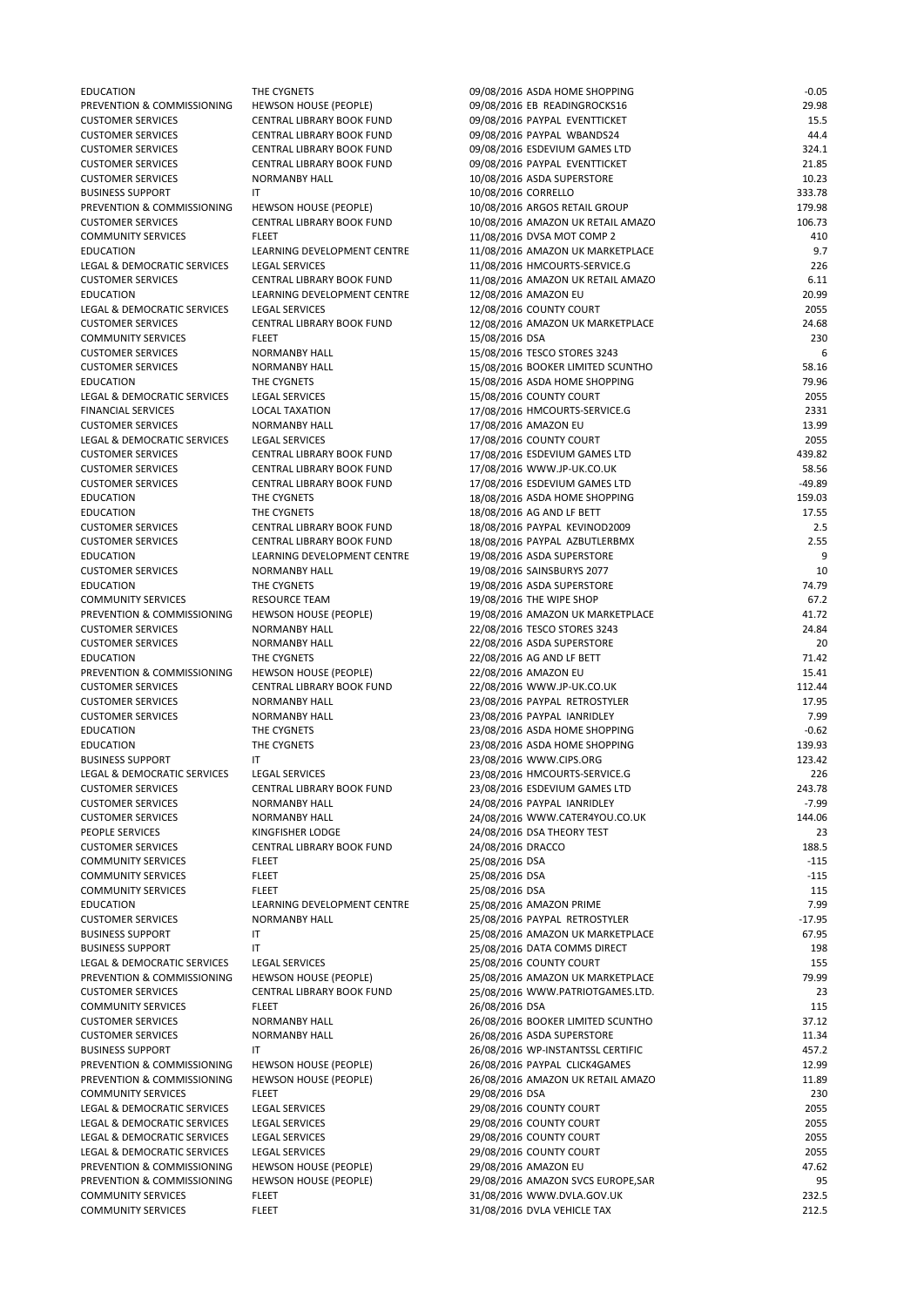| <b>EDUCATION</b>            | THE CYGNETS                      | 09/08/2016 ASDA HOME SHOPPING     | $-0.05$  |
|-----------------------------|----------------------------------|-----------------------------------|----------|
| PREVENTION & COMMISSIONING  | <b>HEWSON HOUSE (PEOPLE)</b>     | 09/08/2016 EB READINGROCKS16      | 29.98    |
| <b>CUSTOMER SERVICES</b>    | CENTRAL LIBRARY BOOK FUND        | 09/08/2016 PAYPAL EVENTTICKET     | 15.5     |
| <b>CUSTOMER SERVICES</b>    | CENTRAL LIBRARY BOOK FUND        | 09/08/2016 PAYPAL WBANDS24        | 44.4     |
| <b>CUSTOMER SERVICES</b>    | CENTRAL LIBRARY BOOK FUND        | 09/08/2016 ESDEVIUM GAMES LTD     | 324.1    |
| <b>CUSTOMER SERVICES</b>    | CENTRAL LIBRARY BOOK FUND        | 09/08/2016 PAYPAL EVENTTICKET     | 21.85    |
| <b>CUSTOMER SERVICES</b>    | <b>NORMANBY HALL</b>             | 10/08/2016 ASDA SUPERSTORE        | 10.23    |
| <b>BUSINESS SUPPORT</b>     | IT                               | 10/08/2016 CORRELLO               | 333.78   |
| PREVENTION & COMMISSIONING  | <b>HEWSON HOUSE (PEOPLE)</b>     | 10/08/2016 ARGOS RETAIL GROUP     | 179.98   |
| <b>CUSTOMER SERVICES</b>    | CENTRAL LIBRARY BOOK FUND        | 10/08/2016 AMAZON UK RETAIL AMAZO | 106.73   |
| <b>COMMUNITY SERVICES</b>   | <b>FLEET</b>                     | 11/08/2016 DVSA MOT COMP 2        | 410      |
| <b>EDUCATION</b>            | LEARNING DEVELOPMENT CENTRE      | 11/08/2016 AMAZON UK MARKETPLACE  | 9.7      |
| LEGAL & DEMOCRATIC SERVICES | <b>LEGAL SERVICES</b>            | 11/08/2016 HMCOURTS-SERVICE.G     | 226      |
| <b>CUSTOMER SERVICES</b>    | <b>CENTRAL LIBRARY BOOK FUND</b> | 11/08/2016 AMAZON UK RETAIL AMAZO | 6.11     |
| <b>EDUCATION</b>            | LEARNING DEVELOPMENT CENTRE      | 12/08/2016 AMAZON EU              | 20.99    |
| LEGAL & DEMOCRATIC SERVICES | <b>LEGAL SERVICES</b>            | 12/08/2016 COUNTY COURT           | 2055     |
| <b>CUSTOMER SERVICES</b>    | CENTRAL LIBRARY BOOK FUND        | 12/08/2016 AMAZON UK MARKETPLACE  | 24.68    |
| <b>COMMUNITY SERVICES</b>   | <b>FLEET</b>                     | 15/08/2016 DSA                    | 230      |
|                             |                                  |                                   | 6        |
| <b>CUSTOMER SERVICES</b>    | <b>NORMANBY HALL</b>             | 15/08/2016 TESCO STORES 3243      |          |
| <b>CUSTOMER SERVICES</b>    | <b>NORMANBY HALL</b>             | 15/08/2016 BOOKER LIMITED SCUNTHO | 58.16    |
| <b>EDUCATION</b>            | THE CYGNETS                      | 15/08/2016 ASDA HOME SHOPPING     | 79.96    |
| LEGAL & DEMOCRATIC SERVICES | <b>LEGAL SERVICES</b>            | 15/08/2016 COUNTY COURT           | 2055     |
| <b>FINANCIAL SERVICES</b>   | <b>LOCAL TAXATION</b>            | 17/08/2016 HMCOURTS-SERVICE.G     | 2331     |
| <b>CUSTOMER SERVICES</b>    | <b>NORMANBY HALL</b>             | 17/08/2016 AMAZON EU              | 13.99    |
| LEGAL & DEMOCRATIC SERVICES | <b>LEGAL SERVICES</b>            | 17/08/2016 COUNTY COURT           | 2055     |
| <b>CUSTOMER SERVICES</b>    | CENTRAL LIBRARY BOOK FUND        | 17/08/2016 ESDEVIUM GAMES LTD     | 439.82   |
| <b>CUSTOMER SERVICES</b>    | CENTRAL LIBRARY BOOK FUND        | 17/08/2016 WWW.JP-UK.CO.UK        | 58.56    |
| <b>CUSTOMER SERVICES</b>    | CENTRAL LIBRARY BOOK FUND        | 17/08/2016 ESDEVIUM GAMES LTD     | $-49.89$ |
| <b>EDUCATION</b>            | THE CYGNETS                      | 18/08/2016 ASDA HOME SHOPPING     | 159.03   |
| <b>EDUCATION</b>            | THE CYGNETS                      | 18/08/2016 AG AND LF BETT         | 17.55    |
| <b>CUSTOMER SERVICES</b>    | <b>CENTRAL LIBRARY BOOK FUND</b> | 18/08/2016 PAYPAL KEVINOD2009     | 2.5      |
| <b>CUSTOMER SERVICES</b>    | CENTRAL LIBRARY BOOK FUND        | 18/08/2016 PAYPAL AZBUTLERBMX     | 2.55     |
| <b>EDUCATION</b>            | LEARNING DEVELOPMENT CENTRE      | 19/08/2016 ASDA SUPERSTORE        | 9        |
| <b>CUSTOMER SERVICES</b>    | <b>NORMANBY HALL</b>             | 19/08/2016 SAINSBURYS 2077        | 10       |
| <b>EDUCATION</b>            | THE CYGNETS                      | 19/08/2016 ASDA SUPERSTORE        | 74.79    |
| <b>COMMUNITY SERVICES</b>   | <b>RESOURCE TEAM</b>             | 19/08/2016 THE WIPE SHOP          | 67.2     |
| PREVENTION & COMMISSIONING  | <b>HEWSON HOUSE (PEOPLE)</b>     | 19/08/2016 AMAZON UK MARKETPLACE  | 41.72    |
| <b>CUSTOMER SERVICES</b>    | <b>NORMANBY HALL</b>             | 22/08/2016 TESCO STORES 3243      | 24.84    |
| <b>CUSTOMER SERVICES</b>    | <b>NORMANBY HALL</b>             | 22/08/2016 ASDA SUPERSTORE        | 20       |
| <b>EDUCATION</b>            | THE CYGNETS                      | 22/08/2016 AG AND LF BETT         | 71.42    |
| PREVENTION & COMMISSIONING  | <b>HEWSON HOUSE (PEOPLE)</b>     | 22/08/2016 AMAZON EU              | 15.41    |
| <b>CUSTOMER SERVICES</b>    | CENTRAL LIBRARY BOOK FUND        | 22/08/2016 WWW.JP-UK.CO.UK        | 112.44   |
| <b>CUSTOMER SERVICES</b>    | <b>NORMANBY HALL</b>             | 23/08/2016 PAYPAL RETROSTYLER     | 17.95    |
| <b>CUSTOMER SERVICES</b>    | <b>NORMANBY HALL</b>             | 23/08/2016 PAYPAL IANRIDLEY       | 7.99     |
| <b>EDUCATION</b>            | THE CYGNETS                      | 23/08/2016 ASDA HOME SHOPPING     | $-0.62$  |
| <b>EDUCATION</b>            | THE CYGNETS                      | 23/08/2016 ASDA HOME SHOPPING     | 139.93   |
| <b>BUSINESS SUPPORT</b>     | IT                               | 23/08/2016 WWW.CIPS.ORG           | 123.42   |
| LEGAL & DEMOCRATIC SERVICES | <b>LEGAL SERVICES</b>            | 23/08/2016 HMCOURTS-SERVICE.G     | 226      |
| <b>CUSTOMER SERVICES</b>    | CENTRAL LIBRARY BOOK FUND        | 23/08/2016 ESDEVIUM GAMES LTD     | 243.78   |
| <b>CUSTOMER SERVICES</b>    | <b>NORMANBY HALL</b>             | 24/08/2016 PAYPAL IANRIDLEY       | $-7.99$  |
| <b>CUSTOMER SERVICES</b>    | <b>NORMANBY HALL</b>             | 24/08/2016 WWW.CATER4YOU.CO.UK    | 144.06   |
| PEOPLE SERVICES             | KINGFISHER LODGE                 | 24/08/2016 DSA THEORY TEST        | 23       |
| <b>CUSTOMER SERVICES</b>    | <b>CENTRAL LIBRARY BOOK FUND</b> | 24/08/2016 DRACCO                 | 188.5    |
| <b>COMMUNITY SERVICES</b>   | <b>FLEET</b>                     | 25/08/2016 DSA                    | $-115$   |
| <b>COMMUNITY SERVICES</b>   | <b>FLEET</b>                     |                                   | $-115$   |
|                             |                                  | 25/08/2016 DSA                    |          |
| <b>COMMUNITY SERVICES</b>   | <b>FLEET</b>                     | 25/08/2016 DSA                    | 115      |
| <b>EDUCATION</b>            | LEARNING DEVELOPMENT CENTRE      | 25/08/2016 AMAZON PRIME           | 7.99     |

|                             |                              | $20,000$ , $2010,000$              | ,        |
|-----------------------------|------------------------------|------------------------------------|----------|
| <b>CUSTOMER SERVICES</b>    | <b>NORMANBY HALL</b>         | 25/08/2016 PAYPAL RETROSTYLER      | $-17.95$ |
| <b>BUSINESS SUPPORT</b>     | ΙT                           | 25/08/2016 AMAZON UK MARKETPLACE   | 67.95    |
| <b>BUSINESS SUPPORT</b>     | IT                           | 25/08/2016 DATA COMMS DIRECT       | 198      |
| LEGAL & DEMOCRATIC SERVICES | <b>LEGAL SERVICES</b>        | 25/08/2016 COUNTY COURT            | 155      |
| PREVENTION & COMMISSIONING  | <b>HEWSON HOUSE (PEOPLE)</b> | 25/08/2016 AMAZON UK MARKETPLACE   | 79.99    |
| <b>CUSTOMER SERVICES</b>    | CENTRAL LIBRARY BOOK FUND    | 25/08/2016 WWW.PATRIOTGAMES.LTD.   | 23       |
| <b>COMMUNITY SERVICES</b>   | <b>FLEET</b>                 | 26/08/2016 DSA                     | 115      |
| <b>CUSTOMER SERVICES</b>    | <b>NORMANBY HALL</b>         | 26/08/2016 BOOKER LIMITED SCUNTHO  | 37.12    |
| <b>CUSTOMER SERVICES</b>    | <b>NORMANBY HALL</b>         | 26/08/2016 ASDA SUPERSTORE         | 11.34    |
| <b>BUSINESS SUPPORT</b>     | ΙT                           | 26/08/2016 WP-INSTANTSSL CERTIFIC  | 457.2    |
| PREVENTION & COMMISSIONING  | <b>HEWSON HOUSE (PEOPLE)</b> | 26/08/2016 PAYPAL CLICK4GAMES      | 12.99    |
| PREVENTION & COMMISSIONING  | <b>HEWSON HOUSE (PEOPLE)</b> | 26/08/2016 AMAZON UK RETAIL AMAZO  | 11.89    |
| <b>COMMUNITY SERVICES</b>   | <b>FLEET</b>                 | 29/08/2016 DSA                     | 230      |
| LEGAL & DEMOCRATIC SERVICES | <b>LEGAL SERVICES</b>        | 29/08/2016 COUNTY COURT            | 2055     |
| LEGAL & DEMOCRATIC SERVICES | <b>LEGAL SERVICES</b>        | 29/08/2016 COUNTY COURT            | 2055     |
| LEGAL & DEMOCRATIC SERVICES | <b>LEGAL SERVICES</b>        | 29/08/2016 COUNTY COURT            | 2055     |
| LEGAL & DEMOCRATIC SERVICES | <b>LEGAL SERVICES</b>        | 29/08/2016 COUNTY COURT            | 2055     |
| PREVENTION & COMMISSIONING  | <b>HEWSON HOUSE (PEOPLE)</b> | 29/08/2016 AMAZON EU               | 47.62    |
| PREVENTION & COMMISSIONING  | <b>HEWSON HOUSE (PEOPLE)</b> | 29/08/2016 AMAZON SVCS EUROPE, SAR | 95       |
| <b>COMMUNITY SERVICES</b>   | <b>FLEET</b>                 | 31/08/2016 WWW.DVLA.GOV.UK         | 232.5    |
| <b>COMMUNITY SERVICES</b>   | <b>FLEET</b>                 | 31/08/2016 DVLA VEHICLE TAX        | 212.5    |
|                             |                              |                                    |          |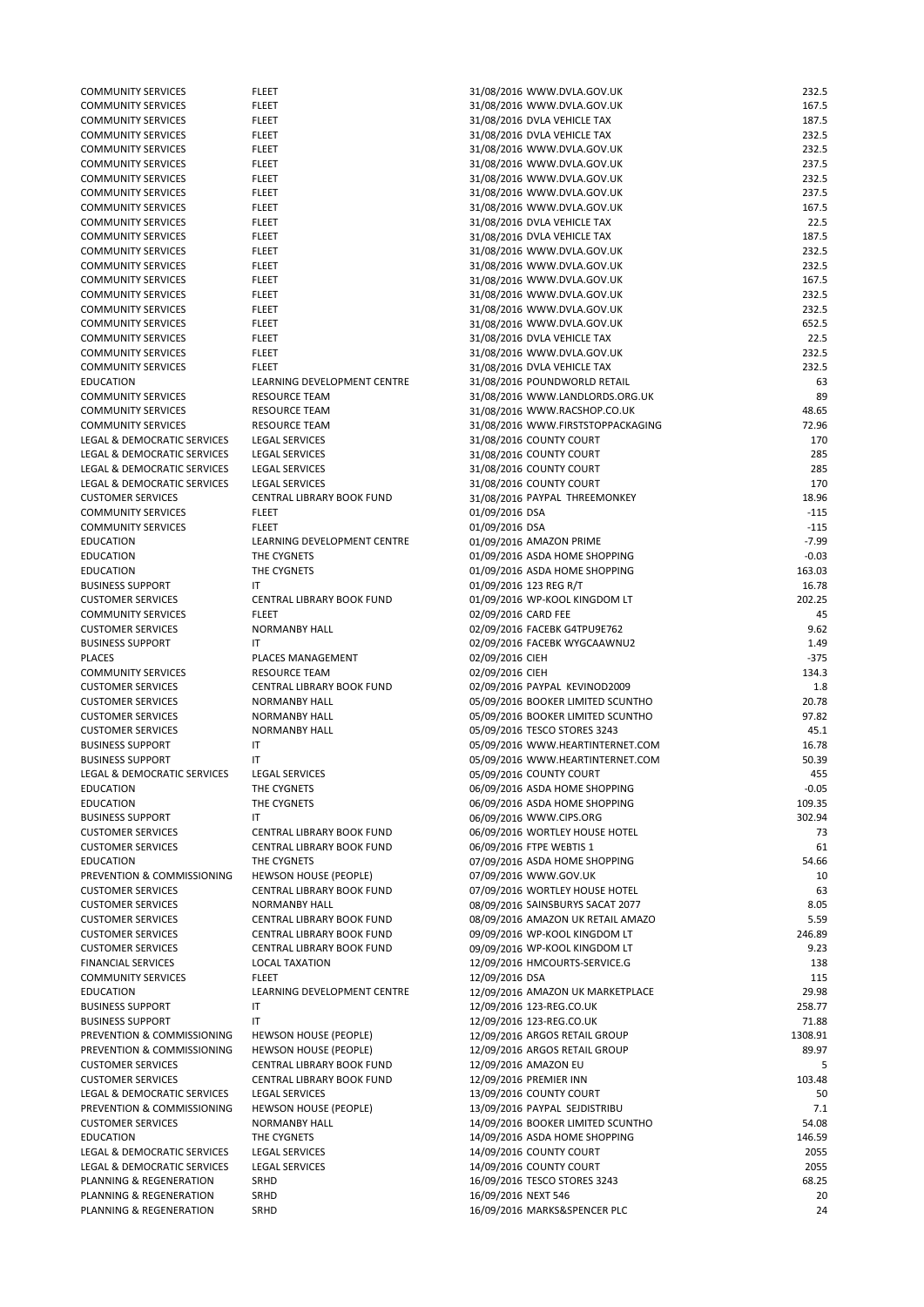| <b>COMMUNITY SERVICES</b>   | <b>FLEET</b>                     | 31/08/2016 WWW.DVLA.GOV.UK                            | 232.5   |
|-----------------------------|----------------------------------|-------------------------------------------------------|---------|
| <b>COMMUNITY SERVICES</b>   | <b>FLEET</b>                     | 31/08/2016 WWW.DVLA.GOV.UK                            | 167.5   |
| <b>COMMUNITY SERVICES</b>   | <b>FLEET</b>                     | 31/08/2016 DVLA VEHICLE TAX                           | 187.5   |
| <b>COMMUNITY SERVICES</b>   | <b>FLEET</b>                     | 31/08/2016 DVLA VEHICLE TAX                           | 232.5   |
| <b>COMMUNITY SERVICES</b>   | <b>FLEET</b>                     | 31/08/2016 WWW.DVLA.GOV.UK                            | 232.5   |
| <b>COMMUNITY SERVICES</b>   | <b>FLEET</b>                     | 31/08/2016 WWW.DVLA.GOV.UK                            | 237.5   |
| <b>COMMUNITY SERVICES</b>   | <b>FLEET</b>                     | 31/08/2016 WWW.DVLA.GOV.UK                            | 232.5   |
| <b>COMMUNITY SERVICES</b>   | <b>FLEET</b>                     | 31/08/2016 WWW.DVLA.GOV.UK                            | 237.5   |
| <b>COMMUNITY SERVICES</b>   | <b>FLEET</b>                     | 31/08/2016 WWW.DVLA.GOV.UK                            | 167.5   |
| <b>COMMUNITY SERVICES</b>   | <b>FLEET</b>                     | 31/08/2016 DVLA VEHICLE TAX                           | 22.5    |
| <b>COMMUNITY SERVICES</b>   | <b>FLEET</b>                     | 31/08/2016 DVLA VEHICLE TAX                           | 187.5   |
| <b>COMMUNITY SERVICES</b>   | <b>FLEET</b>                     | 31/08/2016 WWW.DVLA.GOV.UK                            | 232.5   |
| <b>COMMUNITY SERVICES</b>   | <b>FLEET</b>                     | 31/08/2016 WWW.DVLA.GOV.UK                            | 232.5   |
| <b>COMMUNITY SERVICES</b>   | <b>FLEET</b>                     | 31/08/2016 WWW.DVLA.GOV.UK                            | 167.5   |
| <b>COMMUNITY SERVICES</b>   | <b>FLEET</b>                     | 31/08/2016 WWW.DVLA.GOV.UK                            | 232.5   |
| <b>COMMUNITY SERVICES</b>   | <b>FLEET</b>                     | 31/08/2016 WWW.DVLA.GOV.UK                            | 232.5   |
| <b>COMMUNITY SERVICES</b>   | <b>FLEET</b>                     | 31/08/2016 WWW.DVLA.GOV.UK                            | 652.5   |
| <b>COMMUNITY SERVICES</b>   | <b>FLEET</b>                     | 31/08/2016 DVLA VEHICLE TAX                           | 22.5    |
| <b>COMMUNITY SERVICES</b>   | <b>FLEET</b>                     | 31/08/2016 WWW.DVLA.GOV.UK                            | 232.5   |
| <b>COMMUNITY SERVICES</b>   | <b>FLEET</b>                     | 31/08/2016 DVLA VEHICLE TAX                           | 232.5   |
| <b>EDUCATION</b>            | LEARNING DEVELOPMENT CENTRE      | 31/08/2016 POUNDWORLD RETAIL                          | 63      |
| <b>COMMUNITY SERVICES</b>   | <b>RESOURCE TEAM</b>             | 31/08/2016 WWW.LANDLORDS.ORG.UK                       | 89      |
| <b>COMMUNITY SERVICES</b>   | <b>RESOURCE TEAM</b>             | 31/08/2016 WWW.RACSHOP.CO.UK                          | 48.65   |
| <b>COMMUNITY SERVICES</b>   | <b>RESOURCE TEAM</b>             | 31/08/2016 WWW.FIRSTSTOPPACKAGING                     | 72.96   |
| LEGAL & DEMOCRATIC SERVICES | <b>LEGAL SERVICES</b>            | 31/08/2016 COUNTY COURT                               | 170     |
| LEGAL & DEMOCRATIC SERVICES | <b>LEGAL SERVICES</b>            | 31/08/2016 COUNTY COURT                               | 285     |
| LEGAL & DEMOCRATIC SERVICES | <b>LEGAL SERVICES</b>            |                                                       | 285     |
| LEGAL & DEMOCRATIC SERVICES |                                  | 31/08/2016 COUNTY COURT                               | 170     |
|                             | <b>LEGAL SERVICES</b>            | 31/08/2016 COUNTY COURT                               |         |
| <b>CUSTOMER SERVICES</b>    | CENTRAL LIBRARY BOOK FUND        | 31/08/2016 PAYPAL THREEMONKEY                         | 18.96   |
| <b>COMMUNITY SERVICES</b>   | <b>FLEET</b>                     | 01/09/2016 DSA                                        | $-115$  |
| <b>COMMUNITY SERVICES</b>   | <b>FLEET</b>                     | 01/09/2016 DSA                                        | $-115$  |
| <b>EDUCATION</b>            | LEARNING DEVELOPMENT CENTRE      | 01/09/2016 AMAZON PRIME                               | $-7.99$ |
| <b>EDUCATION</b>            | THE CYGNETS                      | 01/09/2016 ASDA HOME SHOPPING                         | $-0.03$ |
| <b>EDUCATION</b>            | THE CYGNETS                      | 01/09/2016 ASDA HOME SHOPPING                         | 163.03  |
| <b>BUSINESS SUPPORT</b>     | IT                               | 01/09/2016 123 REG R/T                                | 16.78   |
| <b>CUSTOMER SERVICES</b>    | <b>CENTRAL LIBRARY BOOK FUND</b> | 01/09/2016 WP-KOOL KINGDOM LT                         | 202.25  |
| <b>COMMUNITY SERVICES</b>   | <b>FLEET</b>                     | 02/09/2016 CARD FEE                                   | 45      |
| <b>CUSTOMER SERVICES</b>    | <b>NORMANBY HALL</b>             | 02/09/2016 FACEBK G4TPU9E762                          | 9.62    |
| <b>BUSINESS SUPPORT</b>     | IT                               | 02/09/2016 FACEBK WYGCAAWNU2                          | 1.49    |
| <b>PLACES</b>               | PLACES MANAGEMENT                | 02/09/2016 CIEH                                       | $-375$  |
| <b>COMMUNITY SERVICES</b>   | <b>RESOURCE TEAM</b>             | 02/09/2016 CIEH                                       | 134.3   |
| <b>CUSTOMER SERVICES</b>    | CENTRAL LIBRARY BOOK FUND        | 02/09/2016 PAYPAL KEVINOD2009                         | 1.8     |
| <b>CUSTOMER SERVICES</b>    | <b>NORMANBY HALL</b>             | 05/09/2016 BOOKER LIMITED SCUNTHO                     | 20.78   |
| <b>CUSTOMER SERVICES</b>    | <b>NORMANBY HALL</b>             | 05/09/2016 BOOKER LIMITED SCUNTHO                     | 97.82   |
| <b>CUSTOMER SERVICES</b>    | <b>NORMANBY HALL</b>             | 05/09/2016 TESCO STORES 3243                          | 45.1    |
| <b>BUSINESS SUPPORT</b>     | IT                               | 05/09/2016 WWW.HEARTINTERNET.COM                      | 16.78   |
| <b>BUSINESS SUPPORT</b>     | ΙT                               | 05/09/2016 WWW.HEARTINTERNET.COM                      | 50.39   |
| LEGAL & DEMOCRATIC SERVICES | <b>LEGAL SERVICES</b>            | 05/09/2016 COUNTY COURT                               | 455     |
| <b>EDUCATION</b>            | THE CYGNETS                      | 06/09/2016 ASDA HOME SHOPPING                         | $-0.05$ |
| <b>EDUCATION</b>            | THE CYGNETS                      | 06/09/2016 ASDA HOME SHOPPING                         | 109.35  |
| <b>BUSINESS SUPPORT</b>     | IT                               | 06/09/2016 WWW.CIPS.ORG                               | 302.94  |
| <b>CUSTOMER SERVICES</b>    | CENTRAL LIBRARY BOOK FUND        | 06/09/2016 WORTLEY HOUSE HOTEL                        | 73      |
| <b>CUSTOMER SERVICES</b>    | CENTRAL LIBRARY BOOK FUND        | 06/09/2016 FTPE WEBTIS 1                              | 61      |
| <b>EDUCATION</b>            | THE CYGNETS                      | 07/09/2016 ASDA HOME SHOPPING                         | 54.66   |
| PREVENTION & COMMISSIONING  | <b>HEWSON HOUSE (PEOPLE)</b>     | 07/09/2016 WWW.GOV.UK                                 | 10      |
| <b>CUSTOMER SERVICES</b>    | <b>CENTRAL LIBRARY BOOK FUND</b> | 07/09/2016 WORTLEY HOUSE HOTEL                        | 63      |
| CUCTOMAED CEDUCED           | <b>NIODRAANIDV IIAII</b>         | $0.000$ $(0.01001C, 0.0101C, 0.010C, 0.000T, 0.0077)$ | 0.05    |

| <b>CUSTOMER SERVICES</b>    | <b>NORMANBY HALL</b>             | 08/09/2016 SAINSBURYS SACAT 2077  | 8.05    |
|-----------------------------|----------------------------------|-----------------------------------|---------|
| <b>CUSTOMER SERVICES</b>    | CENTRAL LIBRARY BOOK FUND        | 08/09/2016 AMAZON UK RETAIL AMAZO | 5.59    |
| <b>CUSTOMER SERVICES</b>    | <b>CENTRAL LIBRARY BOOK FUND</b> | 09/09/2016 WP-KOOL KINGDOM LT     | 246.89  |
| <b>CUSTOMER SERVICES</b>    | CENTRAL LIBRARY BOOK FUND        | 09/09/2016 WP-KOOL KINGDOM LT     | 9.23    |
| <b>FINANCIAL SERVICES</b>   | <b>LOCAL TAXATION</b>            | 12/09/2016 HMCOURTS-SERVICE.G     | 138     |
| <b>COMMUNITY SERVICES</b>   | <b>FLEET</b>                     | 12/09/2016 DSA                    | 115     |
| <b>EDUCATION</b>            | LEARNING DEVELOPMENT CENTRE      | 12/09/2016 AMAZON UK MARKETPLACE  | 29.98   |
| <b>BUSINESS SUPPORT</b>     | IT                               | 12/09/2016 123-REG.CO.UK          | 258.77  |
| <b>BUSINESS SUPPORT</b>     | IT                               | 12/09/2016 123-REG.CO.UK          | 71.88   |
| PREVENTION & COMMISSIONING  | <b>HEWSON HOUSE (PEOPLE)</b>     | 12/09/2016 ARGOS RETAIL GROUP     | 1308.91 |
| PREVENTION & COMMISSIONING  | <b>HEWSON HOUSE (PEOPLE)</b>     | 12/09/2016 ARGOS RETAIL GROUP     | 89.97   |
| <b>CUSTOMER SERVICES</b>    | CENTRAL LIBRARY BOOK FUND        | 12/09/2016 AMAZON EU              |         |
| <b>CUSTOMER SERVICES</b>    | CENTRAL LIBRARY BOOK FUND        | 12/09/2016 PREMIER INN            | 103.48  |
| LEGAL & DEMOCRATIC SERVICES | <b>LEGAL SERVICES</b>            | 13/09/2016 COUNTY COURT           | 50      |
| PREVENTION & COMMISSIONING  | <b>HEWSON HOUSE (PEOPLE)</b>     | 13/09/2016 PAYPAL SEJDISTRIBU     | 7.1     |
| <b>CUSTOMER SERVICES</b>    | <b>NORMANBY HALL</b>             | 14/09/2016 BOOKER LIMITED SCUNTHO | 54.08   |
| <b>EDUCATION</b>            | THE CYGNETS                      | 14/09/2016 ASDA HOME SHOPPING     | 146.59  |
| LEGAL & DEMOCRATIC SERVICES | <b>LEGAL SERVICES</b>            | 14/09/2016 COUNTY COURT           | 2055    |
| LEGAL & DEMOCRATIC SERVICES | <b>LEGAL SERVICES</b>            | 14/09/2016 COUNTY COURT           | 2055    |
| PLANNING & REGENERATION     | SRHD                             | 16/09/2016 TESCO STORES 3243      | 68.25   |
| PLANNING & REGENERATION     | <b>SRHD</b>                      | 16/09/2016 NEXT 546               | 20      |
| PLANNING & REGENERATION     | <b>SRHD</b>                      | 16/09/2016 MARKS&SPENCER PLC      | 24      |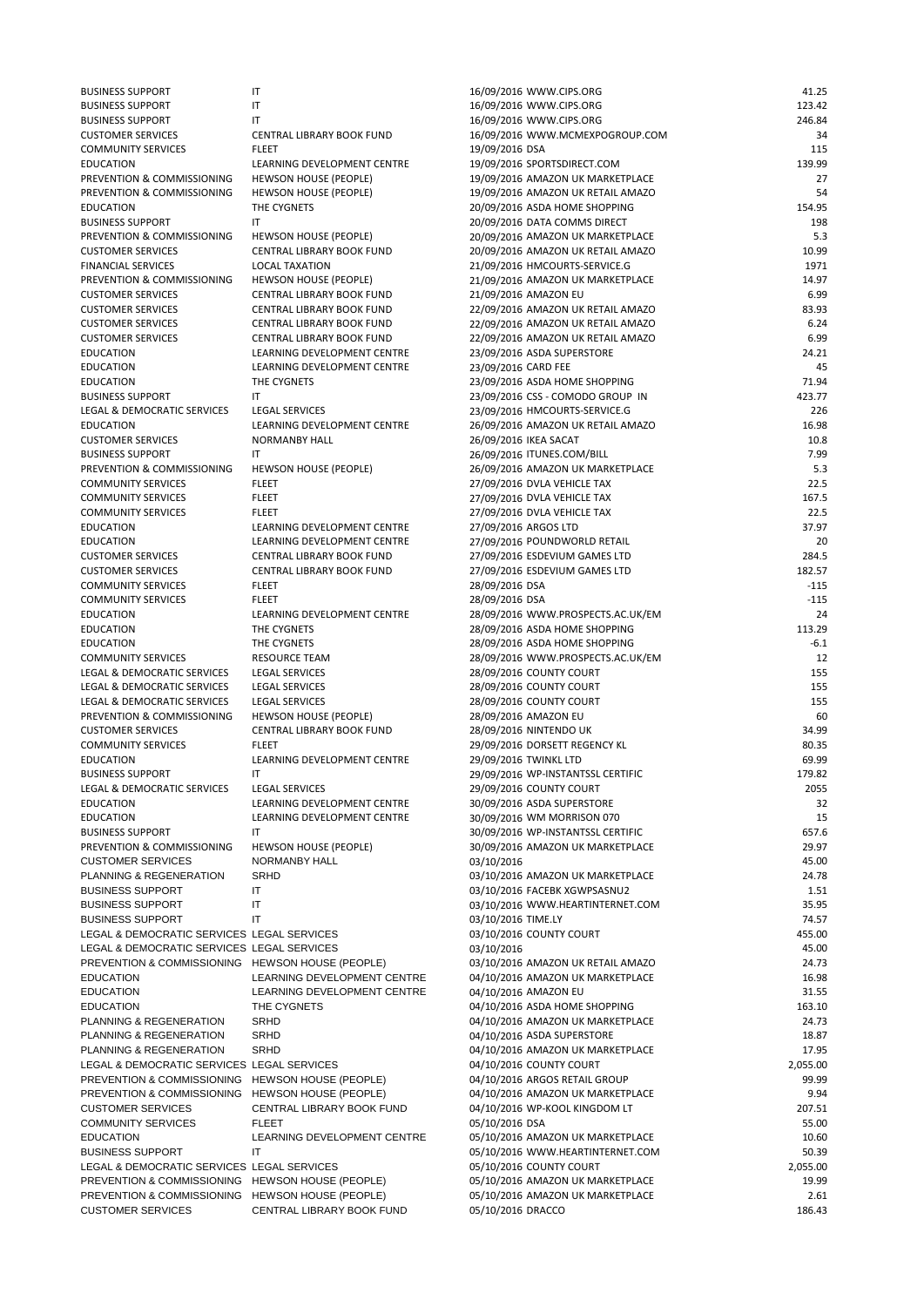| <b>BUSINESS SUPPORT</b>     | IT                               | 16/09/2016 WWW.CIPS.ORG           | 41.25  |
|-----------------------------|----------------------------------|-----------------------------------|--------|
| <b>BUSINESS SUPPORT</b>     | IT                               | 16/09/2016 WWW.CIPS.ORG           | 123.42 |
| <b>BUSINESS SUPPORT</b>     | IT                               | 16/09/2016 WWW.CIPS.ORG           | 246.84 |
| <b>CUSTOMER SERVICES</b>    | <b>CENTRAL LIBRARY BOOK FUND</b> | 16/09/2016 WWW.MCMEXPOGROUP.COM   | 34     |
| <b>COMMUNITY SERVICES</b>   | <b>FLEET</b>                     | 19/09/2016 DSA                    | 115    |
| <b>EDUCATION</b>            | LEARNING DEVELOPMENT CENTRE      | 19/09/2016 SPORTSDIRECT.COM       | 139.99 |
| PREVENTION & COMMISSIONING  | <b>HEWSON HOUSE (PEOPLE)</b>     | 19/09/2016 AMAZON UK MARKETPLACE  | 27     |
| PREVENTION & COMMISSIONING  | <b>HEWSON HOUSE (PEOPLE)</b>     | 19/09/2016 AMAZON UK RETAIL AMAZO | 54     |
| <b>EDUCATION</b>            | THE CYGNETS                      | 20/09/2016 ASDA HOME SHOPPING     | 154.95 |
| <b>BUSINESS SUPPORT</b>     | IT                               | 20/09/2016 DATA COMMS DIRECT      | 198    |
| PREVENTION & COMMISSIONING  | <b>HEWSON HOUSE (PEOPLE)</b>     | 20/09/2016 AMAZON UK MARKETPLACE  | 5.3    |
| <b>CUSTOMER SERVICES</b>    | CENTRAL LIBRARY BOOK FUND        | 20/09/2016 AMAZON UK RETAIL AMAZO | 10.99  |
| <b>FINANCIAL SERVICES</b>   | <b>LOCAL TAXATION</b>            | 21/09/2016 HMCOURTS-SERVICE.G     | 1971   |
| PREVENTION & COMMISSIONING  | <b>HEWSON HOUSE (PEOPLE)</b>     | 21/09/2016 AMAZON UK MARKETPLACE  | 14.97  |
| <b>CUSTOMER SERVICES</b>    | CENTRAL LIBRARY BOOK FUND        | 21/09/2016 AMAZON EU              | 6.99   |
| <b>CUSTOMER SERVICES</b>    | <b>CENTRAL LIBRARY BOOK FUND</b> | 22/09/2016 AMAZON UK RETAIL AMAZO | 83.93  |
| <b>CUSTOMER SERVICES</b>    | CENTRAL LIBRARY BOOK FUND        | 22/09/2016 AMAZON UK RETAIL AMAZO | 6.24   |
| <b>CUSTOMER SERVICES</b>    | CENTRAL LIBRARY BOOK FUND        | 22/09/2016 AMAZON UK RETAIL AMAZO | 6.99   |
| <b>EDUCATION</b>            | LEARNING DEVELOPMENT CENTRE      | 23/09/2016 ASDA SUPERSTORE        | 24.21  |
| <b>EDUCATION</b>            | LEARNING DEVELOPMENT CENTRE      | 23/09/2016 CARD FEE               | 45     |
| <b>EDUCATION</b>            | THE CYGNETS                      | 23/09/2016 ASDA HOME SHOPPING     | 71.94  |
| <b>BUSINESS SUPPORT</b>     | IT                               | 23/09/2016 CSS - COMODO GROUP IN  | 423.77 |
| LEGAL & DEMOCRATIC SERVICES | <b>LEGAL SERVICES</b>            |                                   | 226    |
|                             |                                  | 23/09/2016 HMCOURTS-SERVICE.G     |        |
| <b>EDUCATION</b>            | LEARNING DEVELOPMENT CENTRE      | 26/09/2016 AMAZON UK RETAIL AMAZO | 16.98  |
| <b>CUSTOMER SERVICES</b>    | <b>NORMANBY HALL</b>             | 26/09/2016 IKEA SACAT             | 10.8   |
| <b>BUSINESS SUPPORT</b>     | IT                               | 26/09/2016 ITUNES.COM/BILL        | 7.99   |
| PREVENTION & COMMISSIONING  | <b>HEWSON HOUSE (PEOPLE)</b>     | 26/09/2016 AMAZON UK MARKETPLACE  | 5.3    |
| <b>COMMUNITY SERVICES</b>   | <b>FLEET</b>                     | 27/09/2016 DVLA VEHICLE TAX       | 22.5   |
| <b>COMMUNITY SERVICES</b>   | <b>FLEET</b>                     | 27/09/2016 DVLA VEHICLE TAX       | 167.5  |
| <b>COMMUNITY SERVICES</b>   | <b>FLEET</b>                     | 27/09/2016 DVLA VEHICLE TAX       | 22.5   |
| <b>EDUCATION</b>            | LEARNING DEVELOPMENT CENTRE      | 27/09/2016 ARGOS LTD              | 37.97  |
| <b>EDUCATION</b>            | LEARNING DEVELOPMENT CENTRE      | 27/09/2016 POUNDWORLD RETAIL      | 20     |
| <b>CUSTOMER SERVICES</b>    | CENTRAL LIBRARY BOOK FUND        | 27/09/2016 ESDEVIUM GAMES LTD     | 284.5  |
| <b>CUSTOMER SERVICES</b>    | <b>CENTRAL LIBRARY BOOK FUND</b> | 27/09/2016 ESDEVIUM GAMES LTD     | 182.57 |
| <b>COMMUNITY SERVICES</b>   | <b>FLEET</b>                     | 28/09/2016 DSA                    | $-115$ |
| <b>COMMUNITY SERVICES</b>   | <b>FLEET</b>                     | 28/09/2016 DSA                    | $-115$ |
| <b>EDUCATION</b>            | LEARNING DEVELOPMENT CENTRE      | 28/09/2016 WWW.PROSPECTS.AC.UK/EM | 24     |
| <b>EDUCATION</b>            | THE CYGNETS                      | 28/09/2016 ASDA HOME SHOPPING     | 113.29 |
| <b>EDUCATION</b>            | THE CYGNETS                      | 28/09/2016 ASDA HOME SHOPPING     | $-6.1$ |
| <b>COMMUNITY SERVICES</b>   | <b>RESOURCE TEAM</b>             | 28/09/2016 WWW.PROSPECTS.AC.UK/EM | 12     |
| LEGAL & DEMOCRATIC SERVICES | <b>LEGAL SERVICES</b>            | 28/09/2016 COUNTY COURT           | 155    |
| LEGAL & DEMOCRATIC SERVICES | <b>LEGAL SERVICES</b>            | 28/09/2016 COUNTY COURT           | 155    |
| LEGAL & DEMOCRATIC SERVICES | <b>LEGAL SERVICES</b>            | 28/09/2016 COUNTY COURT           | 155    |
| PREVENTION & COMMISSIONING  | <b>HEWSON HOUSE (PEOPLE)</b>     | 28/09/2016 AMAZON EU              | 60     |
| <b>CUSTOMER SERVICES</b>    | CENTRAL LIBRARY BOOK FUND        | 28/09/2016 NINTENDO UK            | 34.99  |
| <b>COMMUNITY SERVICES</b>   | <b>FLEET</b>                     | 29/09/2016 DORSETT REGENCY KL     | 80.35  |
| <b>EDUCATION</b>            | LEARNING DEVELOPMENT CENTRE      | 29/09/2016 TWINKL LTD             | 69.99  |
| <b>BUSINESS SUPPORT</b>     | IT                               | 29/09/2016 WP-INSTANTSSL CERTIFIC | 179.82 |
| LEGAL & DEMOCRATIC SERVICES | <b>LEGAL SERVICES</b>            | 29/09/2016 COUNTY COURT           | 2055   |
| <b>EDUCATION</b>            | LEARNING DEVELOPMENT CENTRE      | 30/09/2016 ASDA SUPERSTORE        | 32     |
| <b>EDUCATION</b>            | LEARNING DEVELOPMENT CENTRE      | 30/09/2016 WM MORRISON 070        | 15     |
| <b>BUSINESS SUPPORT</b>     | IT                               | 30/09/2016 WP-INSTANTSSL CERTIFIC | 657.6  |
| PREVENTION & COMMISSIONING  | <b>HEWSON HOUSE (PEOPLE)</b>     | 30/09/2016 AMAZON UK MARKETPLACE  | 29.97  |
| <b>CUSTOMER SERVICES</b>    | NORMANBY HALL                    | 03/10/2016                        | 45.00  |
| PLANNING & REGENERATION     | <b>SRHD</b>                      | 03/10/2016 AMAZON UK MARKETPLACE  | 24.78  |
| <b>BUSINESS SUPPORT</b>     | $\mathsf{I}\mathsf{T}$           | 03/10/2016 FACEBK XGWPSASNU2      | 1.51   |
| <b>BUSINESS SUPPORT</b>     | IT                               | 03/10/2016 WWW.HEARTINTERNET.COM  | 35.95  |
|                             |                                  |                                   |        |

|                                                  |                              | $\frac{1}{2}$                     | ----     |
|--------------------------------------------------|------------------------------|-----------------------------------|----------|
| <b>BUSINESS SUPPORT</b>                          | IT                           | 03/10/2016 TIME.LY                | 74.57    |
| LEGAL & DEMOCRATIC SERVICES LEGAL SERVICES       |                              | 03/10/2016 COUNTY COURT           | 455.00   |
| LEGAL & DEMOCRATIC SERVICES LEGAL SERVICES       |                              | 03/10/2016                        | 45.00    |
| PREVENTION & COMMISSIONING HEWSON HOUSE (PEOPLE) |                              | 03/10/2016 AMAZON UK RETAIL AMAZO | 24.73    |
| <b>EDUCATION</b>                                 | LEARNING DEVELOPMENT CENTRE  | 04/10/2016 AMAZON UK MARKETPLACE  | 16.98    |
| <b>EDUCATION</b>                                 | LEARNING DEVELOPMENT CENTRE  | 04/10/2016 AMAZON EU              | 31.55    |
| <b>EDUCATION</b>                                 | THE CYGNETS                  | 04/10/2016 ASDA HOME SHOPPING     | 163.10   |
| PLANNING & REGENERATION                          | SRHD                         | 04/10/2016 AMAZON UK MARKETPLACE  | 24.73    |
| PLANNING & REGENERATION                          | SRHD                         | 04/10/2016 ASDA SUPERSTORE        | 18.87    |
| PLANNING & REGENERATION                          | <b>SRHD</b>                  | 04/10/2016 AMAZON UK MARKETPLACE  | 17.95    |
| LEGAL & DEMOCRATIC SERVICES LEGAL SERVICES       |                              | 04/10/2016 COUNTY COURT           | 2,055.00 |
| <b>PREVENTION &amp; COMMISSIONING</b>            | HEWSON HOUSE (PEOPLE)        | 04/10/2016 ARGOS RETAIL GROUP     | 99.99    |
| <b>PREVENTION &amp; COMMISSIONING</b>            | HEWSON HOUSE (PEOPLE)        | 04/10/2016 AMAZON UK MARKETPLACE  | 9.94     |
| <b>CUSTOMER SERVICES</b>                         | CENTRAL LIBRARY BOOK FUND    | 04/10/2016 WP-KOOL KINGDOM LT     | 207.51   |
| <b>COMMUNITY SERVICES</b>                        | <b>FLEET</b>                 | 05/10/2016 DSA                    | 55.00    |
| <b>EDUCATION</b>                                 | LEARNING DEVELOPMENT CENTRE  | 05/10/2016 AMAZON UK MARKETPLACE  | 10.60    |
| <b>BUSINESS SUPPORT</b>                          | IT                           | 05/10/2016 WWW.HEARTINTERNET.COM  | 50.39    |
| LEGAL & DEMOCRATIC SERVICES LEGAL SERVICES       |                              | 05/10/2016 COUNTY COURT           | 2,055.00 |
| PREVENTION & COMMISSIONING                       | <b>HEWSON HOUSE (PEOPLE)</b> | 05/10/2016 AMAZON UK MARKETPLACE  | 19.99    |
| PREVENTION & COMMISSIONING                       | HEWSON HOUSE (PEOPLE)        | 05/10/2016 AMAZON UK MARKETPLACE  | 2.61     |
| <b>CUSTOMER SERVICES</b>                         | CENTRAL LIBRARY BOOK FUND    | 05/10/2016 DRACCO                 | 186.43   |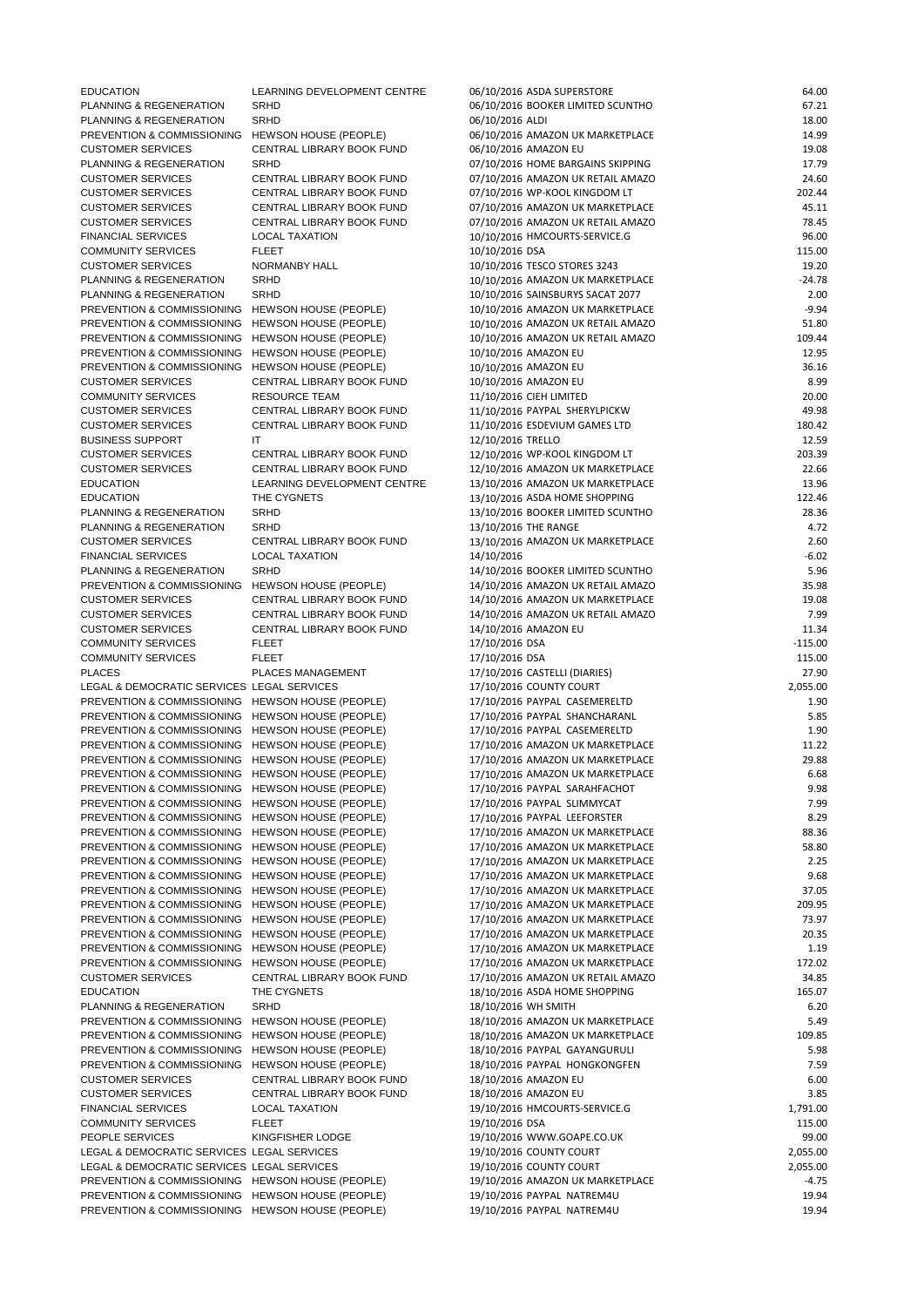| <b>EDUCATION</b>                                     | LEARNING DEVELOPMENT CENTRE  | 06/10/2016 ASDA SUPERSTORE                                                  | 64.00     |
|------------------------------------------------------|------------------------------|-----------------------------------------------------------------------------|-----------|
| PLANNING & REGENERATION                              | <b>SRHD</b>                  | 06/10/2016 BOOKER LIMITED SCUNTHO                                           | 67.21     |
| PLANNING & REGENERATION                              | <b>SRHD</b>                  | 06/10/2016 ALDI                                                             | 18.00     |
| PREVENTION & COMMISSIONING                           | <b>HEWSON HOUSE (PEOPLE)</b> | 06/10/2016 AMAZON UK MARKETPLACE                                            | 14.99     |
| <b>CUSTOMER SERVICES</b>                             | CENTRAL LIBRARY BOOK FUND    | 06/10/2016 AMAZON EU                                                        | 19.08     |
| PLANNING & REGENERATION                              | <b>SRHD</b>                  | 07/10/2016 HOME BARGAINS SKIPPING                                           | 17.79     |
| <b>CUSTOMER SERVICES</b>                             | CENTRAL LIBRARY BOOK FUND    | 07/10/2016 AMAZON UK RETAIL AMAZO                                           | 24.60     |
| <b>CUSTOMER SERVICES</b>                             | CENTRAL LIBRARY BOOK FUND    | 07/10/2016 WP-KOOL KINGDOM LT                                               | 202.44    |
| <b>CUSTOMER SERVICES</b>                             | CENTRAL LIBRARY BOOK FUND    | 07/10/2016 AMAZON UK MARKETPLACE                                            | 45.11     |
| <b>CUSTOMER SERVICES</b>                             | CENTRAL LIBRARY BOOK FUND    | 07/10/2016 AMAZON UK RETAIL AMAZO                                           | 78.45     |
| <b>FINANCIAL SERVICES</b>                            | <b>LOCAL TAXATION</b>        | 10/10/2016 HMCOURTS-SERVICE.G                                               | 96.00     |
| <b>COMMUNITY SERVICES</b>                            | <b>FLEET</b>                 | 10/10/2016 DSA                                                              | 115.00    |
| <b>CUSTOMER SERVICES</b>                             | NORMANBY HALL                | 10/10/2016 TESCO STORES 3243                                                | 19.20     |
| PLANNING & REGENERATION                              | <b>SRHD</b>                  | 10/10/2016 AMAZON UK MARKETPLACE                                            | $-24.78$  |
| PLANNING & REGENERATION                              | <b>SRHD</b>                  | 10/10/2016 SAINSBURYS SACAT 2077                                            | 2.00      |
| PREVENTION & COMMISSIONING                           | <b>HEWSON HOUSE (PEOPLE)</b> | 10/10/2016 AMAZON UK MARKETPLACE                                            | $-9.94$   |
| PREVENTION & COMMISSIONING                           | <b>HEWSON HOUSE (PEOPLE)</b> | 10/10/2016 AMAZON UK RETAIL AMAZO                                           | 51.80     |
| PREVENTION & COMMISSIONING                           | <b>HEWSON HOUSE (PEOPLE)</b> | 10/10/2016 AMAZON UK RETAIL AMAZO                                           | 109.44    |
| PREVENTION & COMMISSIONING                           | <b>HEWSON HOUSE (PEOPLE)</b> | 10/10/2016 AMAZON EU                                                        | 12.95     |
| PREVENTION & COMMISSIONING                           | HEWSON HOUSE (PEOPLE)        | 10/10/2016 AMAZON EU                                                        | 36.16     |
| <b>CUSTOMER SERVICES</b>                             | CENTRAL LIBRARY BOOK FUND    | 10/10/2016 AMAZON EU                                                        | 8.99      |
| <b>COMMUNITY SERVICES</b>                            | <b>RESOURCE TEAM</b>         | 11/10/2016 CIEH LIMITED                                                     | 20.00     |
| <b>CUSTOMER SERVICES</b>                             | CENTRAL LIBRARY BOOK FUND    | 11/10/2016 PAYPAL SHERYLPICKW                                               | 49.98     |
| <b>CUSTOMER SERVICES</b>                             | CENTRAL LIBRARY BOOK FUND    | 11/10/2016 ESDEVIUM GAMES LTD                                               | 180.42    |
| <b>BUSINESS SUPPORT</b>                              | IT                           | 12/10/2016 TRELLO                                                           | 12.59     |
| <b>CUSTOMER SERVICES</b>                             | CENTRAL LIBRARY BOOK FUND    | 12/10/2016 WP-KOOL KINGDOM LT                                               | 203.39    |
| <b>CUSTOMER SERVICES</b>                             | CENTRAL LIBRARY BOOK FUND    | 12/10/2016 AMAZON UK MARKETPLACE                                            | 22.66     |
| <b>EDUCATION</b>                                     | LEARNING DEVELOPMENT CENTRE  | 13/10/2016 AMAZON UK MARKETPLACE                                            | 13.96     |
| <b>EDUCATION</b>                                     | THE CYGNETS                  | 13/10/2016 ASDA HOME SHOPPING                                               | 122.46    |
| PLANNING & REGENERATION                              | <b>SRHD</b>                  | 13/10/2016 BOOKER LIMITED SCUNTHO                                           | 28.36     |
| PLANNING & REGENERATION                              | <b>SRHD</b>                  | 13/10/2016 THE RANGE                                                        | 4.72      |
| <b>CUSTOMER SERVICES</b>                             | CENTRAL LIBRARY BOOK FUND    | 13/10/2016 AMAZON UK MARKETPLACE                                            | 2.60      |
| <b>FINANCIAL SERVICES</b>                            | <b>LOCAL TAXATION</b>        | 14/10/2016                                                                  | $-6.02$   |
| PLANNING & REGENERATION                              | <b>SRHD</b>                  | 14/10/2016 BOOKER LIMITED SCUNTHO                                           | 5.96      |
| PREVENTION & COMMISSIONING                           | HEWSON HOUSE (PEOPLE)        | 14/10/2016 AMAZON UK RETAIL AMAZO                                           | 35.98     |
| <b>CUSTOMER SERVICES</b>                             | CENTRAL LIBRARY BOOK FUND    | 14/10/2016 AMAZON UK MARKETPLACE                                            | 19.08     |
| <b>CUSTOMER SERVICES</b>                             | CENTRAL LIBRARY BOOK FUND    | 14/10/2016 AMAZON UK RETAIL AMAZO                                           | 7.99      |
| <b>CUSTOMER SERVICES</b>                             | CENTRAL LIBRARY BOOK FUND    | 14/10/2016 AMAZON EU                                                        | 11.34     |
| <b>COMMUNITY SERVICES</b>                            | <b>FLEET</b>                 | 17/10/2016 DSA                                                              | $-115.00$ |
| <b>COMMUNITY SERVICES</b>                            | <b>FLEET</b>                 | 17/10/2016 DSA                                                              | 115.00    |
| <b>PLACES</b>                                        | PLACES MANAGEMENT            | 17/10/2016 CASTELLI (DIARIES)                                               | 27.90     |
| LEGAL & DEMOCRATIC SERVICES LEGAL SERVICES           |                              | 17/10/2016 COUNTY COURT                                                     | 2,055.00  |
| PREVENTION & COMMISSIONING                           | HEWSON HOUSE (PEOPLE)        | 17/10/2016 PAYPAL CASEMERELTD                                               | 1.90      |
| PREVENTION & COMMISSIONING                           | <b>HEWSON HOUSE (PEOPLE)</b> | 17/10/2016 PAYPAL SHANCHARANL                                               | 5.85      |
| PREVENTION & COMMISSIONING                           | HEWSON HOUSE (PEOPLE)        | 17/10/2016 PAYPAL CASEMERELTD                                               | 1.90      |
| PREVENTION & COMMISSIONING                           | <b>HEWSON HOUSE (PEOPLE)</b> | 17/10/2016 AMAZON UK MARKETPLACE                                            | 11.22     |
| PREVENTION & COMMISSIONING                           | <b>HEWSON HOUSE (PEOPLE)</b> | 17/10/2016 AMAZON UK MARKETPLACE                                            | 29.88     |
| PREVENTION & COMMISSIONING                           | HEWSON HOUSE (PEOPLE)        | 17/10/2016 AMAZON UK MARKETPLACE                                            | 6.68      |
| PREVENTION & COMMISSIONING                           | <b>HEWSON HOUSE (PEOPLE)</b> | 17/10/2016 PAYPAL SARAHFACHOT                                               | 9.98      |
| PREVENTION & COMMISSIONING                           | <b>HEWSON HOUSE (PEOPLE)</b> | 17/10/2016 PAYPAL SLIMMYCAT                                                 | 7.99      |
| PREVENTION & COMMISSIONING                           | <b>HEWSON HOUSE (PEOPLE)</b> | 17/10/2016 PAYPAL LEEFORSTER                                                | 8.29      |
| PREVENTION & COMMISSIONING                           | <b>HEWSON HOUSE (PEOPLE)</b> | 17/10/2016 AMAZON UK MARKETPLACE                                            | 88.36     |
| PREVENTION & COMMISSIONING                           | HEWSON HOUSE (PEOPLE)        | 17/10/2016 AMAZON UK MARKETPLACE                                            | 58.80     |
| PREVENTION & COMMISSIONING                           | <b>HEWSON HOUSE (PEOPLE)</b> | 17/10/2016 AMAZON UK MARKETPLACE                                            | 2.25      |
| PREVENTION & COMMISSIONING                           | <b>HEWSON HOUSE (PEOPLE)</b> | 17/10/2016 AMAZON UK MARKETPLACE                                            | 9.68      |
| PREVENTION & COMMISSIONING                           |                              |                                                                             | 37.05     |
| $T$ NITION & COMMICOLONINIO LIFIMOON LIQUOF (DEODLE) | <b>HEWSON HOUSE (PEOPLE)</b> | 17/10/2016 AMAZON UK MARKETPLACE<br>$7/40/204C$ ABAAZONI UIZ BAADIZETDI ACE | 20000     |

|                                            |                              | 17/10/2016 AMAZON UK MARKETPLACE  | 209.95   |
|--------------------------------------------|------------------------------|-----------------------------------|----------|
| PREVENTION & COMMISSIONING                 | <b>HEWSON HOUSE (PEOPLE)</b> | 17/10/2016 AMAZON UK MARKETPLACE  | 73.97    |
| PREVENTION & COMMISSIONING                 | <b>HEWSON HOUSE (PEOPLE)</b> | 17/10/2016 AMAZON UK MARKETPLACE  | 20.35    |
| PREVENTION & COMMISSIONING                 | <b>HEWSON HOUSE (PEOPLE)</b> | 17/10/2016 AMAZON UK MARKETPLACE  | 1.19     |
| PREVENTION & COMMISSIONING                 | <b>HEWSON HOUSE (PEOPLE)</b> | 17/10/2016 AMAZON UK MARKETPLACE  | 172.02   |
| <b>CUSTOMER SERVICES</b>                   | CENTRAL LIBRARY BOOK FUND    | 17/10/2016 AMAZON UK RETAIL AMAZO | 34.85    |
| <b>EDUCATION</b>                           | THE CYGNETS                  | 18/10/2016 ASDA HOME SHOPPING     | 165.07   |
| PLANNING & REGENERATION                    | <b>SRHD</b>                  | 18/10/2016 WH SMITH               | 6.20     |
| PREVENTION & COMMISSIONING                 | <b>HEWSON HOUSE (PEOPLE)</b> | 18/10/2016 AMAZON UK MARKETPLACE  | 5.49     |
| PREVENTION & COMMISSIONING                 | <b>HEWSON HOUSE (PEOPLE)</b> | 18/10/2016 AMAZON UK MARKETPLACE  | 109.85   |
| PREVENTION & COMMISSIONING                 | HEWSON HOUSE (PEOPLE)        | 18/10/2016 PAYPAL GAYANGURULI     | 5.98     |
| PREVENTION & COMMISSIONING                 | <b>HEWSON HOUSE (PEOPLE)</b> | 18/10/2016 PAYPAL HONGKONGFEN     | 7.59     |
| <b>CUSTOMER SERVICES</b>                   | CENTRAL LIBRARY BOOK FUND    | 18/10/2016 AMAZON EU              | 6.00     |
| <b>CUSTOMER SERVICES</b>                   | CENTRAL LIBRARY BOOK FUND    | 18/10/2016 AMAZON EU              | 3.85     |
| <b>FINANCIAL SERVICES</b>                  | <b>LOCAL TAXATION</b>        | 19/10/2016 HMCOURTS-SERVICE.G     | 1,791.00 |
| <b>COMMUNITY SERVICES</b>                  | <b>FLEET</b>                 | 19/10/2016 DSA                    | 115.00   |
| PEOPLE SERVICES                            | KINGFISHER LODGE             | 19/10/2016 WWW.GOAPE.CO.UK        | 99.00    |
| LEGAL & DEMOCRATIC SERVICES LEGAL SERVICES |                              | 19/10/2016 COUNTY COURT           | 2,055.00 |
| LEGAL & DEMOCRATIC SERVICES LEGAL SERVICES |                              | 19/10/2016 COUNTY COURT           | 2,055.00 |
| PREVENTION & COMMISSIONING                 | <b>HEWSON HOUSE (PEOPLE)</b> | 19/10/2016 AMAZON UK MARKETPLACE  | $-4.75$  |
| PREVENTION & COMMISSIONING                 | <b>HEWSON HOUSE (PEOPLE)</b> | 19/10/2016 PAYPAL NATREM4U        | 19.94    |
| PREVENTION & COMMISSIONING                 | <b>HEWSON HOUSE (PEOPLE)</b> | 19/10/2016 PAYPAL NATREM4U        | 19.94    |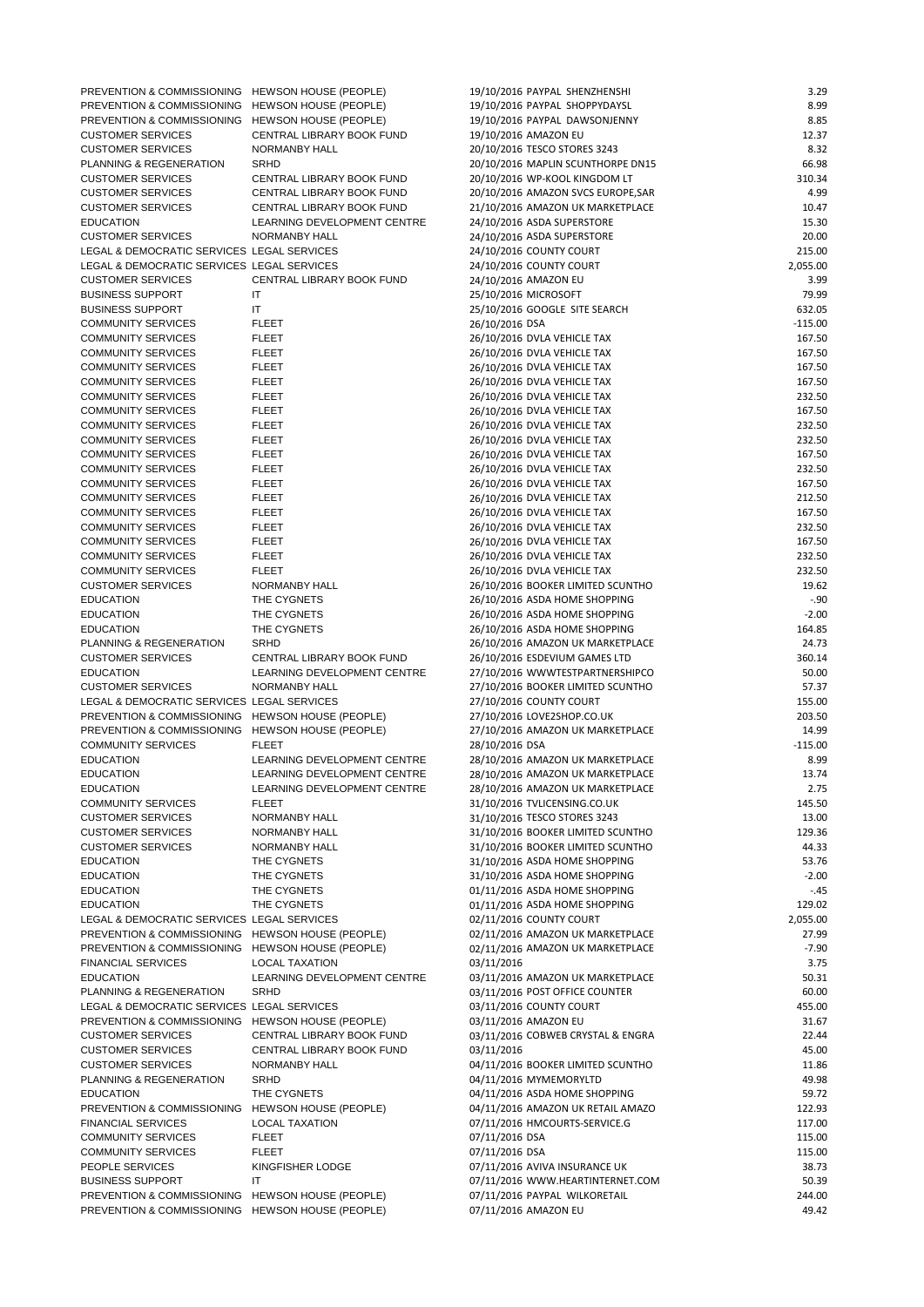| PREVENTION & COMMISSIONING HEWSON HOUSE (PEOPLE) |                              | 19/10/2016 PAYPAL SHENZHENSHI      | 3.29      |
|--------------------------------------------------|------------------------------|------------------------------------|-----------|
| PREVENTION & COMMISSIONING HEWSON HOUSE (PEOPLE) |                              | 19/10/2016 PAYPAL SHOPPYDAYSL      | 8.99      |
| PREVENTION & COMMISSIONING HEWSON HOUSE (PEOPLE) |                              | 19/10/2016 PAYPAL DAWSONJENNY      | 8.85      |
| <b>CUSTOMER SERVICES</b>                         | CENTRAL LIBRARY BOOK FUND    | 19/10/2016 AMAZON EU               | 12.37     |
| <b>CUSTOMER SERVICES</b>                         | NORMANBY HALL                | 20/10/2016 TESCO STORES 3243       | 8.32      |
| PLANNING & REGENERATION                          | <b>SRHD</b>                  | 20/10/2016 MAPLIN SCUNTHORPE DN15  | 66.98     |
| <b>CUSTOMER SERVICES</b>                         | CENTRAL LIBRARY BOOK FUND    | 20/10/2016 WP-KOOL KINGDOM LT      | 310.34    |
| <b>CUSTOMER SERVICES</b>                         | CENTRAL LIBRARY BOOK FUND    | 20/10/2016 AMAZON SVCS EUROPE, SAR | 4.99      |
| <b>CUSTOMER SERVICES</b>                         | CENTRAL LIBRARY BOOK FUND    | 21/10/2016 AMAZON UK MARKETPLACE   | 10.47     |
| <b>EDUCATION</b>                                 | LEARNING DEVELOPMENT CENTRE  | 24/10/2016 ASDA SUPERSTORE         | 15.30     |
| <b>CUSTOMER SERVICES</b>                         | NORMANBY HALL                | 24/10/2016 ASDA SUPERSTORE         | 20.00     |
| LEGAL & DEMOCRATIC SERVICES LEGAL SERVICES       |                              | 24/10/2016 COUNTY COURT            | 215.00    |
| LEGAL & DEMOCRATIC SERVICES LEGAL SERVICES       |                              | 24/10/2016 COUNTY COURT            | 2,055.00  |
| <b>CUSTOMER SERVICES</b>                         | CENTRAL LIBRARY BOOK FUND    | 24/10/2016 AMAZON EU               | 3.99      |
| <b>BUSINESS SUPPORT</b>                          | IT                           | 25/10/2016 MICROSOFT               | 79.99     |
| <b>BUSINESS SUPPORT</b>                          | IT                           | 25/10/2016 GOOGLE SITE SEARCH      | 632.05    |
| <b>COMMUNITY SERVICES</b>                        | <b>FLEET</b>                 | 26/10/2016 DSA                     | $-115.00$ |
| <b>COMMUNITY SERVICES</b>                        | <b>FLEET</b>                 | 26/10/2016 DVLA VEHICLE TAX        | 167.50    |
| <b>COMMUNITY SERVICES</b>                        | <b>FLEET</b>                 | 26/10/2016 DVLA VEHICLE TAX        | 167.50    |
| <b>COMMUNITY SERVICES</b>                        | <b>FLEET</b>                 | 26/10/2016 DVLA VEHICLE TAX        | 167.50    |
| <b>COMMUNITY SERVICES</b>                        | <b>FLEET</b>                 | 26/10/2016 DVLA VEHICLE TAX        | 167.50    |
| <b>COMMUNITY SERVICES</b>                        | <b>FLEET</b>                 | 26/10/2016 DVLA VEHICLE TAX        | 232.50    |
| <b>COMMUNITY SERVICES</b>                        | <b>FLEET</b>                 | 26/10/2016 DVLA VEHICLE TAX        | 167.50    |
| <b>COMMUNITY SERVICES</b>                        | <b>FLEET</b>                 | 26/10/2016 DVLA VEHICLE TAX        | 232.50    |
| <b>COMMUNITY SERVICES</b>                        | <b>FLEET</b>                 | 26/10/2016 DVLA VEHICLE TAX        | 232.50    |
| <b>COMMUNITY SERVICES</b>                        | <b>FLEET</b>                 | 26/10/2016 DVLA VEHICLE TAX        | 167.50    |
| <b>COMMUNITY SERVICES</b>                        | <b>FLEET</b>                 | 26/10/2016 DVLA VEHICLE TAX        | 232.50    |
| <b>COMMUNITY SERVICES</b>                        | <b>FLEET</b>                 | 26/10/2016 DVLA VEHICLE TAX        | 167.50    |
| <b>COMMUNITY SERVICES</b>                        | <b>FLEET</b>                 | 26/10/2016 DVLA VEHICLE TAX        | 212.50    |
| <b>COMMUNITY SERVICES</b>                        | <b>FLEET</b>                 | 26/10/2016 DVLA VEHICLE TAX        | 167.50    |
| <b>COMMUNITY SERVICES</b>                        | <b>FLEET</b>                 | 26/10/2016 DVLA VEHICLE TAX        | 232.50    |
| <b>COMMUNITY SERVICES</b>                        | <b>FLEET</b>                 | 26/10/2016 DVLA VEHICLE TAX        | 167.50    |
| <b>COMMUNITY SERVICES</b>                        | <b>FLEET</b>                 | 26/10/2016 DVLA VEHICLE TAX        | 232.50    |
| <b>COMMUNITY SERVICES</b>                        | <b>FLEET</b>                 | 26/10/2016 DVLA VEHICLE TAX        | 232.50    |
| <b>CUSTOMER SERVICES</b>                         | NORMANBY HALL                | 26/10/2016 BOOKER LIMITED SCUNTHO  | 19.62     |
| <b>EDUCATION</b>                                 | THE CYGNETS                  | 26/10/2016 ASDA HOME SHOPPING      | $-.90$    |
| <b>EDUCATION</b>                                 | THE CYGNETS                  | 26/10/2016 ASDA HOME SHOPPING      | $-2.00$   |
| <b>EDUCATION</b>                                 | THE CYGNETS                  | 26/10/2016 ASDA HOME SHOPPING      | 164.85    |
| PLANNING & REGENERATION                          | <b>SRHD</b>                  | 26/10/2016 AMAZON UK MARKETPLACE   | 24.73     |
| <b>CUSTOMER SERVICES</b>                         | CENTRAL LIBRARY BOOK FUND    | 26/10/2016 ESDEVIUM GAMES LTD      | 360.14    |
| <b>EDUCATION</b>                                 | LEARNING DEVELOPMENT CENTRE  | 27/10/2016 WWWTESTPARTNERSHIPCO    | 50.00     |
| <b>CUSTOMER SERVICES</b>                         | NORMANBY HALL                | 27/10/2016 BOOKER LIMITED SCUNTHO  | 57.37     |
| LEGAL & DEMOCRATIC SERVICES LEGAL SERVICES       |                              | 27/10/2016 COUNTY COURT            | 155.00    |
| PREVENTION & COMMISSIONING HEWSON HOUSE (PEOPLE) |                              | 27/10/2016 LOVE2SHOP.CO.UK         | 203.50    |
| PREVENTION & COMMISSIONING                       | <b>HEWSON HOUSE (PEOPLE)</b> | 27/10/2016 AMAZON UK MARKETPLACE   | 14.99     |
| <b>COMMUNITY SERVICES</b>                        | <b>FLEET</b>                 | 28/10/2016 DSA                     | $-115.00$ |
| <b>EDUCATION</b>                                 | LEARNING DEVELOPMENT CENTRE  | 28/10/2016 AMAZON UK MARKETPLACE   | 8.99      |
| <b>EDUCATION</b>                                 | LEARNING DEVELOPMENT CENTRE  | 28/10/2016 AMAZON UK MARKETPLACE   | 13.74     |
| <b>EDUCATION</b>                                 | LEARNING DEVELOPMENT CENTRE  | 28/10/2016 AMAZON UK MARKETPLACE   | 2.75      |
| <b>COMMUNITY SERVICES</b>                        | <b>FLEET</b>                 | 31/10/2016 TVLICENSING.CO.UK       | 145.50    |
| <b>CUSTOMER SERVICES</b>                         | NORMANBY HALL                | 31/10/2016 TESCO STORES 3243       | 13.00     |
| <b>CUSTOMER SERVICES</b>                         | NORMANBY HALL                | 31/10/2016 BOOKER LIMITED SCUNTHO  | 129.36    |
| <b>CUSTOMER SERVICES</b>                         | NORMANBY HALL                | 31/10/2016 BOOKER LIMITED SCUNTHO  | 44.33     |
| <b>EDUCATION</b>                                 | THE CYGNETS                  | 31/10/2016 ASDA HOME SHOPPING      | 53.76     |
| <b>EDUCATION</b>                                 | THE CYGNETS                  | 31/10/2016 ASDA HOME SHOPPING      | $-2.00$   |
| <b>EDUCATION</b>                                 | THE CYGNETS                  | 01/11/2016 ASDA HOME SHOPPING      | $-.45$    |
| <b>EDUCATION</b>                                 | THE CVONETS                  | 01/11/2016 ACDA HOME CHODDING      | 12002     |

| <b>EDUCATION</b>                                 | THE CYGNETS                  | 01/11/2016 ASDA HOME SHOPPING     | 129.02   |
|--------------------------------------------------|------------------------------|-----------------------------------|----------|
| LEGAL & DEMOCRATIC SERVICES LEGAL SERVICES       |                              | 02/11/2016 COUNTY COURT           | 2,055.00 |
| PREVENTION & COMMISSIONING HEWSON HOUSE (PEOPLE) |                              | 02/11/2016 AMAZON UK MARKETPLACE  | 27.99    |
| PREVENTION & COMMISSIONING                       | HEWSON HOUSE (PEOPLE)        | 02/11/2016 AMAZON UK MARKETPLACE  | $-7.90$  |
| <b>FINANCIAL SERVICES</b>                        | <b>LOCAL TAXATION</b>        | 03/11/2016                        | 3.75     |
| <b>EDUCATION</b>                                 | LEARNING DEVELOPMENT CENTRE  | 03/11/2016 AMAZON UK MARKETPLACE  | 50.31    |
| PLANNING & REGENERATION                          | <b>SRHD</b>                  | 03/11/2016 POST OFFICE COUNTER    | 60.00    |
| LEGAL & DEMOCRATIC SERVICES LEGAL SERVICES       |                              | 03/11/2016 COUNTY COURT           | 455.00   |
| PREVENTION & COMMISSIONING                       | <b>HEWSON HOUSE (PEOPLE)</b> | 03/11/2016 AMAZON EU              | 31.67    |
| <b>CUSTOMER SERVICES</b>                         | CENTRAL LIBRARY BOOK FUND    | 03/11/2016 COBWEB CRYSTAL & ENGRA | 22.44    |
| <b>CUSTOMER SERVICES</b>                         | CENTRAL LIBRARY BOOK FUND    | 03/11/2016                        | 45.00    |
| <b>CUSTOMER SERVICES</b>                         | NORMANBY HALL                | 04/11/2016 BOOKER LIMITED SCUNTHO | 11.86    |
| PLANNING & REGENERATION                          | <b>SRHD</b>                  | 04/11/2016 MYMEMORYLTD            | 49.98    |
| <b>EDUCATION</b>                                 | THE CYGNETS                  | 04/11/2016 ASDA HOME SHOPPING     | 59.72    |
| <b>PREVENTION &amp; COMMISSIONING</b>            | <b>HEWSON HOUSE (PEOPLE)</b> | 04/11/2016 AMAZON UK RETAIL AMAZO | 122.93   |
| <b>FINANCIAL SERVICES</b>                        | <b>LOCAL TAXATION</b>        | 07/11/2016 HMCOURTS-SERVICE.G     | 117.00   |
| <b>COMMUNITY SERVICES</b>                        | <b>FLEET</b>                 | 07/11/2016 DSA                    | 115.00   |
| <b>COMMUNITY SERVICES</b>                        | <b>FLEET</b>                 | 07/11/2016 DSA                    | 115.00   |
| PEOPLE SERVICES                                  | KINGFISHER LODGE             | 07/11/2016 AVIVA INSURANCE UK     | 38.73    |
| <b>BUSINESS SUPPORT</b>                          | IT                           | 07/11/2016 WWW.HEARTINTERNET.COM  | 50.39    |
| PREVENTION & COMMISSIONING                       | HEWSON HOUSE (PEOPLE)        | 07/11/2016 PAYPAL WILKORETAIL     | 244.00   |
| PREVENTION & COMMISSIONING                       | HEWSON HOUSE (PEOPLE)        | 07/11/2016 AMAZON EU              | 49.42    |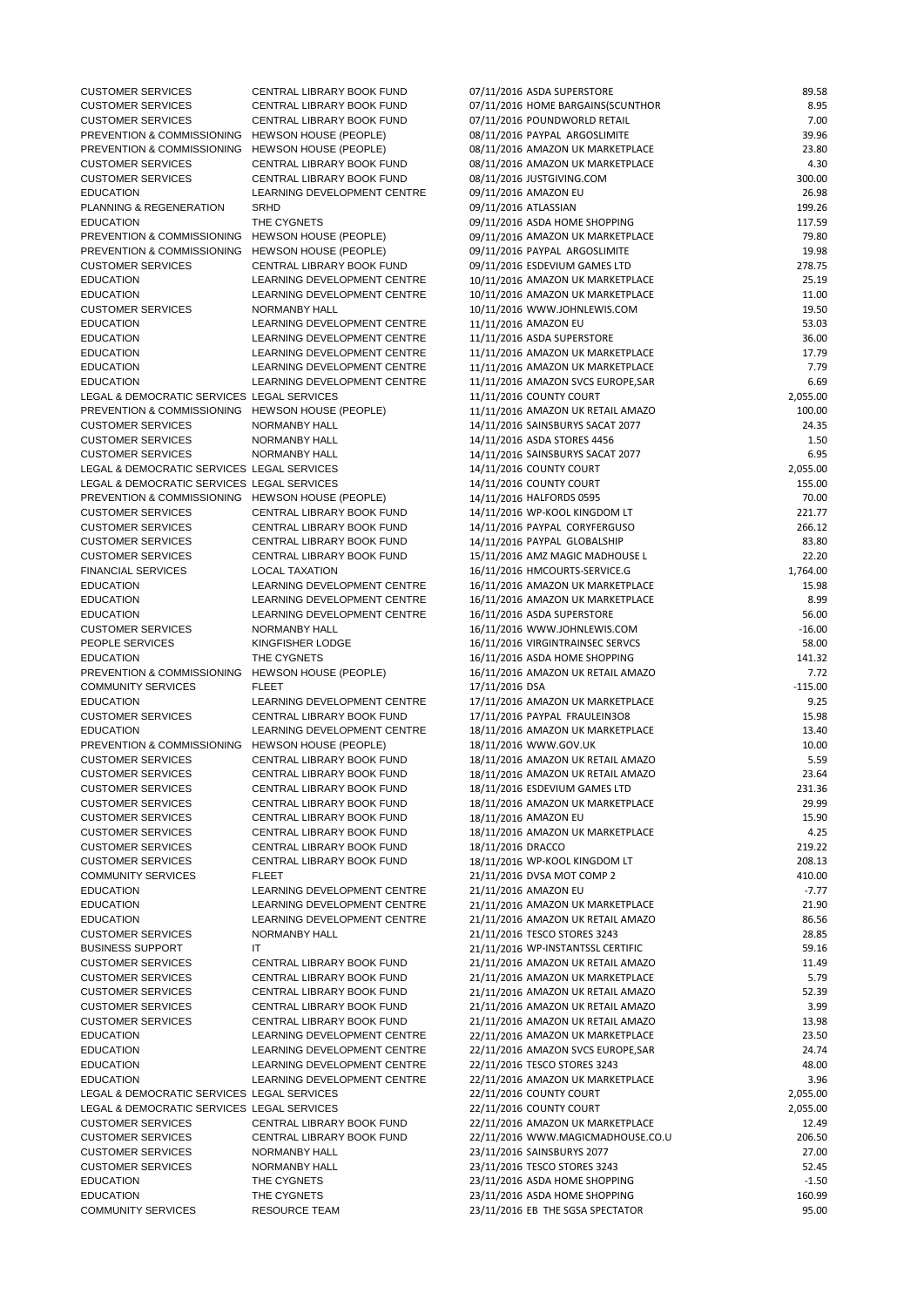| <b>CUSTOMER SERVICES</b>                         | CENTRAL LIBRARY BOOK FUND    | 07/11/2016 ASDA SUPERSTORE         | 89.58     |
|--------------------------------------------------|------------------------------|------------------------------------|-----------|
| <b>CUSTOMER SERVICES</b>                         | CENTRAL LIBRARY BOOK FUND    | 07/11/2016 HOME BARGAINS(SCUNTHOR  | 8.95      |
| <b>CUSTOMER SERVICES</b>                         | CENTRAL LIBRARY BOOK FUND    | 07/11/2016 POUNDWORLD RETAIL       | 7.00      |
| PREVENTION & COMMISSIONING                       | HEWSON HOUSE (PEOPLE)        | 08/11/2016 PAYPAL ARGOSLIMITE      | 39.96     |
| PREVENTION & COMMISSIONING                       | <b>HEWSON HOUSE (PEOPLE)</b> | 08/11/2016 AMAZON UK MARKETPLACE   | 23.80     |
| <b>CUSTOMER SERVICES</b>                         | CENTRAL LIBRARY BOOK FUND    | 08/11/2016 AMAZON UK MARKETPLACE   | 4.30      |
| <b>CUSTOMER SERVICES</b>                         | CENTRAL LIBRARY BOOK FUND    | 08/11/2016 JUSTGIVING.COM          | 300.00    |
| <b>EDUCATION</b>                                 | LEARNING DEVELOPMENT CENTRE  | 09/11/2016 AMAZON EU               | 26.98     |
| PLANNING & REGENERATION                          | <b>SRHD</b>                  | 09/11/2016 ATLASSIAN               | 199.26    |
| <b>EDUCATION</b>                                 | THE CYGNETS                  | 09/11/2016 ASDA HOME SHOPPING      | 117.59    |
| PREVENTION & COMMISSIONING HEWSON HOUSE (PEOPLE) |                              | 09/11/2016 AMAZON UK MARKETPLACE   | 79.80     |
| PREVENTION & COMMISSIONING HEWSON HOUSE (PEOPLE) |                              | 09/11/2016 PAYPAL ARGOSLIMITE      | 19.98     |
| <b>CUSTOMER SERVICES</b>                         | CENTRAL LIBRARY BOOK FUND    | 09/11/2016 ESDEVIUM GAMES LTD      | 278.75    |
| <b>EDUCATION</b>                                 | LEARNING DEVELOPMENT CENTRE  | 10/11/2016 AMAZON UK MARKETPLACE   | 25.19     |
| <b>EDUCATION</b>                                 | LEARNING DEVELOPMENT CENTRE  | 10/11/2016 AMAZON UK MARKETPLACE   | 11.00     |
| <b>CUSTOMER SERVICES</b>                         | NORMANBY HALL                | 10/11/2016 WWW.JOHNLEWIS.COM       | 19.50     |
| <b>EDUCATION</b>                                 | LEARNING DEVELOPMENT CENTRE  | 11/11/2016 AMAZON EU               | 53.03     |
| <b>EDUCATION</b>                                 | LEARNING DEVELOPMENT CENTRE  | 11/11/2016 ASDA SUPERSTORE         | 36.00     |
| <b>EDUCATION</b>                                 | LEARNING DEVELOPMENT CENTRE  | 11/11/2016 AMAZON UK MARKETPLACE   | 17.79     |
| <b>EDUCATION</b>                                 | LEARNING DEVELOPMENT CENTRE  | 11/11/2016 AMAZON UK MARKETPLACE   | 7.79      |
| <b>EDUCATION</b>                                 | LEARNING DEVELOPMENT CENTRE  | 11/11/2016 AMAZON SVCS EUROPE, SAR | 6.69      |
| LEGAL & DEMOCRATIC SERVICES LEGAL SERVICES       |                              | 11/11/2016 COUNTY COURT            | 2,055.00  |
| PREVENTION & COMMISSIONING HEWSON HOUSE (PEOPLE) |                              | 11/11/2016 AMAZON UK RETAIL AMAZO  | 100.00    |
| <b>CUSTOMER SERVICES</b>                         | NORMANBY HALL                | 14/11/2016 SAINSBURYS SACAT 2077   | 24.35     |
| <b>CUSTOMER SERVICES</b>                         | NORMANBY HALL                | 14/11/2016 ASDA STORES 4456        | 1.50      |
| <b>CUSTOMER SERVICES</b>                         | NORMANBY HALL                | 14/11/2016 SAINSBURYS SACAT 2077   | 6.95      |
| LEGAL & DEMOCRATIC SERVICES LEGAL SERVICES       |                              | 14/11/2016 COUNTY COURT            | 2,055.00  |
| LEGAL & DEMOCRATIC SERVICES LEGAL SERVICES       |                              | 14/11/2016 COUNTY COURT            | 155.00    |
| PREVENTION & COMMISSIONING HEWSON HOUSE (PEOPLE) |                              | 14/11/2016 HALFORDS 0595           | 70.00     |
| <b>CUSTOMER SERVICES</b>                         | CENTRAL LIBRARY BOOK FUND    | 14/11/2016 WP-KOOL KINGDOM LT      | 221.77    |
| <b>CUSTOMER SERVICES</b>                         | CENTRAL LIBRARY BOOK FUND    | 14/11/2016 PAYPAL CORYFERGUSO      | 266.12    |
| <b>CUSTOMER SERVICES</b>                         | CENTRAL LIBRARY BOOK FUND    | 14/11/2016 PAYPAL GLOBALSHIP       | 83.80     |
| <b>CUSTOMER SERVICES</b>                         | CENTRAL LIBRARY BOOK FUND    | 15/11/2016 AMZ MAGIC MADHOUSE L    | 22.20     |
| <b>FINANCIAL SERVICES</b>                        | <b>LOCAL TAXATION</b>        | 16/11/2016 HMCOURTS-SERVICE.G      | 1,764.00  |
| <b>EDUCATION</b>                                 | LEARNING DEVELOPMENT CENTRE  | 16/11/2016 AMAZON UK MARKETPLACE   | 15.98     |
| <b>EDUCATION</b>                                 | LEARNING DEVELOPMENT CENTRE  | 16/11/2016 AMAZON UK MARKETPLACE   | 8.99      |
| <b>EDUCATION</b>                                 | LEARNING DEVELOPMENT CENTRE  | 16/11/2016 ASDA SUPERSTORE         | 56.00     |
| <b>CUSTOMER SERVICES</b>                         | NORMANBY HALL                | 16/11/2016 WWW.JOHNLEWIS.COM       | $-16.00$  |
| PEOPLE SERVICES                                  | KINGFISHER LODGE             | 16/11/2016 VIRGINTRAINSEC SERVCS   | 58.00     |
| <b>EDUCATION</b>                                 | THE CYGNETS                  | 16/11/2016 ASDA HOME SHOPPING      | 141.32    |
| PREVENTION & COMMISSIONING HEWSON HOUSE (PEOPLE) |                              | 16/11/2016 AMAZON UK RETAIL AMAZO  | 7.72      |
| <b>COMMUNITY SERVICES</b>                        | <b>FLEET</b>                 | 17/11/2016 DSA                     | $-115.00$ |
| <b>EDUCATION</b>                                 | LEARNING DEVELOPMENT CENTRE  | 17/11/2016 AMAZON UK MARKETPLACE   | 9.25      |
| <b>CUSTOMER SERVICES</b>                         | CENTRAL LIBRARY BOOK FUND    | 17/11/2016 PAYPAL FRAULEIN3O8      | 15.98     |
| <b>EDUCATION</b>                                 | LEARNING DEVELOPMENT CENTRE  | 18/11/2016 AMAZON UK MARKETPLACE   | 13.40     |
| PREVENTION & COMMISSIONING HEWSON HOUSE (PEOPLE) |                              | 18/11/2016 WWW.GOV.UK              | 10.00     |
| <b>CUSTOMER SERVICES</b>                         | CENTRAL LIBRARY BOOK FUND    | 18/11/2016 AMAZON UK RETAIL AMAZO  | 5.59      |
| <b>CUSTOMER SERVICES</b>                         | CENTRAL LIBRARY BOOK FUND    | 18/11/2016 AMAZON UK RETAIL AMAZO  | 23.64     |
| <b>CUSTOMER SERVICES</b>                         | CENTRAL LIBRARY BOOK FUND    | 18/11/2016 ESDEVIUM GAMES LTD      | 231.36    |
| <b>CUSTOMER SERVICES</b>                         | CENTRAL LIBRARY BOOK FUND    | 18/11/2016 AMAZON UK MARKETPLACE   | 29.99     |
| <b>CUSTOMER SERVICES</b>                         | CENTRAL LIBRARY BOOK FUND    | 18/11/2016 AMAZON EU               | 15.90     |
| <b>CUSTOMER SERVICES</b>                         | CENTRAL LIBRARY BOOK FUND    | 18/11/2016 AMAZON UK MARKETPLACE   | 4.25      |
| <b>CUSTOMER SERVICES</b>                         | CENTRAL LIBRARY BOOK FUND    | 18/11/2016 DRACCO                  | 219.22    |
| <b>CUSTOMER SERVICES</b>                         | CENTRAL LIBRARY BOOK FUND    | 18/11/2016 WP-KOOL KINGDOM LT      | 208.13    |
| <b>COMMUNITY SERVICES</b>                        | <b>FLEET</b>                 | 21/11/2016 DVSA MOT COMP 2         | 410.00    |
| <b>EDUCATION</b>                                 | LEARNING DEVELOPMENT CENTRE  | 21/11/2016 AMAZON EU               | $-7.77$   |
| <b>EDUCATION</b>                                 | I EADNING DEVELODMENT CENTDE | 21/11/2016 AMAZON IIK MADKETDI ACE | 21.00     |

| <b>EDUCATION</b>                           | LEARNING DEVELOPMENT CENTRE | 21/11/2016 AMAZON UK MARKETPLACE   | 21.90    |
|--------------------------------------------|-----------------------------|------------------------------------|----------|
| <b>EDUCATION</b>                           | LEARNING DEVELOPMENT CENTRE | 21/11/2016 AMAZON UK RETAIL AMAZO  | 86.56    |
| <b>CUSTOMER SERVICES</b>                   | NORMANBY HALL               | 21/11/2016 TESCO STORES 3243       | 28.85    |
| <b>BUSINESS SUPPORT</b>                    | IT                          | 21/11/2016 WP-INSTANTSSL CERTIFIC  | 59.16    |
| <b>CUSTOMER SERVICES</b>                   | CENTRAL LIBRARY BOOK FUND   | 21/11/2016 AMAZON UK RETAIL AMAZO  | 11.49    |
| <b>CUSTOMER SERVICES</b>                   | CENTRAL LIBRARY BOOK FUND   | 21/11/2016 AMAZON UK MARKETPLACE   | 5.79     |
| <b>CUSTOMER SERVICES</b>                   | CENTRAL LIBRARY BOOK FUND   | 21/11/2016 AMAZON UK RETAIL AMAZO  | 52.39    |
| <b>CUSTOMER SERVICES</b>                   | CENTRAL LIBRARY BOOK FUND   | 21/11/2016 AMAZON UK RETAIL AMAZO  | 3.99     |
| <b>CUSTOMER SERVICES</b>                   | CENTRAL LIBRARY BOOK FUND   | 21/11/2016 AMAZON UK RETAIL AMAZO  | 13.98    |
| <b>EDUCATION</b>                           | LEARNING DEVELOPMENT CENTRE | 22/11/2016 AMAZON UK MARKETPLACE   | 23.50    |
| <b>EDUCATION</b>                           | LEARNING DEVELOPMENT CENTRE | 22/11/2016 AMAZON SVCS EUROPE, SAR | 24.74    |
| <b>EDUCATION</b>                           | LEARNING DEVELOPMENT CENTRE | 22/11/2016 TESCO STORES 3243       | 48.00    |
| <b>EDUCATION</b>                           | LEARNING DEVELOPMENT CENTRE | 22/11/2016 AMAZON UK MARKETPLACE   | 3.96     |
| LEGAL & DEMOCRATIC SERVICES LEGAL SERVICES |                             | 22/11/2016 COUNTY COURT            | 2,055.00 |
| LEGAL & DEMOCRATIC SERVICES LEGAL SERVICES |                             | 22/11/2016 COUNTY COURT            | 2,055.00 |
| <b>CUSTOMER SERVICES</b>                   | CENTRAL LIBRARY BOOK FUND   | 22/11/2016 AMAZON UK MARKETPLACE   | 12.49    |
| <b>CUSTOMER SERVICES</b>                   | CENTRAL LIBRARY BOOK FUND   | 22/11/2016 WWW.MAGICMADHOUSE.CO.U  | 206.50   |
| <b>CUSTOMER SERVICES</b>                   | NORMANBY HALL               | 23/11/2016 SAINSBURYS 2077         | 27.00    |
| <b>CUSTOMER SERVICES</b>                   | NORMANBY HALL               | 23/11/2016 TESCO STORES 3243       | 52.45    |
| <b>EDUCATION</b>                           | THE CYGNETS                 | 23/11/2016 ASDA HOME SHOPPING      | $-1.50$  |
| <b>EDUCATION</b>                           | THE CYGNETS                 | 23/11/2016 ASDA HOME SHOPPING      | 160.99   |
| <b>COMMUNITY SERVICES</b>                  | <b>RESOURCE TEAM</b>        | 23/11/2016 EB THE SGSA SPECTATOR   | 95.00    |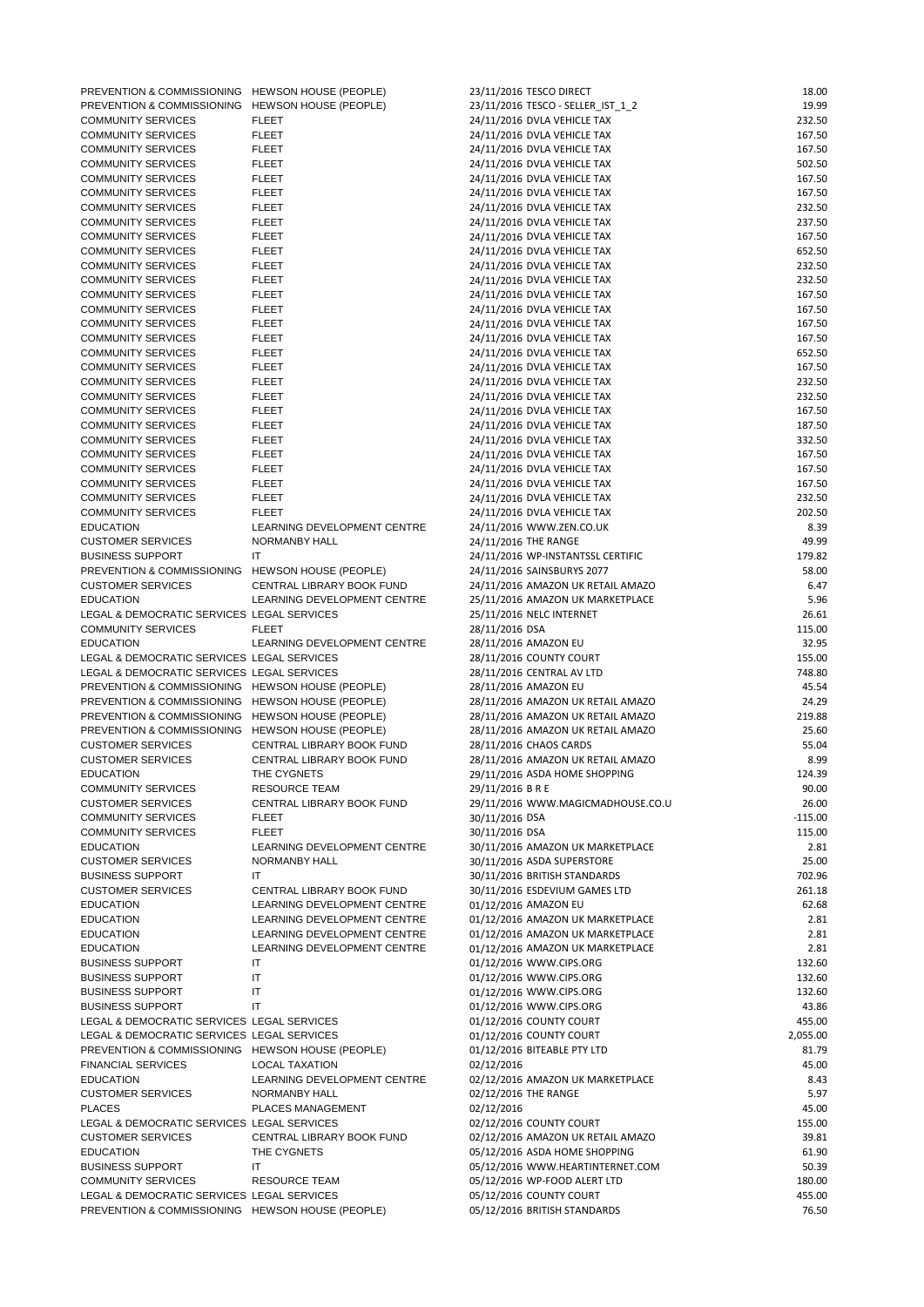| PREVENTION & COMMISSIONING HEWSON HOUSE (PEOPLE) |                              | 23/11/2016 TESCO DIRECT           | 18.00     |
|--------------------------------------------------|------------------------------|-----------------------------------|-----------|
| PREVENTION & COMMISSIONING HEWSON HOUSE (PEOPLE) |                              | 23/11/2016 TESCO - SELLER_IST_1_2 | 19.99     |
| <b>COMMUNITY SERVICES</b>                        | <b>FLEET</b>                 | 24/11/2016 DVLA VEHICLE TAX       | 232.50    |
| <b>COMMUNITY SERVICES</b>                        | <b>FLEET</b>                 | 24/11/2016 DVLA VEHICLE TAX       | 167.50    |
| <b>COMMUNITY SERVICES</b>                        | <b>FLEET</b>                 | 24/11/2016 DVLA VEHICLE TAX       | 167.50    |
| <b>COMMUNITY SERVICES</b>                        | <b>FLEET</b>                 | 24/11/2016 DVLA VEHICLE TAX       | 502.50    |
| <b>COMMUNITY SERVICES</b>                        | <b>FLEET</b>                 | 24/11/2016 DVLA VEHICLE TAX       | 167.50    |
| <b>COMMUNITY SERVICES</b>                        | <b>FLEET</b>                 | 24/11/2016 DVLA VEHICLE TAX       | 167.50    |
| <b>COMMUNITY SERVICES</b>                        | <b>FLEET</b>                 | 24/11/2016 DVLA VEHICLE TAX       | 232.50    |
| <b>COMMUNITY SERVICES</b>                        | <b>FLEET</b>                 | 24/11/2016 DVLA VEHICLE TAX       | 237.50    |
| <b>COMMUNITY SERVICES</b>                        | <b>FLEET</b>                 | 24/11/2016 DVLA VEHICLE TAX       | 167.50    |
| <b>COMMUNITY SERVICES</b>                        | <b>FLEET</b>                 | 24/11/2016 DVLA VEHICLE TAX       | 652.50    |
| <b>COMMUNITY SERVICES</b>                        | <b>FLEET</b>                 | 24/11/2016 DVLA VEHICLE TAX       | 232.50    |
| <b>COMMUNITY SERVICES</b>                        | <b>FLEET</b>                 | 24/11/2016 DVLA VEHICLE TAX       | 232.50    |
| <b>COMMUNITY SERVICES</b>                        | <b>FLEET</b>                 | 24/11/2016 DVLA VEHICLE TAX       | 167.50    |
| <b>COMMUNITY SERVICES</b>                        | <b>FLEET</b>                 | 24/11/2016 DVLA VEHICLE TAX       | 167.50    |
| <b>COMMUNITY SERVICES</b>                        | <b>FLEET</b>                 | 24/11/2016 DVLA VEHICLE TAX       | 167.50    |
| <b>COMMUNITY SERVICES</b>                        | <b>FLEET</b>                 | 24/11/2016 DVLA VEHICLE TAX       | 167.50    |
| <b>COMMUNITY SERVICES</b>                        | <b>FLEET</b>                 | 24/11/2016 DVLA VEHICLE TAX       | 652.50    |
| <b>COMMUNITY SERVICES</b>                        | <b>FLEET</b>                 | 24/11/2016 DVLA VEHICLE TAX       | 167.50    |
| <b>COMMUNITY SERVICES</b>                        | <b>FLEET</b>                 | 24/11/2016 DVLA VEHICLE TAX       | 232.50    |
| <b>COMMUNITY SERVICES</b>                        | <b>FLEET</b>                 | 24/11/2016 DVLA VEHICLE TAX       | 232.50    |
| <b>COMMUNITY SERVICES</b>                        | <b>FLEET</b>                 | 24/11/2016 DVLA VEHICLE TAX       | 167.50    |
| <b>COMMUNITY SERVICES</b>                        | <b>FLEET</b>                 | 24/11/2016 DVLA VEHICLE TAX       | 187.50    |
| <b>COMMUNITY SERVICES</b>                        | <b>FLEET</b>                 | 24/11/2016 DVLA VEHICLE TAX       | 332.50    |
| <b>COMMUNITY SERVICES</b>                        | <b>FLEET</b>                 | 24/11/2016 DVLA VEHICLE TAX       | 167.50    |
| <b>COMMUNITY SERVICES</b>                        | <b>FLEET</b>                 | 24/11/2016 DVLA VEHICLE TAX       | 167.50    |
| <b>COMMUNITY SERVICES</b>                        | <b>FLEET</b>                 | 24/11/2016 DVLA VEHICLE TAX       | 167.50    |
| <b>COMMUNITY SERVICES</b>                        | <b>FLEET</b>                 | 24/11/2016 DVLA VEHICLE TAX       | 232.50    |
| <b>COMMUNITY SERVICES</b>                        | <b>FLEET</b>                 | 24/11/2016 DVLA VEHICLE TAX       | 202.50    |
| <b>EDUCATION</b>                                 |                              |                                   |           |
|                                                  | LEARNING DEVELOPMENT CENTRE  | 24/11/2016 WWW.ZEN.CO.UK          | 8.39      |
| <b>CUSTOMER SERVICES</b>                         | NORMANBY HALL                | 24/11/2016 THE RANGE              | 49.99     |
| <b>BUSINESS SUPPORT</b>                          | IT.                          | 24/11/2016 WP-INSTANTSSL CERTIFIC | 179.82    |
| PREVENTION & COMMISSIONING HEWSON HOUSE (PEOPLE) |                              | 24/11/2016 SAINSBURYS 2077        | 58.00     |
| <b>CUSTOMER SERVICES</b>                         | CENTRAL LIBRARY BOOK FUND    | 24/11/2016 AMAZON UK RETAIL AMAZO | 6.47      |
| <b>EDUCATION</b>                                 | LEARNING DEVELOPMENT CENTRE  | 25/11/2016 AMAZON UK MARKETPLACE  | 5.96      |
| LEGAL & DEMOCRATIC SERVICES LEGAL SERVICES       |                              | 25/11/2016 NELC INTERNET          | 26.61     |
| <b>COMMUNITY SERVICES</b>                        | <b>FLEET</b>                 | 28/11/2016 DSA                    | 115.00    |
| <b>EDUCATION</b>                                 | LEARNING DEVELOPMENT CENTRE  | 28/11/2016 AMAZON EU              | 32.95     |
| LEGAL & DEMOCRATIC SERVICES LEGAL SERVICES       |                              | 28/11/2016 COUNTY COURT           | 155.00    |
| LEGAL & DEMOCRATIC SERVICES LEGAL SERVICES       |                              | 28/11/2016 CENTRAL AV LTD         | 748.80    |
| PREVENTION & COMMISSIONING HEWSON HOUSE (PEOPLE) |                              | 28/11/2016 AMAZON EU              | 45.54     |
| PREVENTION & COMMISSIONING HEWSON HOUSE (PEOPLE) |                              | 28/11/2016 AMAZON UK RETAIL AMAZO | 24.29     |
| PREVENTION & COMMISSIONING HEWSON HOUSE (PEOPLE) |                              | 28/11/2016 AMAZON UK RETAIL AMAZO | 219.88    |
| PREVENTION & COMMISSIONING HEWSON HOUSE (PEOPLE) |                              | 28/11/2016 AMAZON UK RETAIL AMAZO | 25.60     |
| <b>CUSTOMER SERVICES</b>                         | CENTRAL LIBRARY BOOK FUND    | 28/11/2016 CHAOS CARDS            | 55.04     |
| <b>CUSTOMER SERVICES</b>                         | CENTRAL LIBRARY BOOK FUND    | 28/11/2016 AMAZON UK RETAIL AMAZO | 8.99      |
| <b>EDUCATION</b>                                 | THE CYGNETS                  | 29/11/2016 ASDA HOME SHOPPING     | 124.39    |
| <b>COMMUNITY SERVICES</b>                        | <b>RESOURCE TEAM</b>         | 29/11/2016 BRE                    | 90.00     |
| <b>CUSTOMER SERVICES</b>                         | CENTRAL LIBRARY BOOK FUND    | 29/11/2016 WWW.MAGICMADHOUSE.CO.U | 26.00     |
| <b>COMMUNITY SERVICES</b>                        | <b>FLEET</b>                 | 30/11/2016 DSA                    | $-115.00$ |
| <b>COMMUNITY SERVICES</b>                        | <b>FLEET</b>                 | 30/11/2016 DSA                    | 115.00    |
| <b>EDUCATION</b>                                 | LEARNING DEVELOPMENT CENTRE  | 30/11/2016 AMAZON UK MARKETPLACE  | 2.81      |
| <b>CUSTOMER SERVICES</b>                         | NORMANBY HALL                | 30/11/2016 ASDA SUPERSTORE        | 25.00     |
| <b>BUSINESS SUPPORT</b>                          | IT                           | 30/11/2016 BRITISH STANDARDS      | 702.96    |
| <b>CUSTOMER SERVICES</b>                         | CENTRAL LIBRARY BOOK FUND    | 30/11/2016 ESDEVIUM GAMES LTD     | 261.18    |
| <b>EDUCATION</b>                                 | I EARNING DEVELOPMENT CENTRE | $01/12/2016$ AMAZON ELL           | 6260      |

| <b>EDUCATION</b>                                 | LEARNING DEVELOPMENT CENTRE | 01/12/2016 AMAZON EU              | 62.68    |
|--------------------------------------------------|-----------------------------|-----------------------------------|----------|
| <b>EDUCATION</b>                                 | LEARNING DEVELOPMENT CENTRE | 01/12/2016 AMAZON UK MARKETPLACE  | 2.81     |
| <b>EDUCATION</b>                                 | LEARNING DEVELOPMENT CENTRE | 01/12/2016 AMAZON UK MARKETPLACE  | 2.81     |
| <b>EDUCATION</b>                                 | LEARNING DEVELOPMENT CENTRE | 01/12/2016 AMAZON UK MARKETPLACE  | 2.81     |
| <b>BUSINESS SUPPORT</b>                          | IT                          | 01/12/2016 WWW.CIPS.ORG           | 132.60   |
| <b>BUSINESS SUPPORT</b>                          | $\mathsf{I}\mathsf{T}$      | 01/12/2016 WWW.CIPS.ORG           | 132.60   |
| <b>BUSINESS SUPPORT</b>                          | IT                          | 01/12/2016 WWW.CIPS.ORG           | 132.60   |
| <b>BUSINESS SUPPORT</b>                          | IT                          | 01/12/2016 WWW.CIPS.ORG           | 43.86    |
| LEGAL & DEMOCRATIC SERVICES LEGAL SERVICES       |                             | 01/12/2016 COUNTY COURT           | 455.00   |
| LEGAL & DEMOCRATIC SERVICES LEGAL SERVICES       |                             | 01/12/2016 COUNTY COURT           | 2,055.00 |
| PREVENTION & COMMISSIONING HEWSON HOUSE (PEOPLE) |                             | 01/12/2016 BITEABLE PTY LTD       | 81.79    |
| <b>FINANCIAL SERVICES</b>                        | <b>LOCAL TAXATION</b>       | 02/12/2016                        | 45.00    |
| <b>EDUCATION</b>                                 | LEARNING DEVELOPMENT CENTRE | 02/12/2016 AMAZON UK MARKETPLACE  | 8.43     |
| <b>CUSTOMER SERVICES</b>                         | NORMANBY HALL               | 02/12/2016 THE RANGE              | 5.97     |
| <b>PLACES</b>                                    | <b>PLACES MANAGEMENT</b>    | 02/12/2016                        | 45.00    |
| LEGAL & DEMOCRATIC SERVICES LEGAL SERVICES       |                             | 02/12/2016 COUNTY COURT           | 155.00   |
| <b>CUSTOMER SERVICES</b>                         | CENTRAL LIBRARY BOOK FUND   | 02/12/2016 AMAZON UK RETAIL AMAZO | 39.81    |
| <b>EDUCATION</b>                                 | THE CYGNETS                 | 05/12/2016 ASDA HOME SHOPPING     | 61.90    |
| <b>BUSINESS SUPPORT</b>                          | IT                          | 05/12/2016 WWW.HEARTINTERNET.COM  | 50.39    |
| <b>COMMUNITY SERVICES</b>                        | <b>RESOURCE TEAM</b>        | 05/12/2016 WP-FOOD ALERT LTD      | 180.00   |
| LEGAL & DEMOCRATIC SERVICES LEGAL SERVICES       |                             | 05/12/2016 COUNTY COURT           | 455.00   |
| PREVENTION & COMMISSIONING HEWSON HOUSE (PEOPLE) |                             | 05/12/2016 BRITISH STANDARDS      | 76.50    |
|                                                  |                             |                                   |          |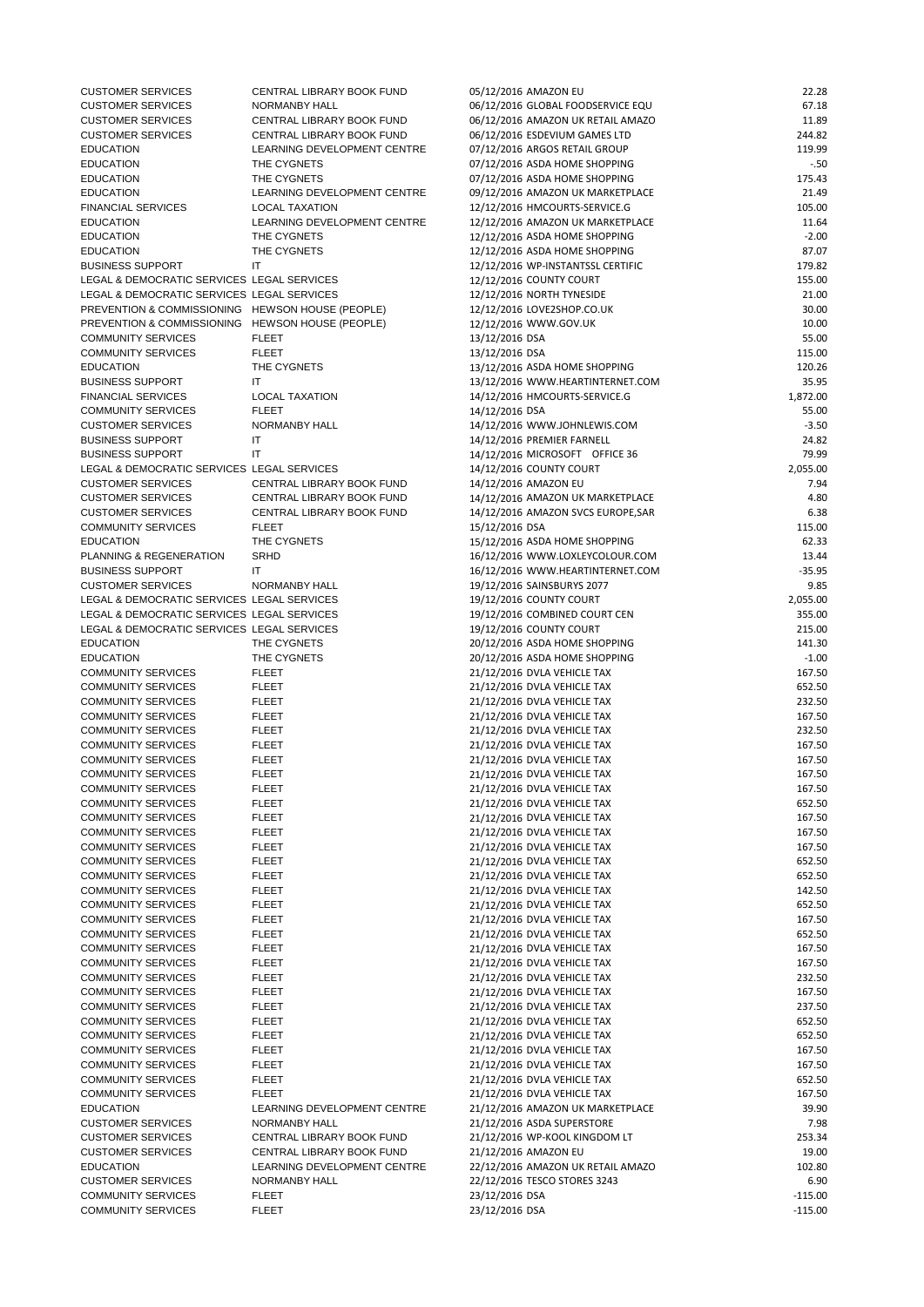| <b>CUSTOMER SERVICES</b>                         | CENTRAL LIBRARY BOOK FUND   | 05/12/2016 AMAZON EU               | 22.28    |
|--------------------------------------------------|-----------------------------|------------------------------------|----------|
| <b>CUSTOMER SERVICES</b>                         | NORMANBY HALL               | 06/12/2016 GLOBAL FOODSERVICE EQU  | 67.18    |
| <b>CUSTOMER SERVICES</b>                         | CENTRAL LIBRARY BOOK FUND   | 06/12/2016 AMAZON UK RETAIL AMAZO  | 11.89    |
| <b>CUSTOMER SERVICES</b>                         | CENTRAL LIBRARY BOOK FUND   | 06/12/2016 ESDEVIUM GAMES LTD      | 244.82   |
| <b>EDUCATION</b>                                 | LEARNING DEVELOPMENT CENTRE | 07/12/2016 ARGOS RETAIL GROUP      | 119.99   |
| <b>EDUCATION</b>                                 | THE CYGNETS                 | 07/12/2016 ASDA HOME SHOPPING      | $-.50$   |
| <b>EDUCATION</b>                                 | THE CYGNETS                 | 07/12/2016 ASDA HOME SHOPPING      | 175.43   |
| <b>EDUCATION</b>                                 | LEARNING DEVELOPMENT CENTRE | 09/12/2016 AMAZON UK MARKETPLACE   | 21.49    |
| <b>FINANCIAL SERVICES</b>                        | <b>LOCAL TAXATION</b>       | 12/12/2016 HMCOURTS-SERVICE.G      | 105.00   |
| <b>EDUCATION</b>                                 | LEARNING DEVELOPMENT CENTRE | 12/12/2016 AMAZON UK MARKETPLACE   | 11.64    |
| <b>EDUCATION</b>                                 | THE CYGNETS                 | 12/12/2016 ASDA HOME SHOPPING      | $-2.00$  |
| <b>EDUCATION</b>                                 | THE CYGNETS                 | 12/12/2016 ASDA HOME SHOPPING      | 87.07    |
| <b>BUSINESS SUPPORT</b>                          | $\mathsf{I}\mathsf{T}$      | 12/12/2016 WP-INSTANTSSL CERTIFIC  | 179.82   |
| LEGAL & DEMOCRATIC SERVICES LEGAL SERVICES       |                             | 12/12/2016 COUNTY COURT            | 155.00   |
| LEGAL & DEMOCRATIC SERVICES LEGAL SERVICES       |                             | 12/12/2016 NORTH TYNESIDE          | 21.00    |
| PREVENTION & COMMISSIONING HEWSON HOUSE (PEOPLE) |                             | 12/12/2016 LOVE2SHOP.CO.UK         | 30.00    |
| PREVENTION & COMMISSIONING HEWSON HOUSE (PEOPLE) |                             | 12/12/2016 WWW.GOV.UK              | 10.00    |
| <b>COMMUNITY SERVICES</b>                        | <b>FLEET</b>                | 13/12/2016 DSA                     | 55.00    |
| <b>COMMUNITY SERVICES</b>                        | <b>FLEET</b>                | 13/12/2016 DSA                     | 115.00   |
| <b>EDUCATION</b>                                 | THE CYGNETS                 | 13/12/2016 ASDA HOME SHOPPING      | 120.26   |
| <b>BUSINESS SUPPORT</b>                          | IT.                         | 13/12/2016 WWW.HEARTINTERNET.COM   | 35.95    |
| <b>FINANCIAL SERVICES</b>                        | <b>LOCAL TAXATION</b>       | 14/12/2016 HMCOURTS-SERVICE.G      | 1,872.00 |
| <b>COMMUNITY SERVICES</b>                        | <b>FLEET</b>                | 14/12/2016 DSA                     | 55.00    |
| <b>CUSTOMER SERVICES</b>                         | NORMANBY HALL               | 14/12/2016 WWW.JOHNLEWIS.COM       | $-3.50$  |
| <b>BUSINESS SUPPORT</b>                          | IT                          | 14/12/2016 PREMIER FARNELL         | 24.82    |
| <b>BUSINESS SUPPORT</b>                          | IT                          | 14/12/2016 MICROSOFT OFFICE 36     | 79.99    |
| LEGAL & DEMOCRATIC SERVICES LEGAL SERVICES       |                             | 14/12/2016 COUNTY COURT            | 2,055.00 |
| <b>CUSTOMER SERVICES</b>                         | CENTRAL LIBRARY BOOK FUND   | 14/12/2016 AMAZON EU               | 7.94     |
| <b>CUSTOMER SERVICES</b>                         | CENTRAL LIBRARY BOOK FUND   | 14/12/2016 AMAZON UK MARKETPLACE   | 4.80     |
| <b>CUSTOMER SERVICES</b>                         | CENTRAL LIBRARY BOOK FUND   | 14/12/2016 AMAZON SVCS EUROPE, SAR | 6.38     |
| <b>COMMUNITY SERVICES</b>                        | <b>FLEET</b>                | 15/12/2016 DSA                     | 115.00   |
| <b>EDUCATION</b>                                 | THE CYGNETS                 | 15/12/2016 ASDA HOME SHOPPING      | 62.33    |
| PLANNING & REGENERATION                          | <b>SRHD</b>                 | 16/12/2016 WWW.LOXLEYCOLOUR.COM    | 13.44    |
| <b>BUSINESS SUPPORT</b>                          | IT                          | 16/12/2016 WWW.HEARTINTERNET.COM   | $-35.95$ |
| <b>CUSTOMER SERVICES</b>                         | NORMANBY HALL               | 19/12/2016 SAINSBURYS 2077         | 9.85     |
| LEGAL & DEMOCRATIC SERVICES LEGAL SERVICES       |                             | 19/12/2016 COUNTY COURT            | 2,055.00 |
| LEGAL & DEMOCRATIC SERVICES LEGAL SERVICES       |                             | 19/12/2016 COMBINED COURT CEN      | 355.00   |
| LEGAL & DEMOCRATIC SERVICES LEGAL SERVICES       |                             | 19/12/2016 COUNTY COURT            | 215.00   |
| <b>EDUCATION</b>                                 | THE CYGNETS                 | 20/12/2016 ASDA HOME SHOPPING      | 141.30   |
| <b>EDUCATION</b>                                 | THE CYGNETS                 | 20/12/2016 ASDA HOME SHOPPING      | $-1.00$  |
| <b>COMMUNITY SERVICES</b>                        | <b>FLEET</b>                | 21/12/2016 DVLA VEHICLE TAX        | 167.50   |
| <b>COMMUNITY SERVICES</b>                        | <b>FLEET</b>                | 21/12/2016 DVLA VEHICLE TAX        | 652.50   |
| <b>COMMUNITY SERVICES</b>                        | <b>FLEET</b>                | 21/12/2016 DVLA VEHICLE TAX        | 232.50   |
| <b>COMMUNITY SERVICES</b>                        | <b>FLEET</b>                | 21/12/2016 DVLA VEHICLE TAX        | 167.50   |
| <b>COMMUNITY SERVICES</b>                        | <b>FLEET</b>                | 21/12/2016 DVLA VEHICLE TAX        | 232.50   |
| <b>COMMUNITY SERVICES</b>                        | <b>FLEET</b>                | 21/12/2016 DVLA VEHICLE TAX        | 167.50   |
| <b>COMMUNITY SERVICES</b>                        | <b>FLEET</b>                | 21/12/2016 DVLA VEHICLE TAX        | 167.50   |
| <b>COMMUNITY SERVICES</b>                        | <b>FLEET</b>                | 21/12/2016 DVLA VEHICLE TAX        | 167.50   |
| <b>COMMUNITY SERVICES</b>                        | <b>FLEET</b>                | 21/12/2016 DVLA VEHICLE TAX        | 167.50   |
| <b>COMMUNITY SERVICES</b>                        | <b>FLEET</b>                | 21/12/2016 DVLA VEHICLE TAX        | 652.50   |
| <b>COMMUNITY SERVICES</b>                        | <b>FLEET</b>                | 21/12/2016 DVLA VEHICLE TAX        | 167.50   |
| <b>COMMUNITY SERVICES</b>                        | <b>FLEET</b>                | 21/12/2016 DVLA VEHICLE TAX        | 167.50   |
| <b>COMMUNITY SERVICES</b>                        | <b>FLEET</b>                | 21/12/2016 DVLA VEHICLE TAX        | 167.50   |
| <b>COMMUNITY SERVICES</b>                        | <b>FLEET</b>                | 21/12/2016 DVLA VEHICLE TAX        | 652.50   |
| <b>COMMUNITY SERVICES</b>                        | <b>FLEET</b>                | 21/12/2016 DVLA VEHICLE TAX        | 652.50   |
| <b>COMMUNITY SERVICES</b>                        | <b>FLEET</b>                | 21/12/2016 DVLA VEHICLE TAX        | 142.50   |
| <b>COMMUNITY SERVICES</b>                        | <b>FLEET</b>                | 21/12/2016 DVLA VEHICLE TAX        | 652.50   |

| <b>COMMUNITY SERVICES</b> | <b>FLEET</b>                | 21/12/2016 DVLA VEHICLE TAX       | 167.50    |
|---------------------------|-----------------------------|-----------------------------------|-----------|
| <b>COMMUNITY SERVICES</b> | <b>FLEET</b>                | 21/12/2016 DVLA VEHICLE TAX       | 652.50    |
| <b>COMMUNITY SERVICES</b> | <b>FLEET</b>                | 21/12/2016 DVLA VEHICLE TAX       | 167.50    |
| <b>COMMUNITY SERVICES</b> | <b>FLEET</b>                | 21/12/2016 DVLA VEHICLE TAX       | 167.50    |
| <b>COMMUNITY SERVICES</b> | <b>FLEET</b>                | 21/12/2016 DVLA VEHICLE TAX       | 232.50    |
| <b>COMMUNITY SERVICES</b> | <b>FLEET</b>                | 21/12/2016 DVLA VEHICLE TAX       | 167.50    |
| <b>COMMUNITY SERVICES</b> | <b>FLEET</b>                | 21/12/2016 DVLA VEHICLE TAX       | 237.50    |
| <b>COMMUNITY SERVICES</b> | <b>FLEET</b>                | 21/12/2016 DVLA VEHICLE TAX       | 652.50    |
| <b>COMMUNITY SERVICES</b> | <b>FLEET</b>                | 21/12/2016 DVLA VEHICLE TAX       | 652.50    |
| <b>COMMUNITY SERVICES</b> | <b>FLEET</b>                | 21/12/2016 DVLA VEHICLE TAX       | 167.50    |
| <b>COMMUNITY SERVICES</b> | <b>FLEET</b>                | 21/12/2016 DVLA VEHICLE TAX       | 167.50    |
| <b>COMMUNITY SERVICES</b> | <b>FLEET</b>                | 21/12/2016 DVLA VEHICLE TAX       | 652.50    |
| <b>COMMUNITY SERVICES</b> | <b>FLEET</b>                | 21/12/2016 DVLA VEHICLE TAX       | 167.50    |
| <b>EDUCATION</b>          | LEARNING DEVELOPMENT CENTRE | 21/12/2016 AMAZON UK MARKETPLACE  | 39.90     |
| <b>CUSTOMER SERVICES</b>  | NORMANBY HALL               | 21/12/2016 ASDA SUPERSTORE        | 7.98      |
| <b>CUSTOMER SERVICES</b>  | CENTRAL LIBRARY BOOK FUND   | 21/12/2016 WP-KOOL KINGDOM LT     | 253.34    |
| <b>CUSTOMER SERVICES</b>  | CENTRAL LIBRARY BOOK FUND   | 21/12/2016 AMAZON EU              | 19.00     |
| <b>EDUCATION</b>          | LEARNING DEVELOPMENT CENTRE | 22/12/2016 AMAZON UK RETAIL AMAZO | 102.80    |
| <b>CUSTOMER SERVICES</b>  | NORMANBY HALL               | 22/12/2016 TESCO STORES 3243      | 6.90      |
| <b>COMMUNITY SERVICES</b> | <b>FLEET</b>                | 23/12/2016 DSA                    | $-115.00$ |
| <b>COMMUNITY SERVICES</b> | <b>FLEET</b>                | 23/12/2016 DSA                    | $-115.00$ |
|                           |                             |                                   |           |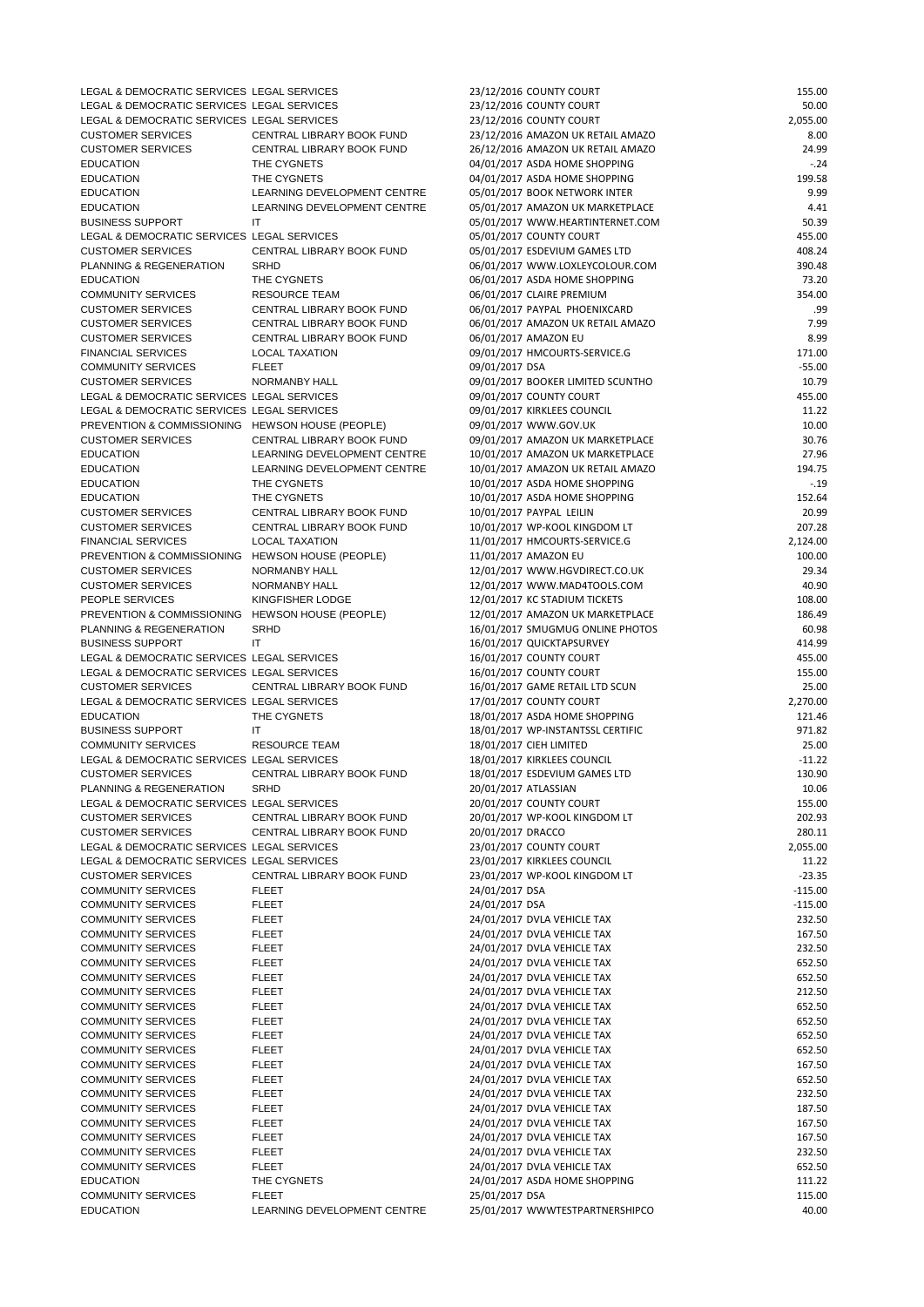| LEGAL & DEMOCRATIC SERVICES LEGAL SERVICES             |                                                        | 23/12/2016 COUNTY COURT                                            | 155.00              |
|--------------------------------------------------------|--------------------------------------------------------|--------------------------------------------------------------------|---------------------|
| LEGAL & DEMOCRATIC SERVICES LEGAL SERVICES             |                                                        | 23/12/2016 COUNTY COURT                                            | 50.00               |
| LEGAL & DEMOCRATIC SERVICES LEGAL SERVICES             |                                                        | 23/12/2016 COUNTY COURT                                            | 2,055.00            |
| <b>CUSTOMER SERVICES</b>                               | CENTRAL LIBRARY BOOK FUND                              | 23/12/2016 AMAZON UK RETAIL AMAZO                                  | 8.00                |
| <b>CUSTOMER SERVICES</b><br><b>EDUCATION</b>           | CENTRAL LIBRARY BOOK FUND<br>THE CYGNETS               | 26/12/2016 AMAZON UK RETAIL AMAZO                                  | 24.99<br>$-.24$     |
| <b>EDUCATION</b>                                       | THE CYGNETS                                            | 04/01/2017 ASDA HOME SHOPPING<br>04/01/2017 ASDA HOME SHOPPING     | 199.58              |
| <b>EDUCATION</b>                                       | LEARNING DEVELOPMENT CENTRE                            | 05/01/2017 BOOK NETWORK INTER                                      | 9.99                |
| <b>EDUCATION</b>                                       | LEARNING DEVELOPMENT CENTRE                            | 05/01/2017 AMAZON UK MARKETPLACE                                   | 4.41                |
| <b>BUSINESS SUPPORT</b>                                | IT                                                     | 05/01/2017 WWW.HEARTINTERNET.COM                                   | 50.39               |
| LEGAL & DEMOCRATIC SERVICES LEGAL SERVICES             |                                                        | 05/01/2017 COUNTY COURT                                            | 455.00              |
| <b>CUSTOMER SERVICES</b>                               | CENTRAL LIBRARY BOOK FUND                              | 05/01/2017 ESDEVIUM GAMES LTD                                      | 408.24              |
| PLANNING & REGENERATION                                | <b>SRHD</b>                                            | 06/01/2017 WWW.LOXLEYCOLOUR.COM                                    | 390.48              |
| <b>EDUCATION</b>                                       | THE CYGNETS                                            | 06/01/2017 ASDA HOME SHOPPING                                      | 73.20               |
| <b>COMMUNITY SERVICES</b>                              | <b>RESOURCE TEAM</b>                                   | 06/01/2017 CLAIRE PREMIUM                                          | 354.00              |
| <b>CUSTOMER SERVICES</b>                               | CENTRAL LIBRARY BOOK FUND                              | 06/01/2017 PAYPAL PHOENIXCARD                                      | .99                 |
| <b>CUSTOMER SERVICES</b>                               | CENTRAL LIBRARY BOOK FUND<br>CENTRAL LIBRARY BOOK FUND | 06/01/2017 AMAZON UK RETAIL AMAZO                                  | 7.99                |
| <b>CUSTOMER SERVICES</b><br><b>FINANCIAL SERVICES</b>  | <b>LOCAL TAXATION</b>                                  | 06/01/2017 AMAZON EU<br>09/01/2017 HMCOURTS-SERVICE.G              | 8.99<br>171.00      |
| <b>COMMUNITY SERVICES</b>                              | <b>FLEET</b>                                           | 09/01/2017 DSA                                                     | $-55.00$            |
| <b>CUSTOMER SERVICES</b>                               | NORMANBY HALL                                          | 09/01/2017 BOOKER LIMITED SCUNTHO                                  | 10.79               |
| LEGAL & DEMOCRATIC SERVICES LEGAL SERVICES             |                                                        | 09/01/2017 COUNTY COURT                                            | 455.00              |
| LEGAL & DEMOCRATIC SERVICES LEGAL SERVICES             |                                                        | 09/01/2017 KIRKLEES COUNCIL                                        | 11.22               |
| PREVENTION & COMMISSIONING HEWSON HOUSE (PEOPLE)       |                                                        | 09/01/2017 WWW.GOV.UK                                              | 10.00               |
| <b>CUSTOMER SERVICES</b>                               | CENTRAL LIBRARY BOOK FUND                              | 09/01/2017 AMAZON UK MARKETPLACE                                   | 30.76               |
| <b>EDUCATION</b>                                       | LEARNING DEVELOPMENT CENTRE                            | 10/01/2017 AMAZON UK MARKETPLACE                                   | 27.96               |
| <b>EDUCATION</b>                                       | LEARNING DEVELOPMENT CENTRE                            | 10/01/2017 AMAZON UK RETAIL AMAZO                                  | 194.75              |
| <b>EDUCATION</b>                                       | THE CYGNETS                                            | 10/01/2017 ASDA HOME SHOPPING                                      | $-.19$              |
| <b>EDUCATION</b>                                       | THE CYGNETS                                            | 10/01/2017 ASDA HOME SHOPPING                                      | 152.64              |
| <b>CUSTOMER SERVICES</b>                               | CENTRAL LIBRARY BOOK FUND                              | 10/01/2017 PAYPAL LEILIN                                           | 20.99               |
| <b>CUSTOMER SERVICES</b><br><b>FINANCIAL SERVICES</b>  | CENTRAL LIBRARY BOOK FUND                              | 10/01/2017 WP-KOOL KINGDOM LT                                      | 207.28              |
| PREVENTION & COMMISSIONING HEWSON HOUSE (PEOPLE)       | <b>LOCAL TAXATION</b>                                  | 11/01/2017 HMCOURTS-SERVICE.G<br>11/01/2017 AMAZON EU              | 2,124.00<br>100.00  |
| <b>CUSTOMER SERVICES</b>                               | NORMANBY HALL                                          | 12/01/2017 WWW.HGVDIRECT.CO.UK                                     | 29.34               |
| <b>CUSTOMER SERVICES</b>                               | NORMANBY HALL                                          | 12/01/2017 WWW.MAD4TOOLS.COM                                       | 40.90               |
| PEOPLE SERVICES                                        | KINGFISHER LODGE                                       | 12/01/2017 KC STADIUM TICKETS                                      | 108.00              |
| PREVENTION & COMMISSIONING HEWSON HOUSE (PEOPLE)       |                                                        | 12/01/2017 AMAZON UK MARKETPLACE                                   | 186.49              |
| PLANNING & REGENERATION                                | <b>SRHD</b>                                            | 16/01/2017 SMUGMUG ONLINE PHOTOS                                   | 60.98               |
| <b>BUSINESS SUPPORT</b>                                | IT.                                                    | 16/01/2017 QUICKTAPSURVEY                                          | 414.99              |
| LEGAL & DEMOCRATIC SERVICES LEGAL SERVICES             |                                                        | 16/01/2017 COUNTY COURT                                            | 455.00              |
| LEGAL & DEMOCRATIC SERVICES LEGAL SERVICES             |                                                        | 16/01/2017 COUNTY COURT                                            | 155.00              |
| <b>CUSTOMER SERVICES</b>                               | CENTRAL LIBRARY BOOK FUND                              | 16/01/2017 GAME RETAIL LTD SCUN                                    | 25.00               |
| LEGAL & DEMOCRATIC SERVICES LEGAL SERVICES             |                                                        | 17/01/2017 COUNTY COURT                                            | 2,270.00            |
| <b>EDUCATION</b><br><b>BUSINESS SUPPORT</b>            | THE CYGNETS<br>IT                                      | 18/01/2017 ASDA HOME SHOPPING<br>18/01/2017 WP-INSTANTSSL CERTIFIC | 121.46<br>971.82    |
| <b>COMMUNITY SERVICES</b>                              | <b>RESOURCE TEAM</b>                                   | 18/01/2017 CIEH LIMITED                                            | 25.00               |
| LEGAL & DEMOCRATIC SERVICES LEGAL SERVICES             |                                                        | 18/01/2017 KIRKLEES COUNCIL                                        | $-11.22$            |
| <b>CUSTOMER SERVICES</b>                               | CENTRAL LIBRARY BOOK FUND                              | 18/01/2017 ESDEVIUM GAMES LTD                                      | 130.90              |
| PLANNING & REGENERATION                                | <b>SRHD</b>                                            | 20/01/2017 ATLASSIAN                                               | 10.06               |
| LEGAL & DEMOCRATIC SERVICES LEGAL SERVICES             |                                                        | 20/01/2017 COUNTY COURT                                            | 155.00              |
| <b>CUSTOMER SERVICES</b>                               | CENTRAL LIBRARY BOOK FUND                              | 20/01/2017 WP-KOOL KINGDOM LT                                      | 202.93              |
| <b>CUSTOMER SERVICES</b>                               | CENTRAL LIBRARY BOOK FUND                              | 20/01/2017 DRACCO                                                  | 280.11              |
| LEGAL & DEMOCRATIC SERVICES LEGAL SERVICES             |                                                        | 23/01/2017 COUNTY COURT                                            | 2,055.00            |
| LEGAL & DEMOCRATIC SERVICES LEGAL SERVICES             |                                                        | 23/01/2017 KIRKLEES COUNCIL                                        | 11.22               |
| <b>CUSTOMER SERVICES</b>                               | CENTRAL LIBRARY BOOK FUND                              | 23/01/2017 WP-KOOL KINGDOM LT                                      | $-23.35$            |
| <b>COMMUNITY SERVICES</b>                              | <b>FLEET</b>                                           | 24/01/2017 DSA                                                     | $-115.00$           |
| <b>COMMUNITY SERVICES</b><br><b>COMMUNITY SERVICES</b> | <b>FLEET</b><br><b>FLEET</b>                           | 24/01/2017 DSA<br>24/01/2017 DVLA VEHICLE TAX                      | $-115.00$<br>232.50 |
| <b>COMMUNITY SERVICES</b>                              | <b>FLEET</b>                                           | 24/01/2017 DVLA VEHICLE TAX                                        | 167.50              |
| <b>COMMUNITY SERVICES</b>                              | <b>FLEET</b>                                           | 24/01/2017 DVLA VEHICLE TAX                                        | 232.50              |
| <b>COMMUNITY SERVICES</b>                              | <b>FLEET</b>                                           | 24/01/2017 DVLA VEHICLE TAX                                        | 652.50              |
| <b>COMMUNITY SERVICES</b>                              | <b>FLEET</b>                                           | 24/01/2017 DVLA VEHICLE TAX                                        | 652.50              |
| <b>COMMUNITY SERVICES</b>                              | <b>FLEET</b>                                           | 24/01/2017 DVLA VEHICLE TAX                                        | 212.50              |
| <b>COMMUNITY SERVICES</b>                              | <b>FLEET</b>                                           | 24/01/2017 DVLA VEHICLE TAX                                        | 652.50              |
| <b>COMMUNITY SERVICES</b>                              | <b>FLEET</b>                                           | 24/01/2017 DVLA VEHICLE TAX                                        | 652.50              |
| <b>COMMUNITY SERVICES</b>                              | <b>FLEET</b>                                           | 24/01/2017 DVLA VEHICLE TAX                                        | 652.50              |
| <b>COMMUNITY SERVICES</b>                              | <b>FLEET</b>                                           | 24/01/2017 DVLA VEHICLE TAX                                        | 652.50              |
| <b>COMMUNITY SERVICES</b>                              | <b>FLEET</b>                                           | 24/01/2017 DVLA VEHICLE TAX                                        | 167.50              |
| <b>COMMUNITY SERVICES</b>                              | <b>FLEET</b>                                           | 24/01/2017 DVLA VEHICLE TAX                                        | 652.50              |
| <b>COMMUNITY SERVICES</b><br><b>COMMUNITY SERVICES</b> | <b>FLEET</b><br><b>FLEET</b>                           | 24/01/2017 DVLA VEHICLE TAX<br>24/01/2017 DVLA VEHICLE TAX         | 232.50<br>187.50    |
| <b>COMMUNITY SERVICES</b>                              | <b>FLEET</b>                                           | 24/01/2017 DVLA VEHICLE TAX                                        | 167.50              |
| <b>COMMUNITY SERVICES</b>                              | <b>FLEET</b>                                           | 24/01/2017 DVLA VEHICLE TAX                                        | 167.50              |
| <b>COMMUNITY SERVICES</b>                              | <b>FLEET</b>                                           | 24/01/2017 DVLA VEHICLE TAX                                        | 232.50              |
| <b>COMMUNITY SERVICES</b>                              | <b>FLEET</b>                                           | 24/01/2017 DVLA VEHICLE TAX                                        | 652.50              |
|                                                        |                                                        |                                                                    |                     |
| <b>EDUCATION</b>                                       | THE CYGNETS                                            | 24/01/2017 ASDA HOME SHOPPING                                      | 111.22              |
| <b>COMMUNITY SERVICES</b>                              | <b>FLEET</b>                                           | 25/01/2017 DSA                                                     | 115.00              |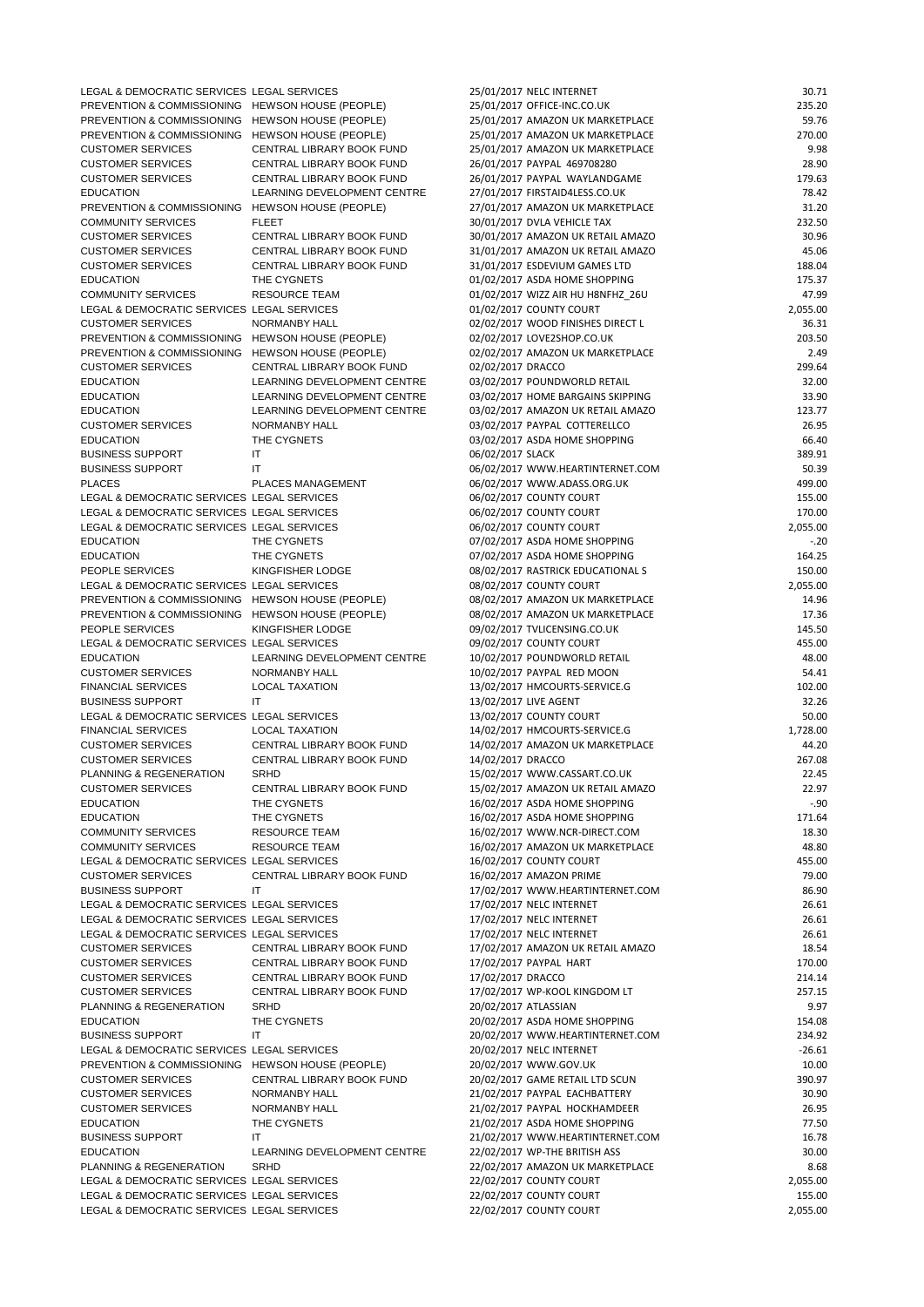| LEGAL & DEMOCRATIC SERVICES LEGAL SERVICES       |                              | 25/01/2017 NELC INTERNET          | 30.71    |
|--------------------------------------------------|------------------------------|-----------------------------------|----------|
| PREVENTION & COMMISSIONING HEWSON HOUSE (PEOPLE) |                              | 25/01/2017 OFFICE-INC.CO.UK       | 235.20   |
| PREVENTION & COMMISSIONING HEWSON HOUSE (PEOPLE) |                              | 25/01/2017 AMAZON UK MARKETPLACE  | 59.76    |
| PREVENTION & COMMISSIONING                       | HEWSON HOUSE (PEOPLE)        | 25/01/2017 AMAZON UK MARKETPLACE  | 270.00   |
| <b>CUSTOMER SERVICES</b>                         | CENTRAL LIBRARY BOOK FUND    | 25/01/2017 AMAZON UK MARKETPLACE  | 9.98     |
| <b>CUSTOMER SERVICES</b>                         | CENTRAL LIBRARY BOOK FUND    | 26/01/2017 PAYPAL 469708280       | 28.90    |
| <b>CUSTOMER SERVICES</b>                         | CENTRAL LIBRARY BOOK FUND    | 26/01/2017 PAYPAL WAYLANDGAME     | 179.63   |
| <b>EDUCATION</b>                                 | LEARNING DEVELOPMENT CENTRE  | 27/01/2017 FIRSTAID4LESS.CO.UK    | 78.42    |
| PREVENTION & COMMISSIONING HEWSON HOUSE (PEOPLE) |                              | 27/01/2017 AMAZON UK MARKETPLACE  | 31.20    |
| <b>COMMUNITY SERVICES</b>                        | <b>FLEET</b>                 | 30/01/2017 DVLA VEHICLE TAX       | 232.50   |
| <b>CUSTOMER SERVICES</b>                         | CENTRAL LIBRARY BOOK FUND    | 30/01/2017 AMAZON UK RETAIL AMAZO | 30.96    |
| <b>CUSTOMER SERVICES</b>                         | CENTRAL LIBRARY BOOK FUND    | 31/01/2017 AMAZON UK RETAIL AMAZO | 45.06    |
| <b>CUSTOMER SERVICES</b>                         | CENTRAL LIBRARY BOOK FUND    | 31/01/2017 ESDEVIUM GAMES LTD     | 188.04   |
| <b>EDUCATION</b>                                 | THE CYGNETS                  | 01/02/2017 ASDA HOME SHOPPING     | 175.37   |
| <b>COMMUNITY SERVICES</b>                        | <b>RESOURCE TEAM</b>         | 01/02/2017 WIZZ AIR HU H8NFHZ 26U | 47.99    |
| LEGAL & DEMOCRATIC SERVICES LEGAL SERVICES       |                              | 01/02/2017 COUNTY COURT           | 2,055.00 |
| <b>CUSTOMER SERVICES</b>                         | NORMANBY HALL                | 02/02/2017 WOOD FINISHES DIRECT L | 36.31    |
| PREVENTION & COMMISSIONING HEWSON HOUSE (PEOPLE) |                              | 02/02/2017 LOVE2SHOP.CO.UK        | 203.50   |
| PREVENTION & COMMISSIONING                       | <b>HEWSON HOUSE (PEOPLE)</b> | 02/02/2017 AMAZON UK MARKETPLACE  | 2.49     |
| <b>CUSTOMER SERVICES</b>                         | CENTRAL LIBRARY BOOK FUND    | 02/02/2017 DRACCO                 | 299.64   |
| <b>EDUCATION</b>                                 | LEARNING DEVELOPMENT CENTRE  | 03/02/2017 POUNDWORLD RETAIL      | 32.00    |
| <b>EDUCATION</b>                                 | LEARNING DEVELOPMENT CENTRE  | 03/02/2017 HOME BARGAINS SKIPPING | 33.90    |
| <b>EDUCATION</b>                                 | LEARNING DEVELOPMENT CENTRE  | 03/02/2017 AMAZON UK RETAIL AMAZO | 123.77   |
| <b>CUSTOMER SERVICES</b>                         | NORMANBY HALL                | 03/02/2017 PAYPAL COTTERELLCO     | 26.95    |
| <b>EDUCATION</b>                                 | THE CYGNETS                  | 03/02/2017 ASDA HOME SHOPPING     | 66.40    |
| <b>BUSINESS SUPPORT</b>                          | IT                           | 06/02/2017 SLACK                  | 389.91   |
| <b>BUSINESS SUPPORT</b>                          | IT                           | 06/02/2017 WWW.HEARTINTERNET.COM  | 50.39    |
| <b>PLACES</b>                                    | PLACES MANAGEMENT            | 06/02/2017 WWW.ADASS.ORG.UK       | 499.00   |
| LEGAL & DEMOCRATIC SERVICES LEGAL SERVICES       |                              | 06/02/2017 COUNTY COURT           | 155.00   |
| LEGAL & DEMOCRATIC SERVICES LEGAL SERVICES       |                              | 06/02/2017 COUNTY COURT           | 170.00   |
| LEGAL & DEMOCRATIC SERVICES LEGAL SERVICES       |                              | 06/02/2017 COUNTY COURT           | 2,055.00 |
| <b>EDUCATION</b>                                 | THE CYGNETS                  | 07/02/2017 ASDA HOME SHOPPING     | $-.20$   |
| <b>EDUCATION</b>                                 | THE CYGNETS                  | 07/02/2017 ASDA HOME SHOPPING     | 164.25   |
| PEOPLE SERVICES                                  | KINGFISHER LODGE             | 08/02/2017 RASTRICK EDUCATIONAL S | 150.00   |
| LEGAL & DEMOCRATIC SERVICES LEGAL SERVICES       |                              | 08/02/2017 COUNTY COURT           | 2,055.00 |
| PREVENTION & COMMISSIONING HEWSON HOUSE (PEOPLE) |                              | 08/02/2017 AMAZON UK MARKETPLACE  | 14.96    |
| PREVENTION & COMMISSIONING HEWSON HOUSE (PEOPLE) |                              | 08/02/2017 AMAZON UK MARKETPLACE  | 17.36    |
| PEOPLE SERVICES                                  | <b>KINGFISHER LODGE</b>      | 09/02/2017 TVLICENSING.CO.UK      | 145.50   |
| LEGAL & DEMOCRATIC SERVICES LEGAL SERVICES       |                              | 09/02/2017 COUNTY COURT           | 455.00   |
| <b>EDUCATION</b>                                 | LEARNING DEVELOPMENT CENTRE  | 10/02/2017 POUNDWORLD RETAIL      | 48.00    |
| <b>CUSTOMER SERVICES</b>                         | NORMANBY HALL                | 10/02/2017 PAYPAL RED MOON        | 54.41    |
| <b>FINANCIAL SERVICES</b>                        | <b>LOCAL TAXATION</b>        | 13/02/2017 HMCOURTS-SERVICE.G     | 102.00   |
| <b>BUSINESS SUPPORT</b>                          | $\mathsf{I}\mathsf{T}$       | 13/02/2017 LIVE AGENT             | 32.26    |
| LEGAL & DEMOCRATIC SERVICES LEGAL SERVICES       |                              | 13/02/2017 COUNTY COURT           | 50.00    |
| <b>FINANCIAL SERVICES</b>                        | <b>LOCAL TAXATION</b>        | 14/02/2017 HMCOURTS-SERVICE.G     | 1,728.00 |
| <b>CUSTOMER SERVICES</b>                         | CENTRAL LIBRARY BOOK FUND    | 14/02/2017 AMAZON UK MARKETPLACE  | 44.20    |
| <b>CUSTOMER SERVICES</b>                         | CENTRAL LIBRARY BOOK FUND    | 14/02/2017 DRACCO                 | 267.08   |
| PLANNING & REGENERATION                          | <b>SRHD</b>                  | 15/02/2017 WWW.CASSART.CO.UK      | 22.45    |
| <b>CUSTOMER SERVICES</b>                         | CENTRAL LIBRARY BOOK FUND    | 15/02/2017 AMAZON UK RETAIL AMAZO | 22.97    |
| <b>EDUCATION</b>                                 | THE CYGNETS                  | 16/02/2017 ASDA HOME SHOPPING     | $-.90$   |
| <b>EDUCATION</b>                                 | THE CYGNETS                  | 16/02/2017 ASDA HOME SHOPPING     | 171.64   |
| <b>COMMUNITY SERVICES</b>                        | <b>RESOURCE TEAM</b>         | 16/02/2017 WWW.NCR-DIRECT.COM     | 18.30    |
| <b>COMMUNITY SERVICES</b>                        | <b>RESOURCE TEAM</b>         | 16/02/2017 AMAZON UK MARKETPLACE  | 48.80    |
| LEGAL & DEMOCRATIC SERVICES LEGAL SERVICES       |                              | 16/02/2017 COUNTY COURT           | 455.00   |
| <b>CUSTOMER SERVICES</b>                         | CENTRAL LIBRARY BOOK FUND    | 16/02/2017 AMAZON PRIME           | 79.00    |
| <b>BUSINESS SUPPORT</b>                          | IT.                          | 17/02/2017 WWW.HEARTINTERNET.COM  | 86.90    |
| LEGAL & DEMOCRATIC SERVICES LEGAL SERVICES       |                              | 17/02/2017 NELC INTERNET          | 26.61    |

| LEGAL & DEMOGRATIG SERVIGES "LEGAL SERVIGES"     |                             | <b>INDEX ZULLINGE INTENNET</b>    | <b>20.01</b> |
|--------------------------------------------------|-----------------------------|-----------------------------------|--------------|
| LEGAL & DEMOCRATIC SERVICES LEGAL SERVICES       |                             | 17/02/2017 NELC INTERNET          | 26.61        |
| LEGAL & DEMOCRATIC SERVICES LEGAL SERVICES       |                             | 17/02/2017 NELC INTERNET          | 26.61        |
| <b>CUSTOMER SERVICES</b>                         | CENTRAL LIBRARY BOOK FUND   | 17/02/2017 AMAZON UK RETAIL AMAZO | 18.54        |
| <b>CUSTOMER SERVICES</b>                         | CENTRAL LIBRARY BOOK FUND   | 17/02/2017 PAYPAL HART            | 170.00       |
| <b>CUSTOMER SERVICES</b>                         | CENTRAL LIBRARY BOOK FUND   | 17/02/2017 DRACCO                 | 214.14       |
| <b>CUSTOMER SERVICES</b>                         | CENTRAL LIBRARY BOOK FUND   | 17/02/2017 WP-KOOL KINGDOM LT     | 257.15       |
| PLANNING & REGENERATION                          | <b>SRHD</b>                 | 20/02/2017 ATLASSIAN              | 9.97         |
| <b>EDUCATION</b>                                 | THE CYGNETS                 | 20/02/2017 ASDA HOME SHOPPING     | 154.08       |
| <b>BUSINESS SUPPORT</b>                          | IT                          | 20/02/2017 WWW.HEARTINTERNET.COM  | 234.92       |
| LEGAL & DEMOCRATIC SERVICES LEGAL SERVICES       |                             | 20/02/2017 NELC INTERNET          | $-26.61$     |
| PREVENTION & COMMISSIONING HEWSON HOUSE (PEOPLE) |                             | 20/02/2017 WWW.GOV.UK             | 10.00        |
| <b>CUSTOMER SERVICES</b>                         | CENTRAL LIBRARY BOOK FUND   | 20/02/2017 GAME RETAIL LTD SCUN   | 390.97       |
| <b>CUSTOMER SERVICES</b>                         | NORMANBY HALL               | 21/02/2017 PAYPAL EACHBATTERY     | 30.90        |
| <b>CUSTOMER SERVICES</b>                         | NORMANBY HALL               | 21/02/2017 PAYPAL HOCKHAMDEER     | 26.95        |
| <b>EDUCATION</b>                                 | THE CYGNETS                 | 21/02/2017 ASDA HOME SHOPPING     | 77.50        |
| <b>BUSINESS SUPPORT</b>                          | IT                          | 21/02/2017 WWW.HEARTINTERNET.COM  | 16.78        |
| <b>EDUCATION</b>                                 | LEARNING DEVELOPMENT CENTRE | 22/02/2017 WP-THE BRITISH ASS     | 30.00        |
| PLANNING & REGENERATION                          | <b>SRHD</b>                 | 22/02/2017 AMAZON UK MARKETPLACE  | 8.68         |
| LEGAL & DEMOCRATIC SERVICES LEGAL SERVICES       |                             | 22/02/2017 COUNTY COURT           | 2,055.00     |
| LEGAL & DEMOCRATIC SERVICES LEGAL SERVICES       |                             | 22/02/2017 COUNTY COURT           | 155.00       |
| LEGAL & DEMOCRATIC SERVICES LEGAL SERVICES       |                             | 22/02/2017 COUNTY COURT           | 2,055.00     |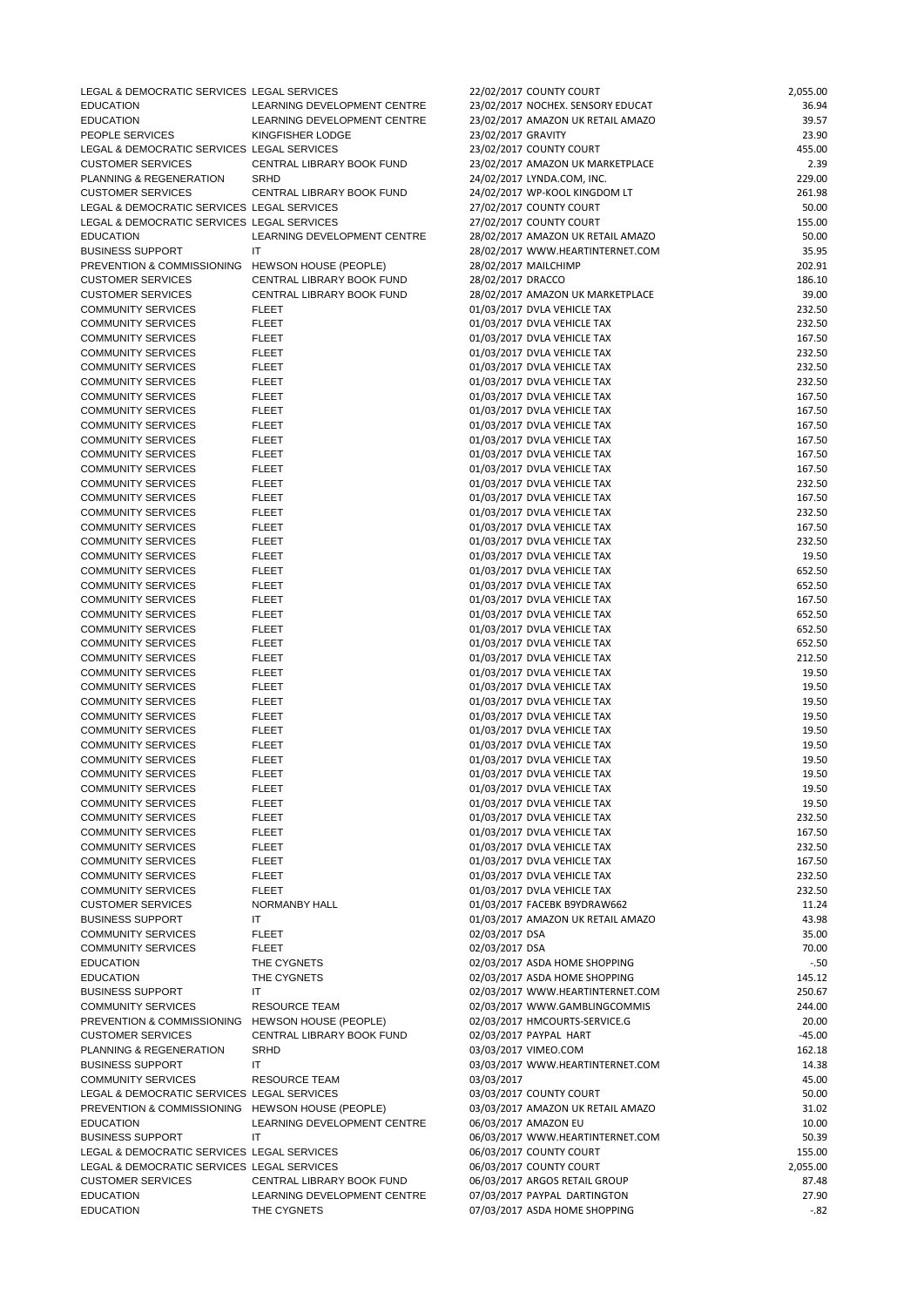| LEGAL & DEMOCRATIC SERVICES LEGAL SERVICES       |                             | 22/02/2017 COUNTY COURT           | 2,055.00 |
|--------------------------------------------------|-----------------------------|-----------------------------------|----------|
| <b>EDUCATION</b>                                 | LEARNING DEVELOPMENT CENTRE | 23/02/2017 NOCHEX. SENSORY EDUCAT | 36.94    |
| <b>EDUCATION</b>                                 | LEARNING DEVELOPMENT CENTRE | 23/02/2017 AMAZON UK RETAIL AMAZO | 39.57    |
| PEOPLE SERVICES                                  | KINGFISHER LODGE            | 23/02/2017 GRAVITY                | 23.90    |
| LEGAL & DEMOCRATIC SERVICES LEGAL SERVICES       |                             | 23/02/2017 COUNTY COURT           | 455.00   |
| <b>CUSTOMER SERVICES</b>                         | CENTRAL LIBRARY BOOK FUND   | 23/02/2017 AMAZON UK MARKETPLACE  | 2.39     |
| PLANNING & REGENERATION SRHD                     |                             | 24/02/2017 LYNDA.COM, INC.        | 229.00   |
| <b>CUSTOMER SERVICES</b>                         | CENTRAL LIBRARY BOOK FUND   | 24/02/2017 WP-KOOL KINGDOM LT     | 261.98   |
| LEGAL & DEMOCRATIC SERVICES LEGAL SERVICES       |                             | 27/02/2017 COUNTY COURT           | 50.00    |
| LEGAL & DEMOCRATIC SERVICES LEGAL SERVICES       |                             | 27/02/2017 COUNTY COURT           | 155.00   |
| <b>EDUCATION</b>                                 | LEARNING DEVELOPMENT CENTRE | 28/02/2017 AMAZON UK RETAIL AMAZO | 50.00    |
| <b>BUSINESS SUPPORT</b>                          | IT                          | 28/02/2017 WWW.HEARTINTERNET.COM  | 35.95    |
| PREVENTION & COMMISSIONING HEWSON HOUSE (PEOPLE) |                             | 28/02/2017 MAILCHIMP              | 202.91   |
| <b>CUSTOMER SERVICES</b>                         | CENTRAL LIBRARY BOOK FUND   | 28/02/2017 DRACCO                 | 186.10   |
| <b>CUSTOMER SERVICES</b>                         | CENTRAL LIBRARY BOOK FUND   | 28/02/2017 AMAZON UK MARKETPLACE  | 39.00    |
| <b>COMMUNITY SERVICES</b>                        | <b>FLEET</b>                | 01/03/2017 DVLA VEHICLE TAX       | 232.50   |
| <b>COMMUNITY SERVICES</b>                        | <b>FLEET</b>                | 01/03/2017 DVLA VEHICLE TAX       | 232.50   |
| <b>COMMUNITY SERVICES</b>                        | <b>FLEET</b>                | 01/03/2017 DVLA VEHICLE TAX       | 167.50   |
| <b>COMMUNITY SERVICES</b>                        | <b>FLEET</b>                | 01/03/2017 DVLA VEHICLE TAX       | 232.50   |
| <b>COMMUNITY SERVICES</b>                        | <b>FLEET</b>                | 01/03/2017 DVLA VEHICLE TAX       | 232.50   |
| <b>COMMUNITY SERVICES</b>                        | <b>FLEET</b>                | 01/03/2017 DVLA VEHICLE TAX       | 232.50   |
| <b>COMMUNITY SERVICES</b>                        | <b>FLEET</b>                | 01/03/2017 DVLA VEHICLE TAX       | 167.50   |
| <b>COMMUNITY SERVICES</b>                        | <b>FLEET</b>                | 01/03/2017 DVLA VEHICLE TAX       | 167.50   |
| <b>COMMUNITY SERVICES</b>                        | <b>FLEET</b>                | 01/03/2017 DVLA VEHICLE TAX       | 167.50   |
| <b>COMMUNITY SERVICES</b>                        | <b>FLEET</b>                | 01/03/2017 DVLA VEHICLE TAX       | 167.50   |
| <b>COMMUNITY SERVICES</b>                        | <b>FLEET</b>                | 01/03/2017 DVLA VEHICLE TAX       | 167.50   |
| <b>COMMUNITY SERVICES</b>                        | <b>FLEET</b>                | 01/03/2017 DVLA VEHICLE TAX       | 167.50   |
| <b>COMMUNITY SERVICES</b>                        | <b>FLEET</b>                | 01/03/2017 DVLA VEHICLE TAX       | 232.50   |
| <b>COMMUNITY SERVICES</b>                        | <b>FLEET</b>                | 01/03/2017 DVLA VEHICLE TAX       | 167.50   |
| <b>COMMUNITY SERVICES</b>                        | <b>FLEET</b>                | 01/03/2017 DVLA VEHICLE TAX       | 232.50   |
| <b>COMMUNITY SERVICES</b>                        | <b>FLEET</b>                | 01/03/2017 DVLA VEHICLE TAX       | 167.50   |
| <b>COMMUNITY SERVICES</b>                        | <b>FLEET</b>                | 01/03/2017 DVLA VEHICLE TAX       | 232.50   |
| <b>COMMUNITY SERVICES</b>                        | <b>FLEET</b>                | 01/03/2017 DVLA VEHICLE TAX       | 19.50    |
| <b>COMMUNITY SERVICES</b>                        | <b>FLEET</b>                | 01/03/2017 DVLA VEHICLE TAX       | 652.50   |
| <b>COMMUNITY SERVICES</b>                        | <b>FLEET</b>                | 01/03/2017 DVLA VEHICLE TAX       | 652.50   |
| <b>COMMUNITY SERVICES</b>                        | <b>FLEET</b>                | 01/03/2017 DVLA VEHICLE TAX       | 167.50   |
| <b>COMMUNITY SERVICES</b>                        | <b>FLEET</b>                | 01/03/2017 DVLA VEHICLE TAX       | 652.50   |
| <b>COMMUNITY SERVICES</b>                        | <b>FLEET</b>                | 01/03/2017 DVLA VEHICLE TAX       | 652.50   |
| <b>COMMUNITY SERVICES</b>                        | <b>FLEET</b>                | 01/03/2017 DVLA VEHICLE TAX       | 652.50   |
| <b>COMMUNITY SERVICES</b>                        | <b>FLEET</b>                | 01/03/2017 DVLA VEHICLE TAX       | 212.50   |
| <b>COMMUNITY SERVICES</b>                        | <b>FLEET</b>                | 01/03/2017 DVLA VEHICLE TAX       | 19.50    |
| <b>COMMUNITY SERVICES</b>                        | <b>FLEET</b>                | 01/03/2017 DVLA VEHICLE TAX       | 19.50    |
| <b>COMMUNITY SERVICES</b>                        | <b>FLEET</b>                | 01/03/2017 DVLA VEHICLE TAX       | 19.50    |
| <b>COMMUNITY SERVICES</b>                        | <b>FLEET</b>                | 01/03/2017 DVLA VEHICLE TAX       | 19.50    |
| <b>COMMUNITY SERVICES</b>                        | <b>FLEET</b>                | 01/03/2017 DVLA VEHICLE TAX       | 19.50    |
| <b>COMMUNITY SERVICES</b>                        | <b>FLEET</b>                | 01/03/2017 DVLA VEHICLE TAX       | 19.50    |
| <b>COMMUNITY SERVICES</b>                        | <b>FLEET</b>                | 01/03/2017 DVLA VEHICLE TAX       | 19.50    |
| <b>COMMUNITY SERVICES</b>                        | <b>FLEET</b>                | 01/03/2017 DVLA VEHICLE TAX       | 19.50    |
| <b>COMMUNITY SERVICES</b>                        | <b>FLEET</b>                | 01/03/2017 DVLA VEHICLE TAX       | 19.50    |
| <b>COMMUNITY SERVICES</b>                        | <b>FLEET</b>                | 01/03/2017 DVLA VEHICLE TAX       | 19.50    |
| <b>COMMUNITY SERVICES</b>                        | <b>FLEET</b>                | 01/03/2017 DVLA VEHICLE TAX       | 232.50   |
| <b>COMMUNITY SERVICES</b>                        | <b>FLEET</b>                | 01/03/2017 DVLA VEHICLE TAX       | 167.50   |
| <b>COMMUNITY SERVICES</b>                        | <b>FLEET</b>                | 01/03/2017 DVLA VEHICLE TAX       | 232.50   |
| <b>COMMUNITY SERVICES</b>                        | <b>FLEET</b>                | 01/03/2017 DVLA VEHICLE TAX       | 167.50   |
| <b>COMMUNITY SERVICES</b>                        | <b>FLEET</b>                | 01/03/2017 DVLA VEHICLE TAX       | 232.50   |
| <b>COMMUNITY SERVICES</b>                        | <b>FLEET</b>                | 01/03/2017 DVLA VEHICLE TAX       | 232.50   |
| <b>CUSTOMER SERVICES</b>                         | <b>NORMANBY HALL</b>        | 01/03/2017 FACEBK B9YDRAW662      | 11.24    |

|                                                  |                             | 01,09,401, 176406,09106,0004      |          |
|--------------------------------------------------|-----------------------------|-----------------------------------|----------|
| <b>BUSINESS SUPPORT</b>                          | IT.                         | 01/03/2017 AMAZON UK RETAIL AMAZO | 43.98    |
| <b>COMMUNITY SERVICES</b>                        | <b>FLEET</b>                | 02/03/2017 DSA                    | 35.00    |
| <b>COMMUNITY SERVICES</b>                        | <b>FLEET</b>                | 02/03/2017 DSA                    | 70.00    |
| <b>EDUCATION</b>                                 | THE CYGNETS                 | 02/03/2017 ASDA HOME SHOPPING     | $-.50$   |
| <b>EDUCATION</b>                                 | THE CYGNETS                 | 02/03/2017 ASDA HOME SHOPPING     | 145.12   |
| <b>BUSINESS SUPPORT</b>                          | IT                          | 02/03/2017 WWW.HEARTINTERNET.COM  | 250.67   |
| <b>COMMUNITY SERVICES</b>                        | <b>RESOURCE TEAM</b>        | 02/03/2017 WWW.GAMBLINGCOMMIS     | 244.00   |
| PREVENTION & COMMISSIONING HEWSON HOUSE (PEOPLE) |                             | 02/03/2017 HMCOURTS-SERVICE.G     | 20.00    |
| <b>CUSTOMER SERVICES</b>                         | CENTRAL LIBRARY BOOK FUND   | 02/03/2017 PAYPAL HART            | $-45.00$ |
| PLANNING & REGENERATION                          | <b>SRHD</b>                 | 03/03/2017 VIMEO.COM              | 162.18   |
| <b>BUSINESS SUPPORT</b>                          | IT                          | 03/03/2017 WWW.HEARTINTERNET.COM  | 14.38    |
| COMMUNITY SERVICES                               | <b>RESOURCE TEAM</b>        | 03/03/2017                        | 45.00    |
| LEGAL & DEMOCRATIC SERVICES LEGAL SERVICES       |                             | 03/03/2017 COUNTY COURT           | 50.00    |
| PREVENTION & COMMISSIONING HEWSON HOUSE (PEOPLE) |                             | 03/03/2017 AMAZON UK RETAIL AMAZO | 31.02    |
| <b>EDUCATION</b>                                 | LEARNING DEVELOPMENT CENTRE | 06/03/2017 AMAZON EU              | 10.00    |
| <b>BUSINESS SUPPORT</b>                          | IT                          | 06/03/2017 WWW.HEARTINTERNET.COM  | 50.39    |
| LEGAL & DEMOCRATIC SERVICES LEGAL SERVICES       |                             | 06/03/2017 COUNTY COURT           | 155.00   |
| LEGAL & DEMOCRATIC SERVICES LEGAL SERVICES       |                             | 06/03/2017 COUNTY COURT           | 2,055.00 |
| <b>CUSTOMER SERVICES</b>                         | CENTRAL LIBRARY BOOK FUND   | 06/03/2017 ARGOS RETAIL GROUP     | 87.48    |
| <b>EDUCATION</b>                                 | LEARNING DEVELOPMENT CENTRE | 07/03/2017 PAYPAL DARTINGTON      | 27.90    |
| <b>EDUCATION</b>                                 | THE CYGNETS                 | 07/03/2017 ASDA HOME SHOPPING     | $-.82$   |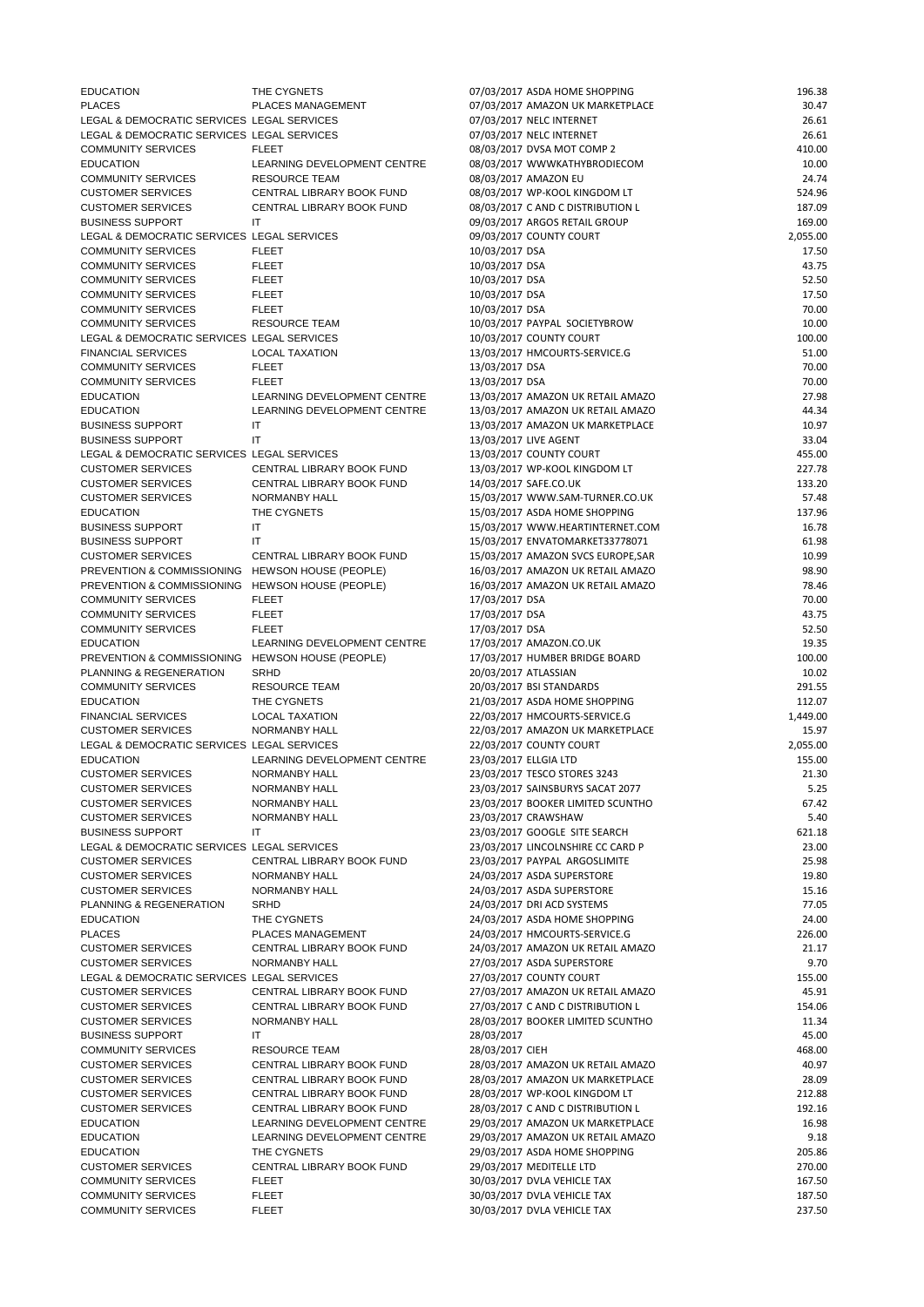| <b>EDUCATION</b>                                 | THE CYGNETS                 | 07/03/2017 ASDA HOME SHOPPING      | 196.38   |
|--------------------------------------------------|-----------------------------|------------------------------------|----------|
| <b>PLACES</b>                                    | PLACES MANAGEMENT           | 07/03/2017 AMAZON UK MARKETPLACE   | 30.47    |
| LEGAL & DEMOCRATIC SERVICES LEGAL SERVICES       |                             | 07/03/2017 NELC INTERNET           | 26.61    |
| LEGAL & DEMOCRATIC SERVICES LEGAL SERVICES       |                             | 07/03/2017 NELC INTERNET           | 26.61    |
| <b>COMMUNITY SERVICES</b>                        | <b>FLEET</b>                | 08/03/2017 DVSA MOT COMP 2         | 410.00   |
| <b>EDUCATION</b>                                 | LEARNING DEVELOPMENT CENTRE | 08/03/2017 WWWKATHYBRODIECOM       | 10.00    |
| <b>COMMUNITY SERVICES</b>                        | <b>RESOURCE TEAM</b>        | 08/03/2017 AMAZON EU               | 24.74    |
| <b>CUSTOMER SERVICES</b>                         | CENTRAL LIBRARY BOOK FUND   | 08/03/2017 WP-KOOL KINGDOM LT      | 524.96   |
| <b>CUSTOMER SERVICES</b>                         | CENTRAL LIBRARY BOOK FUND   | 08/03/2017 C AND C DISTRIBUTION L  | 187.09   |
| <b>BUSINESS SUPPORT</b>                          | -IT                         | 09/03/2017 ARGOS RETAIL GROUP      | 169.00   |
| LEGAL & DEMOCRATIC SERVICES LEGAL SERVICES       |                             | 09/03/2017 COUNTY COURT            | 2,055.00 |
| <b>COMMUNITY SERVICES</b>                        | <b>FLEET</b>                | 10/03/2017 DSA                     | 17.50    |
| <b>COMMUNITY SERVICES</b>                        | <b>FLEET</b>                | 10/03/2017 DSA                     | 43.75    |
| <b>COMMUNITY SERVICES</b>                        | <b>FLEET</b>                | 10/03/2017 DSA                     | 52.50    |
| <b>COMMUNITY SERVICES</b>                        | <b>FLEET</b>                | 10/03/2017 DSA                     | 17.50    |
| <b>COMMUNITY SERVICES</b>                        | <b>FLEET</b>                | 10/03/2017 DSA                     | 70.00    |
| <b>COMMUNITY SERVICES</b>                        | <b>RESOURCE TEAM</b>        | 10/03/2017 PAYPAL SOCIETYBROW      | 10.00    |
| LEGAL & DEMOCRATIC SERVICES LEGAL SERVICES       |                             | 10/03/2017 COUNTY COURT            | 100.00   |
| <b>FINANCIAL SERVICES</b>                        | <b>LOCAL TAXATION</b>       | 13/03/2017 HMCOURTS-SERVICE.G      | 51.00    |
| <b>COMMUNITY SERVICES</b>                        | <b>FLEET</b>                | 13/03/2017 DSA                     | 70.00    |
| <b>COMMUNITY SERVICES</b>                        | <b>FLEET</b>                | 13/03/2017 DSA                     | 70.00    |
| <b>EDUCATION</b>                                 | LEARNING DEVELOPMENT CENTRE | 13/03/2017 AMAZON UK RETAIL AMAZO  | 27.98    |
| <b>EDUCATION</b>                                 | LEARNING DEVELOPMENT CENTRE | 13/03/2017 AMAZON UK RETAIL AMAZO  | 44.34    |
| <b>BUSINESS SUPPORT</b>                          | IT                          | 13/03/2017 AMAZON UK MARKETPLACE   | 10.97    |
| <b>BUSINESS SUPPORT</b>                          | IT.                         | 13/03/2017 LIVE AGENT              | 33.04    |
| LEGAL & DEMOCRATIC SERVICES LEGAL SERVICES       |                             | 13/03/2017 COUNTY COURT            | 455.00   |
| <b>CUSTOMER SERVICES</b>                         | CENTRAL LIBRARY BOOK FUND   | 13/03/2017 WP-KOOL KINGDOM LT      | 227.78   |
| <b>CUSTOMER SERVICES</b>                         | CENTRAL LIBRARY BOOK FUND   | 14/03/2017 SAFE.CO.UK              | 133.20   |
| <b>CUSTOMER SERVICES</b>                         | NORMANBY HALL               | 15/03/2017 WWW.SAM-TURNER.CO.UK    | 57.48    |
| <b>EDUCATION</b>                                 | THE CYGNETS                 | 15/03/2017 ASDA HOME SHOPPING      | 137.96   |
| <b>BUSINESS SUPPORT</b>                          | $\mathsf{I}\mathsf{T}$      | 15/03/2017 WWW.HEARTINTERNET.COM   | 16.78    |
| <b>BUSINESS SUPPORT</b>                          | IТ                          | 15/03/2017 ENVATOMARKET33778071    | 61.98    |
| <b>CUSTOMER SERVICES</b>                         | CENTRAL LIBRARY BOOK FUND   | 15/03/2017 AMAZON SVCS EUROPE, SAR | 10.99    |
| PREVENTION & COMMISSIONING HEWSON HOUSE (PEOPLE) |                             | 16/03/2017 AMAZON UK RETAIL AMAZO  | 98.90    |
| PREVENTION & COMMISSIONING HEWSON HOUSE (PEOPLE) |                             | 16/03/2017 AMAZON UK RETAIL AMAZO  | 78.46    |
| <b>COMMUNITY SERVICES</b>                        | <b>FLEET</b>                | 17/03/2017 DSA                     | 70.00    |
| <b>COMMUNITY SERVICES</b>                        | <b>FLEET</b>                | 17/03/2017 DSA                     | 43.75    |
| <b>COMMUNITY SERVICES</b>                        | <b>FLEET</b>                | 17/03/2017 DSA                     | 52.50    |
| <b>EDUCATION</b>                                 | LEARNING DEVELOPMENT CENTRE | 17/03/2017 AMAZON.CO.UK            | 19.35    |
| PREVENTION & COMMISSIONING HEWSON HOUSE (PEOPLE) |                             | 17/03/2017 HUMBER BRIDGE BOARD     | 100.00   |
| PLANNING & REGENERATION                          | <b>SRHD</b>                 | 20/03/2017 ATLASSIAN               | 10.02    |
| <b>COMMUNITY SERVICES</b>                        | <b>RESOURCE TEAM</b>        | 20/03/2017 BSI STANDARDS           | 291.55   |
| <b>EDUCATION</b>                                 | THE CYGNETS                 | 21/03/2017 ASDA HOME SHOPPING      | 112.07   |
| <b>FINANCIAL SERVICES</b>                        | <b>LOCAL TAXATION</b>       | 22/03/2017 HMCOURTS-SERVICE.G      | 1,449.00 |
| <b>CUSTOMER SERVICES</b>                         | NORMANBY HALL               | 22/03/2017 AMAZON UK MARKETPLACE   | 15.97    |
| LEGAL & DEMOCRATIC SERVICES LEGAL SERVICES       |                             | 22/03/2017 COUNTY COURT            | 2,055.00 |
| <b>EDUCATION</b>                                 | LEARNING DEVELOPMENT CENTRE | 23/03/2017 ELLGIA LTD              | 155.00   |
| <b>CUSTOMER SERVICES</b>                         | <b>NORMANBY HALL</b>        | 23/03/2017 TESCO STORES 3243       | 21.30    |
| <b>CUSTOMER SERVICES</b>                         | NORMANBY HALL               | 23/03/2017 SAINSBURYS SACAT 2077   | 5.25     |
| <b>CUSTOMER SERVICES</b>                         | NORMANBY HALL               | 23/03/2017 BOOKER LIMITED SCUNTHO  | 67.42    |
| <b>CUSTOMER SERVICES</b>                         | <b>NORMANBY HALL</b>        | 23/03/2017 CRAWSHAW                | 5.40     |
| <b>BUSINESS SUPPORT</b>                          | IT                          | 23/03/2017 GOOGLE SITE SEARCH      | 621.18   |
| LEGAL & DEMOCRATIC SERVICES LEGAL SERVICES       |                             | 23/03/2017 LINCOLNSHIRE CC CARD P  | 23.00    |
| <b>CUSTOMER SERVICES</b>                         | CENTRAL LIBRARY BOOK FUND   | 23/03/2017 PAYPAL ARGOSLIMITE      | 25.98    |
| <b>CUSTOMER SERVICES</b>                         | NORMANBY HALL               | 24/03/2017 ASDA SUPERSTORE         | 19.80    |
| <b>CUSTOMER SERVICES</b>                         | NORMANBY HALL               | 24/03/2017 ASDA SUPERSTORE         | 15.16    |
| PLANNING & REGENERATION                          | <b>SRHD</b>                 | 24/03/2017 DRI ACD SYSTEMS         | 77.05    |
|                                                  |                             |                                    |          |

| PLANNING & REGENERATION                    | <b>SRHD</b>                 | 24/03/2017 DRI ACD SYSTEMS        | 77.05  |
|--------------------------------------------|-----------------------------|-----------------------------------|--------|
| <b>EDUCATION</b>                           | THE CYGNETS                 | 24/03/2017 ASDA HOME SHOPPING     | 24.00  |
| <b>PLACES</b>                              | <b>PLACES MANAGEMENT</b>    | 24/03/2017 HMCOURTS-SERVICE.G     | 226.00 |
| <b>CUSTOMER SERVICES</b>                   | CENTRAL LIBRARY BOOK FUND   | 24/03/2017 AMAZON UK RETAIL AMAZO | 21.17  |
| <b>CUSTOMER SERVICES</b>                   | NORMANBY HALL               | 27/03/2017 ASDA SUPERSTORE        | 9.70   |
| LEGAL & DEMOCRATIC SERVICES LEGAL SERVICES |                             | 27/03/2017 COUNTY COURT           | 155.00 |
| <b>CUSTOMER SERVICES</b>                   | CENTRAL LIBRARY BOOK FUND   | 27/03/2017 AMAZON UK RETAIL AMAZO | 45.91  |
| <b>CUSTOMER SERVICES</b>                   | CENTRAL LIBRARY BOOK FUND   | 27/03/2017 C AND C DISTRIBUTION L | 154.06 |
| <b>CUSTOMER SERVICES</b>                   | NORMANBY HALL               | 28/03/2017 BOOKER LIMITED SCUNTHO | 11.34  |
| <b>BUSINESS SUPPORT</b>                    | IT                          | 28/03/2017                        | 45.00  |
| <b>COMMUNITY SERVICES</b>                  | <b>RESOURCE TEAM</b>        | 28/03/2017 CIEH                   | 468.00 |
| <b>CUSTOMER SERVICES</b>                   | CENTRAL LIBRARY BOOK FUND   | 28/03/2017 AMAZON UK RETAIL AMAZO | 40.97  |
| <b>CUSTOMER SERVICES</b>                   | CENTRAL LIBRARY BOOK FUND   | 28/03/2017 AMAZON UK MARKETPLACE  | 28.09  |
| <b>CUSTOMER SERVICES</b>                   | CENTRAL LIBRARY BOOK FUND   | 28/03/2017 WP-KOOL KINGDOM LT     | 212.88 |
| <b>CUSTOMER SERVICES</b>                   | CENTRAL LIBRARY BOOK FUND   | 28/03/2017 C AND C DISTRIBUTION L | 192.16 |
| <b>EDUCATION</b>                           | LEARNING DEVELOPMENT CENTRE | 29/03/2017 AMAZON UK MARKETPLACE  | 16.98  |
| <b>EDUCATION</b>                           | LEARNING DEVELOPMENT CENTRE | 29/03/2017 AMAZON UK RETAIL AMAZO | 9.18   |
| <b>EDUCATION</b>                           | THE CYGNETS                 | 29/03/2017 ASDA HOME SHOPPING     | 205.86 |
| <b>CUSTOMER SERVICES</b>                   | CENTRAL LIBRARY BOOK FUND   | 29/03/2017 MEDITELLE LTD          | 270.00 |
| <b>COMMUNITY SERVICES</b>                  | <b>FLEET</b>                | 30/03/2017 DVLA VEHICLE TAX       | 167.50 |
| <b>COMMUNITY SERVICES</b>                  | <b>FLEET</b>                | 30/03/2017 DVLA VEHICLE TAX       | 187.50 |
| <b>COMMUNITY SERVICES</b>                  | <b>FLEET</b>                | 30/03/2017 DVLA VEHICLE TAX       | 237.50 |
|                                            |                             |                                   |        |